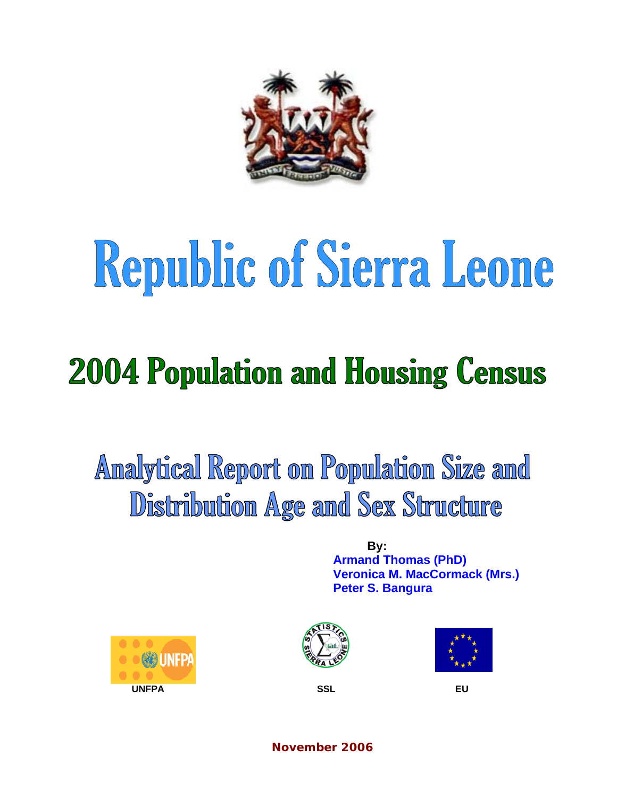

# Republic of Sierra Leone

# **2004 Population and Housing Census**

Analytical Report on Population Size and Distribution Age and Sex Structure

> **By: Armand Thomas (PhD) Veronica M. MacCormack (Mrs.) Peter S. Bangura**







**November 2006**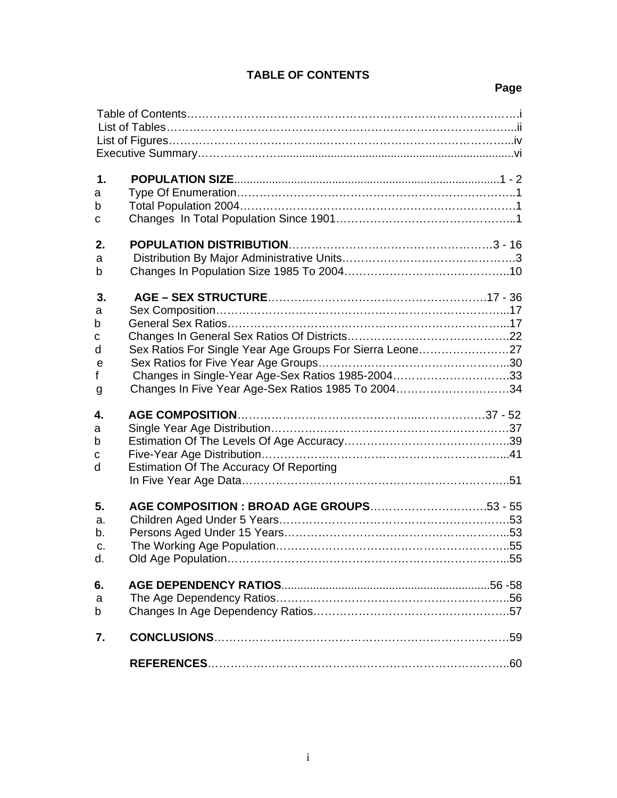### **TABLE OF CONTENTS**

#### **Page**

| $\mathbf 1$ .                       |                                                          |
|-------------------------------------|----------------------------------------------------------|
| a                                   |                                                          |
| b                                   |                                                          |
| С                                   |                                                          |
| 2.                                  |                                                          |
| a                                   |                                                          |
| b                                   |                                                          |
| 3.                                  |                                                          |
| a                                   |                                                          |
| b                                   |                                                          |
| с                                   |                                                          |
| d                                   | Sex Ratios For Single Year Age Groups For Sierra Leone27 |
| e                                   |                                                          |
| $\mathsf{f}$                        | Changes in Single-Year Age-Sex Ratios 1985-200433        |
| g                                   | Changes In Five Year Age-Sex Ratios 1985 To 200434       |
| 4.                                  |                                                          |
| a                                   |                                                          |
| b                                   |                                                          |
| C                                   |                                                          |
| d                                   | Estimation Of The Accuracy Of Reporting                  |
| 5.<br>a.<br>b.<br>$C_{\cdot}$<br>d. | AGE COMPOSITION : BROAD AGE GROUPS53 - 55                |
| 6.                                  |                                                          |
| a                                   |                                                          |
| b                                   |                                                          |
| 7.                                  |                                                          |
|                                     |                                                          |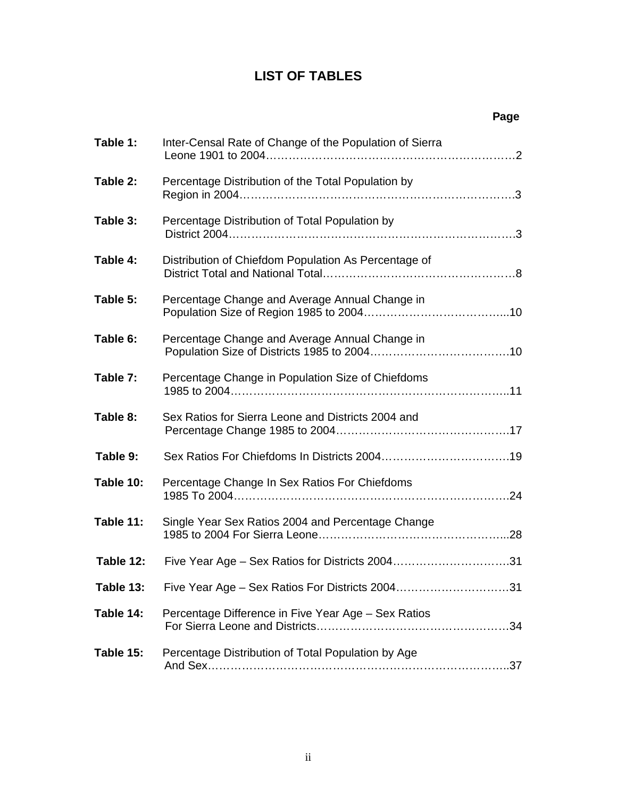# **LIST OF TABLES**

|           |                                                         | Page |
|-----------|---------------------------------------------------------|------|
| Table 1:  | Inter-Censal Rate of Change of the Population of Sierra |      |
| Table 2:  | Percentage Distribution of the Total Population by      |      |
| Table 3:  | Percentage Distribution of Total Population by          |      |
| Table 4:  | Distribution of Chiefdom Population As Percentage of    |      |
| Table 5:  | Percentage Change and Average Annual Change in          |      |
| Table 6:  | Percentage Change and Average Annual Change in          |      |
| Table 7:  | Percentage Change in Population Size of Chiefdoms       |      |
| Table 8:  | Sex Ratios for Sierra Leone and Districts 2004 and      |      |
| Table 9:  |                                                         |      |
| Table 10: | Percentage Change In Sex Ratios For Chiefdoms           |      |
| Table 11: | Single Year Sex Ratios 2004 and Percentage Change       |      |
| Table 12: | Five Year Age - Sex Ratios for Districts 200431         |      |
| Table 13: | Five Year Age - Sex Ratios For Districts 200431         |      |
| Table 14: | Percentage Difference in Five Year Age - Sex Ratios     |      |
| Table 15: | Percentage Distribution of Total Population by Age      |      |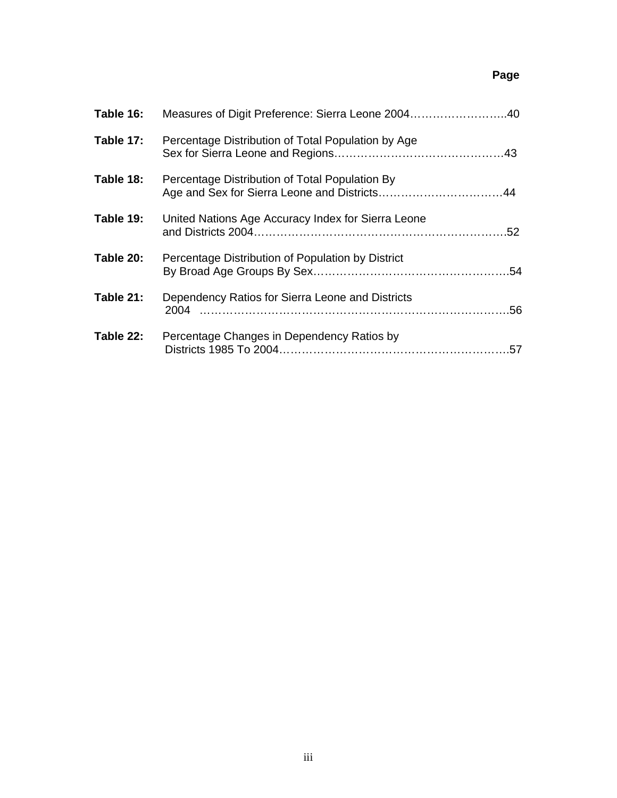#### **Page**

| Table 16: | Measures of Digit Preference: Sierra Leone 200440        |  |
|-----------|----------------------------------------------------------|--|
| Table 17: | Percentage Distribution of Total Population by Age       |  |
| Table 18: | Percentage Distribution of Total Population By           |  |
| Table 19: | United Nations Age Accuracy Index for Sierra Leone       |  |
| Table 20: | Percentage Distribution of Population by District        |  |
| Table 21: | Dependency Ratios for Sierra Leone and Districts<br>2004 |  |
| Table 22: | Percentage Changes in Dependency Ratios by               |  |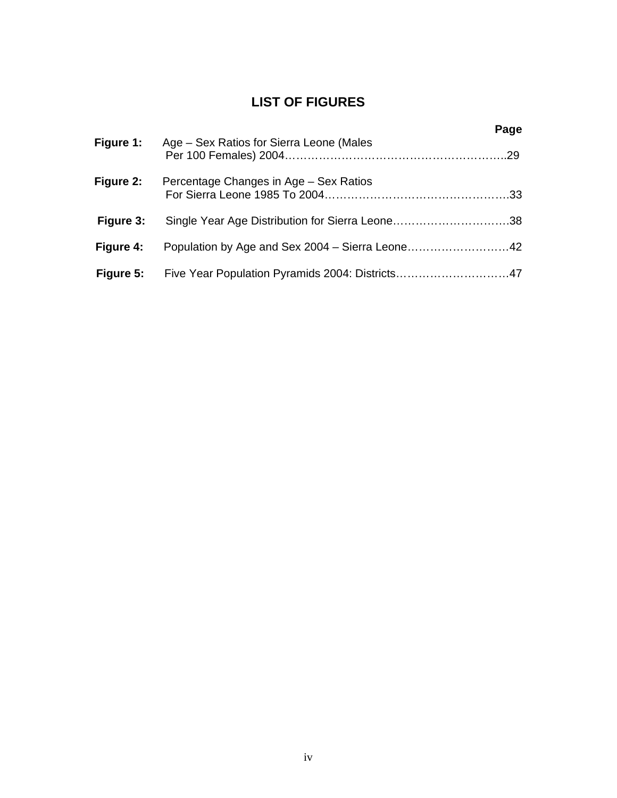# **LIST OF FIGURES**

|           |                                                           | Page |
|-----------|-----------------------------------------------------------|------|
| Figure 1: | Age – Sex Ratios for Sierra Leone (Males                  |      |
| Figure 2: | Percentage Changes in Age – Sex Ratios                    |      |
| Figure 3: |                                                           |      |
| Figure 4: | Population by Age and Sex 2004 – Sierra Leone42           |      |
|           | Figure 5: Five Year Population Pyramids 2004: Districts47 |      |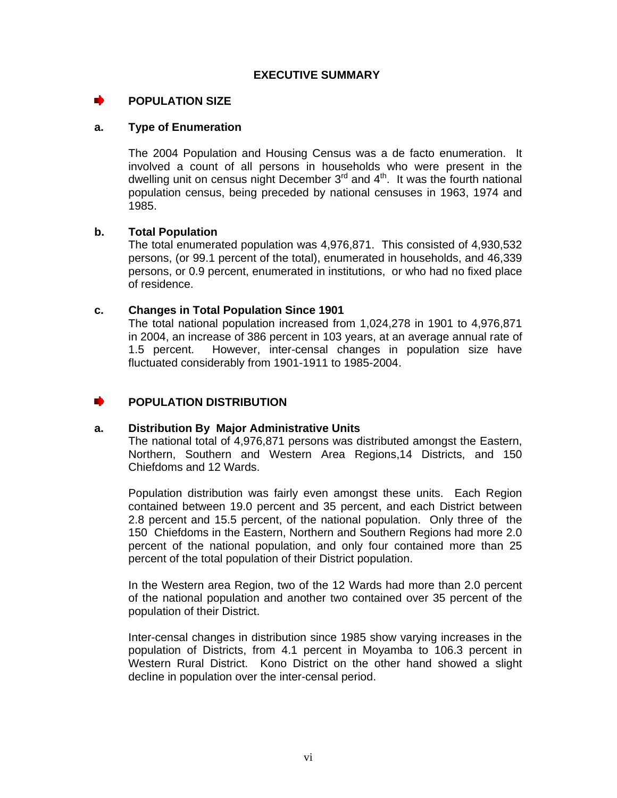#### **POPULATION SIZE**

#### **a. Type of Enumeration**

The 2004 Population and Housing Census was a de facto enumeration. It involved a count of all persons in households who were present in the dwelling unit on census night December  $3<sup>rd</sup>$  and  $4<sup>th</sup>$ . It was the fourth national population census, being preceded by national censuses in 1963, 1974 and 1985.

#### **b. Total Population**

The total enumerated population was 4,976,871. This consisted of 4,930,532 persons, (or 99.1 percent of the total), enumerated in households, and 46,339 persons, or 0.9 percent, enumerated in institutions, or who had no fixed place of residence.

#### **c. Changes in Total Population Since 1901**

The total national population increased from 1,024,278 in 1901 to 4,976,871 in 2004, an increase of 386 percent in 103 years, at an average annual rate of 1.5 percent. However, inter-censal changes in population size have fluctuated considerably from 1901-1911 to 1985-2004.

#### **POPULATION DISTRIBUTION**

#### **a. Distribution By Major Administrative Units**

The national total of 4,976,871 persons was distributed amongst the Eastern, Northern, Southern and Western Area Regions,14 Districts, and 150 Chiefdoms and 12 Wards.

Population distribution was fairly even amongst these units. Each Region contained between 19.0 percent and 35 percent, and each District between 2.8 percent and 15.5 percent, of the national population. Only three of the 150 Chiefdoms in the Eastern, Northern and Southern Regions had more 2.0 percent of the national population, and only four contained more than 25 percent of the total population of their District population.

In the Western area Region, two of the 12 Wards had more than 2.0 percent of the national population and another two contained over 35 percent of the population of their District.

Inter-censal changes in distribution since 1985 show varying increases in the population of Districts, from 4.1 percent in Moyamba to 106.3 percent in Western Rural District. Kono District on the other hand showed a slight decline in population over the inter-censal period.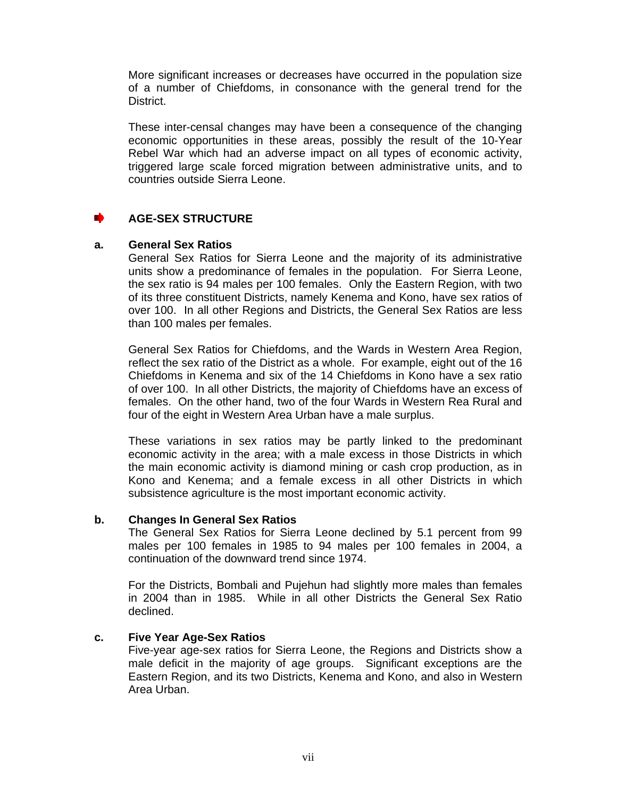More significant increases or decreases have occurred in the population size of a number of Chiefdoms, in consonance with the general trend for the District.

These inter-censal changes may have been a consequence of the changing economic opportunities in these areas, possibly the result of the 10-Year Rebel War which had an adverse impact on all types of economic activity, triggered large scale forced migration between administrative units, and to countries outside Sierra Leone.

#### **AGE-SEX STRUCTURE**

#### **a. General Sex Ratios**

General Sex Ratios for Sierra Leone and the majority of its administrative units show a predominance of females in the population. For Sierra Leone, the sex ratio is 94 males per 100 females. Only the Eastern Region, with two of its three constituent Districts, namely Kenema and Kono, have sex ratios of over 100. In all other Regions and Districts, the General Sex Ratios are less than 100 males per females.

General Sex Ratios for Chiefdoms, and the Wards in Western Area Region, reflect the sex ratio of the District as a whole. For example, eight out of the 16 Chiefdoms in Kenema and six of the 14 Chiefdoms in Kono have a sex ratio of over 100. In all other Districts, the majority of Chiefdoms have an excess of females. On the other hand, two of the four Wards in Western Rea Rural and four of the eight in Western Area Urban have a male surplus.

These variations in sex ratios may be partly linked to the predominant economic activity in the area; with a male excess in those Districts in which the main economic activity is diamond mining or cash crop production, as in Kono and Kenema; and a female excess in all other Districts in which subsistence agriculture is the most important economic activity.

#### **b. Changes In General Sex Ratios**

The General Sex Ratios for Sierra Leone declined by 5.1 percent from 99 males per 100 females in 1985 to 94 males per 100 females in 2004, a continuation of the downward trend since 1974.

For the Districts, Bombali and Pujehun had slightly more males than females in 2004 than in 1985. While in all other Districts the General Sex Ratio declined.

#### **c. Five Year Age-Sex Ratios**

Five-year age-sex ratios for Sierra Leone, the Regions and Districts show a male deficit in the majority of age groups. Significant exceptions are the Eastern Region, and its two Districts, Kenema and Kono, and also in Western Area Urban.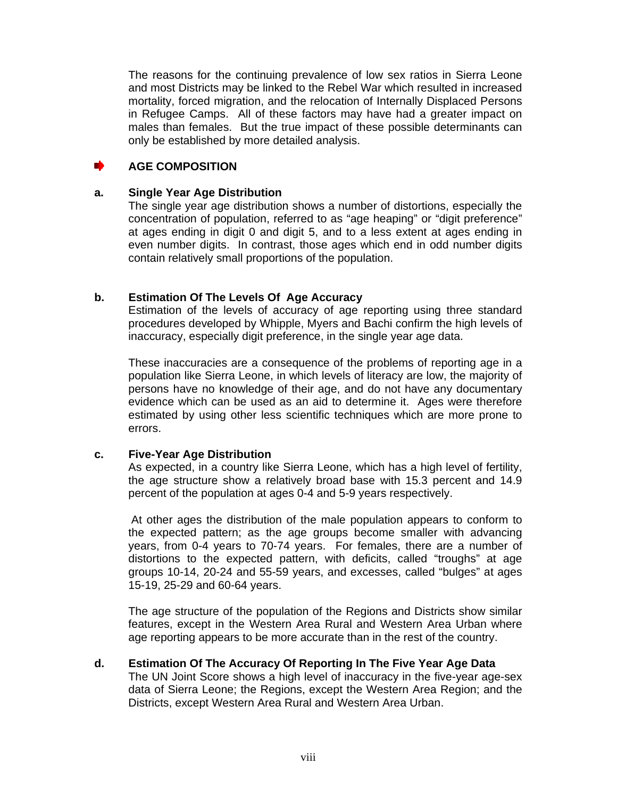The reasons for the continuing prevalence of low sex ratios in Sierra Leone and most Districts may be linked to the Rebel War which resulted in increased mortality, forced migration, and the relocation of Internally Displaced Persons in Refugee Camps. All of these factors may have had a greater impact on males than females. But the true impact of these possible determinants can only be established by more detailed analysis.

#### **AGE COMPOSITION**  mb.

#### **a. Single Year Age Distribution**

The single year age distribution shows a number of distortions, especially the concentration of population, referred to as "age heaping" or "digit preference" at ages ending in digit 0 and digit 5, and to a less extent at ages ending in even number digits. In contrast, those ages which end in odd number digits contain relatively small proportions of the population.

#### **b. Estimation Of The Levels Of Age Accuracy**

Estimation of the levels of accuracy of age reporting using three standard procedures developed by Whipple, Myers and Bachi confirm the high levels of inaccuracy, especially digit preference, in the single year age data.

These inaccuracies are a consequence of the problems of reporting age in a population like Sierra Leone, in which levels of literacy are low, the majority of persons have no knowledge of their age, and do not have any documentary evidence which can be used as an aid to determine it. Ages were therefore estimated by using other less scientific techniques which are more prone to errors.

#### **c. Five-Year Age Distribution**

As expected, in a country like Sierra Leone, which has a high level of fertility, the age structure show a relatively broad base with 15.3 percent and 14.9 percent of the population at ages 0-4 and 5-9 years respectively.

At other ages the distribution of the male population appears to conform to the expected pattern; as the age groups become smaller with advancing years, from 0-4 years to 70-74 years. For females, there are a number of distortions to the expected pattern, with deficits, called "troughs" at age groups 10-14, 20-24 and 55-59 years, and excesses, called "bulges" at ages 15-19, 25-29 and 60-64 years.

The age structure of the population of the Regions and Districts show similar features, except in the Western Area Rural and Western Area Urban where age reporting appears to be more accurate than in the rest of the country.

#### **d. Estimation Of The Accuracy Of Reporting In The Five Year Age Data**

The UN Joint Score shows a high level of inaccuracy in the five-year age-sex data of Sierra Leone; the Regions, except the Western Area Region; and the Districts, except Western Area Rural and Western Area Urban.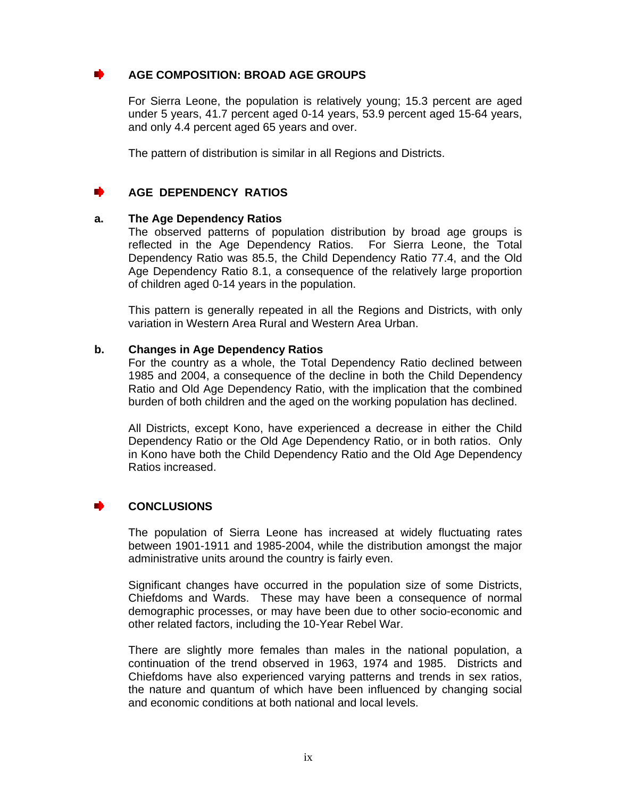#### **AGE COMPOSITION: BROAD AGE GROUPS**

For Sierra Leone, the population is relatively young; 15.3 percent are aged under 5 years, 41.7 percent aged 0-14 years, 53.9 percent aged 15-64 years, and only 4.4 percent aged 65 years and over.

The pattern of distribution is similar in all Regions and Districts.

#### **AGE DEPENDENCY RATIOS**

#### **a. The Age Dependency Ratios**

The observed patterns of population distribution by broad age groups is reflected in the Age Dependency Ratios. For Sierra Leone, the Total Dependency Ratio was 85.5, the Child Dependency Ratio 77.4, and the Old Age Dependency Ratio 8.1, a consequence of the relatively large proportion of children aged 0-14 years in the population.

This pattern is generally repeated in all the Regions and Districts, with only variation in Western Area Rural and Western Area Urban.

#### **b. Changes in Age Dependency Ratios**

For the country as a whole, the Total Dependency Ratio declined between 1985 and 2004, a consequence of the decline in both the Child Dependency Ratio and Old Age Dependency Ratio, with the implication that the combined burden of both children and the aged on the working population has declined.

All Districts, except Kono, have experienced a decrease in either the Child Dependency Ratio or the Old Age Dependency Ratio, or in both ratios. Only in Kono have both the Child Dependency Ratio and the Old Age Dependency Ratios increased.

#### **CONCLUSIONS**

The population of Sierra Leone has increased at widely fluctuating rates between 1901-1911 and 1985-2004, while the distribution amongst the major administrative units around the country is fairly even.

Significant changes have occurred in the population size of some Districts, Chiefdoms and Wards. These may have been a consequence of normal demographic processes, or may have been due to other socio-economic and other related factors, including the 10-Year Rebel War.

There are slightly more females than males in the national population, a continuation of the trend observed in 1963, 1974 and 1985. Districts and Chiefdoms have also experienced varying patterns and trends in sex ratios, the nature and quantum of which have been influenced by changing social and economic conditions at both national and local levels.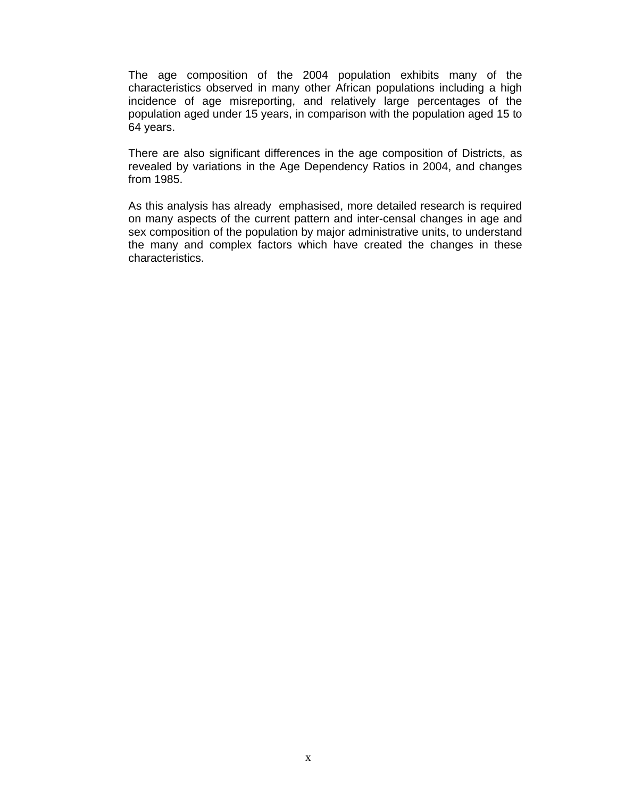The age composition of the 2004 population exhibits many of the characteristics observed in many other African populations including a high incidence of age misreporting, and relatively large percentages of the population aged under 15 years, in comparison with the population aged 15 to 64 years.

There are also significant differences in the age composition of Districts, as revealed by variations in the Age Dependency Ratios in 2004, and changes from 1985.

As this analysis has already emphasised, more detailed research is required on many aspects of the current pattern and inter-censal changes in age and sex composition of the population by major administrative units, to understand the many and complex factors which have created the changes in these characteristics.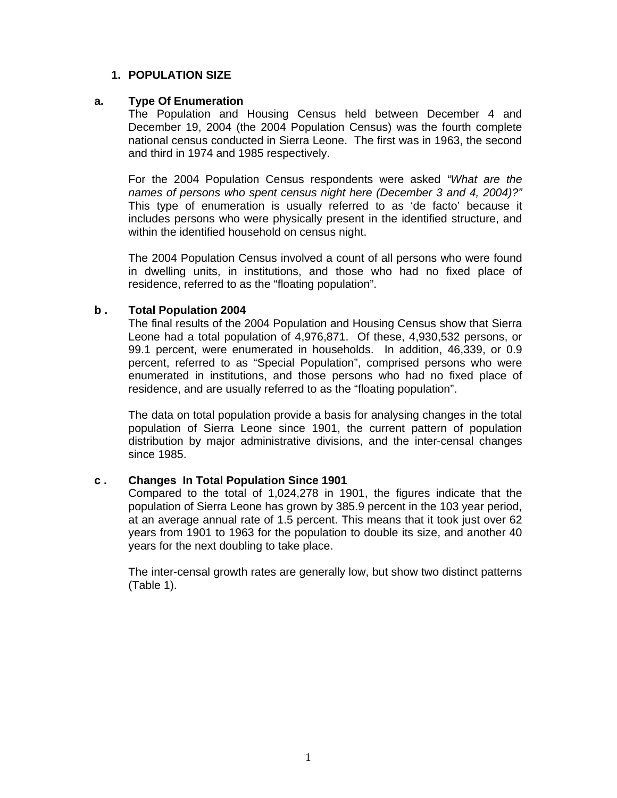#### **1. POPULATION SIZE**

#### **a. Type Of Enumeration**

The Population and Housing Census held between December 4 and December 19, 2004 (the 2004 Population Census) was the fourth complete national census conducted in Sierra Leone. The first was in 1963, the second and third in 1974 and 1985 respectively.

For the 2004 Population Census respondents were asked *"What are the names of persons who spent census night here (December 3 and 4, 2004)?"* This type of enumeration is usually referred to as 'de facto' because it includes persons who were physically present in the identified structure, and within the identified household on census night.

The 2004 Population Census involved a count of all persons who were found in dwelling units, in institutions, and those who had no fixed place of residence, referred to as the "floating population".

#### **b . Total Population 2004**

The final results of the 2004 Population and Housing Census show that Sierra Leone had a total population of 4,976,871. Of these, 4,930,532 persons, or 99.1 percent, were enumerated in households. In addition, 46,339, or 0.9 percent, referred to as "Special Population", comprised persons who were enumerated in institutions, and those persons who had no fixed place of residence, and are usually referred to as the "floating population".

The data on total population provide a basis for analysing changes in the total population of Sierra Leone since 1901, the current pattern of population distribution by major administrative divisions, and the inter-censal changes since 1985.

#### **c . Changes In Total Population Since 1901**

Compared to the total of 1,024,278 in 1901, the figures indicate that the population of Sierra Leone has grown by 385.9 percent in the 103 year period, at an average annual rate of 1.5 percent. This means that it took just over 62 years from 1901 to 1963 for the population to double its size, and another 40 years for the next doubling to take place.

The inter-censal growth rates are generally low, but show two distinct patterns (Table 1).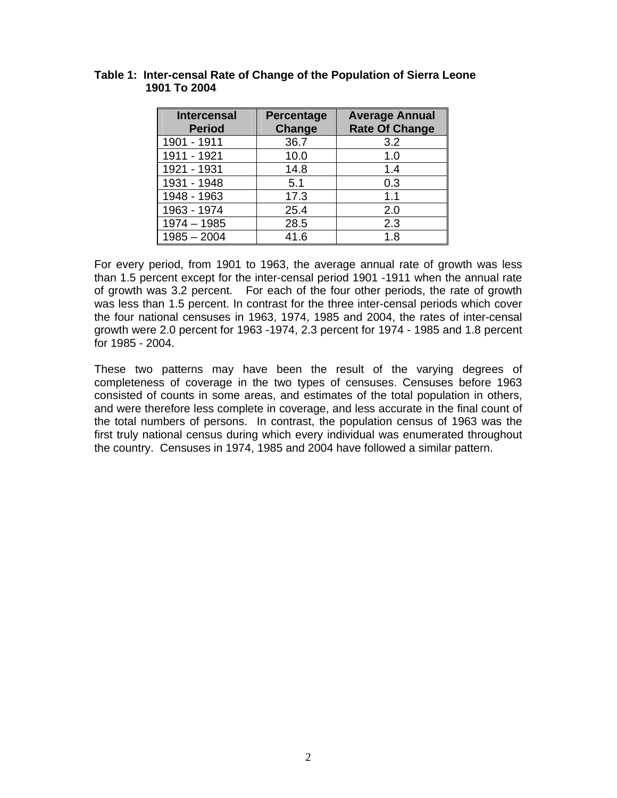| <b>Intercensal</b><br><b>Period</b> | Percentage<br><b>Change</b> | <b>Average Annual</b><br><b>Rate Of Change</b> |
|-------------------------------------|-----------------------------|------------------------------------------------|
| 1901 - 1911                         | 36.7                        | 3.2                                            |
| 1911 - 1921                         | 10.0                        | 1.0                                            |
| 1921 - 1931                         | 14.8                        | 1.4                                            |
| 1931 - 1948                         | 5.1                         | 0.3                                            |
| 1948 - 1963                         | 17.3                        | 1.1                                            |
| 1963 - 1974                         | 25.4                        | 2.0                                            |
| $1974 - 1985$                       | 28.5                        | 2.3                                            |
| $1985 - 2004$                       | 41.6                        | 1.8                                            |

#### **Table 1: Inter-censal Rate of Change of the Population of Sierra Leone 1901 To 2004**

For every period, from 1901 to 1963, the average annual rate of growth was less than 1.5 percent except for the inter-censal period 1901 -1911 when the annual rate of growth was 3.2 percent. For each of the four other periods, the rate of growth was less than 1.5 percent. In contrast for the three inter-censal periods which cover the four national censuses in 1963, 1974, 1985 and 2004, the rates of inter-censal growth were 2.0 percent for 1963 -1974, 2.3 percent for 1974 - 1985 and 1.8 percent for 1985 - 2004.

These two patterns may have been the result of the varying degrees of completeness of coverage in the two types of censuses. Censuses before 1963 consisted of counts in some areas, and estimates of the total population in others, and were therefore less complete in coverage, and less accurate in the final count of the total numbers of persons. In contrast, the population census of 1963 was the first truly national census during which every individual was enumerated throughout the country. Censuses in 1974, 1985 and 2004 have followed a similar pattern.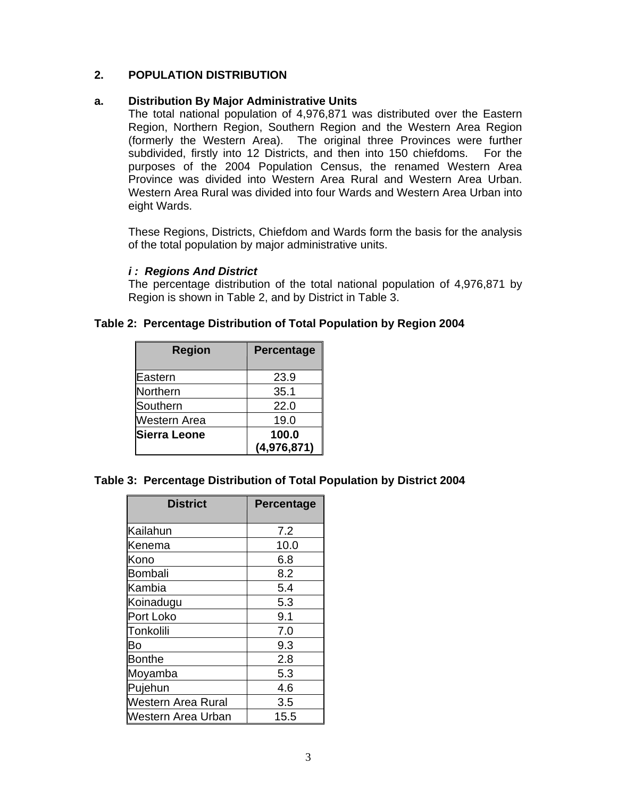#### **2. POPULATION DISTRIBUTION**

#### **a. Distribution By Major Administrative Units**

The total national population of 4,976,871 was distributed over the Eastern Region, Northern Region, Southern Region and the Western Area Region (formerly the Western Area). The original three Provinces were further subdivided, firstly into 12 Districts, and then into 150 chiefdoms. For the purposes of the 2004 Population Census, the renamed Western Area Province was divided into Western Area Rural and Western Area Urban. Western Area Rural was divided into four Wards and Western Area Urban into eight Wards.

These Regions, Districts, Chiefdom and Wards form the basis for the analysis of the total population by major administrative units.

#### *i : Regions And District*

The percentage distribution of the total national population of 4,976,871 by Region is shown in Table 2, and by District in Table 3.

#### **Table 2: Percentage Distribution of Total Population by Region 2004**

| <b>Region</b> | Percentage  |
|---------------|-------------|
| Eastern       | 23.9        |
| Northern      | 35.1        |
| Southern      | 22.0        |
| Western Area  | 19.0        |
| Sierra Leone  | 100.0       |
|               | (4,976,871) |

#### **Table 3: Percentage Distribution of Total Population by District 2004**

| <b>District</b>    | <b>Percentage</b> |
|--------------------|-------------------|
| Kailahun           | 7.2               |
| Kenema             | 10.0              |
| Kono               | 6.8               |
| <b>Bombali</b>     | 8.2               |
| Kambia             | 5.4               |
| Koinadugu          | 5.3               |
| Port Loko          | 9.1               |
| Tonkolili          | 7.0               |
| Bo                 | 9.3               |
| <b>Bonthe</b>      | 2.8               |
| Moyamba            | 5.3               |
| Pujehun            | 4.6               |
| Western Area Rural | 3.5               |
| Western Area Urban | 15.5              |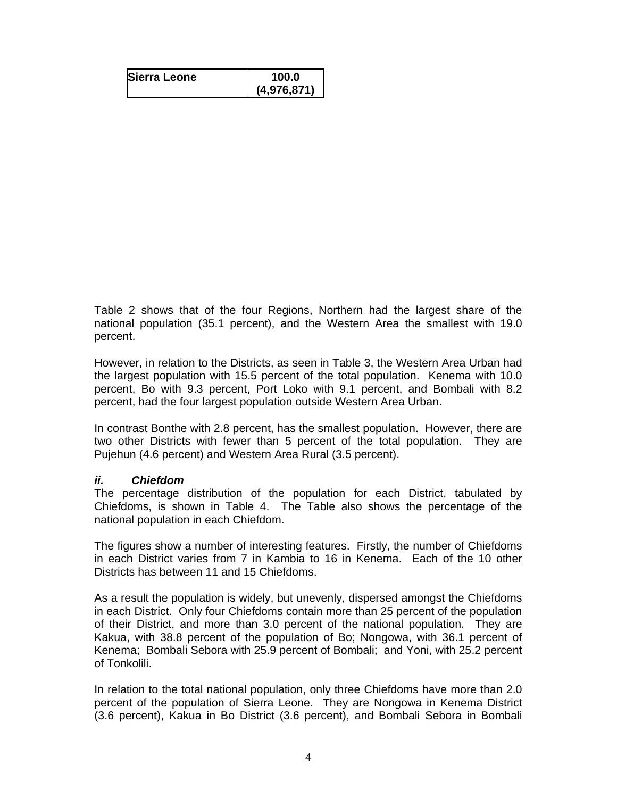| Sierra Leone | 100.0       |
|--------------|-------------|
|              | (4,976,871) |

Table 2 shows that of the four Regions, Northern had the largest share of the national population (35.1 percent), and the Western Area the smallest with 19.0 percent.

However, in relation to the Districts, as seen in Table 3, the Western Area Urban had the largest population with 15.5 percent of the total population. Kenema with 10.0 percent, Bo with 9.3 percent, Port Loko with 9.1 percent, and Bombali with 8.2 percent, had the four largest population outside Western Area Urban.

In contrast Bonthe with 2.8 percent, has the smallest population. However, there are two other Districts with fewer than 5 percent of the total population. They are Pujehun (4.6 percent) and Western Area Rural (3.5 percent).

#### *ii. Chiefdom*

The percentage distribution of the population for each District, tabulated by Chiefdoms, is shown in Table 4. The Table also shows the percentage of the national population in each Chiefdom.

The figures show a number of interesting features. Firstly, the number of Chiefdoms in each District varies from 7 in Kambia to 16 in Kenema. Each of the 10 other Districts has between 11 and 15 Chiefdoms.

As a result the population is widely, but unevenly, dispersed amongst the Chiefdoms in each District. Only four Chiefdoms contain more than 25 percent of the population of their District, and more than 3.0 percent of the national population. They are Kakua, with 38.8 percent of the population of Bo; Nongowa, with 36.1 percent of Kenema; Bombali Sebora with 25.9 percent of Bombali; and Yoni, with 25.2 percent of Tonkolili.

In relation to the total national population, only three Chiefdoms have more than 2.0 percent of the population of Sierra Leone. They are Nongowa in Kenema District (3.6 percent), Kakua in Bo District (3.6 percent), and Bombali Sebora in Bombali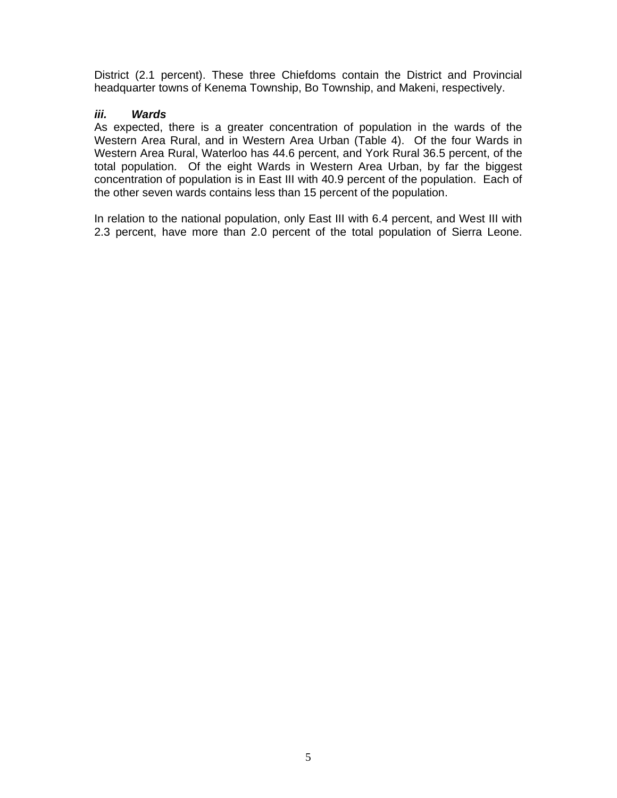District (2.1 percent). These three Chiefdoms contain the District and Provincial headquarter towns of Kenema Township, Bo Township, and Makeni, respectively.

#### *iii. Wards*

As expected, there is a greater concentration of population in the wards of the Western Area Rural, and in Western Area Urban (Table 4). Of the four Wards in Western Area Rural, Waterloo has 44.6 percent, and York Rural 36.5 percent, of the total population. Of the eight Wards in Western Area Urban, by far the biggest concentration of population is in East III with 40.9 percent of the population. Each of the other seven wards contains less than 15 percent of the population.

In relation to the national population, only East III with 6.4 percent, and West III with 2.3 percent, have more than 2.0 percent of the total population of Sierra Leone.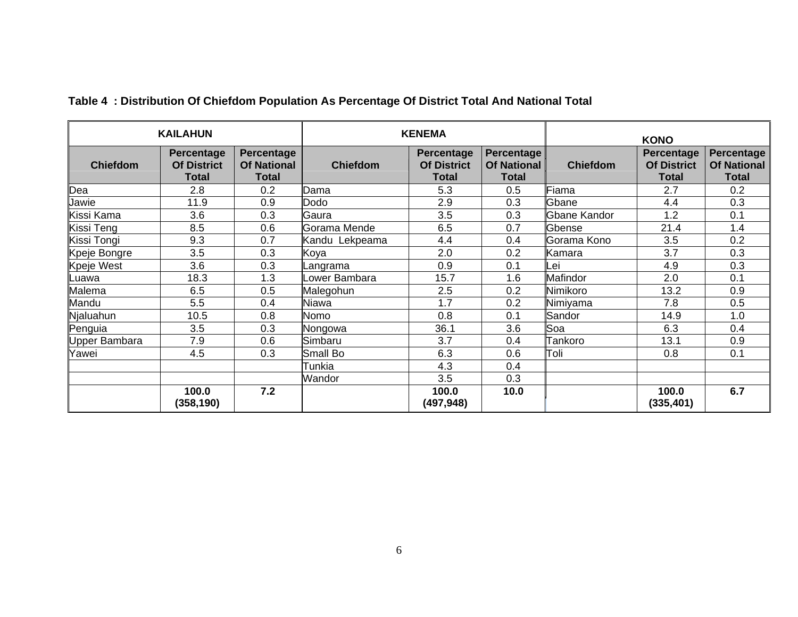| <b>KAILAHUN</b>   |                                                  |                                                  | <b>KENEMA</b>   |                                                  |                                                  | <b>KONO</b>     |                                                  |                                                         |
|-------------------|--------------------------------------------------|--------------------------------------------------|-----------------|--------------------------------------------------|--------------------------------------------------|-----------------|--------------------------------------------------|---------------------------------------------------------|
| <b>Chiefdom</b>   | <b>Percentage</b><br><b>Of District</b><br>Total | Percentage<br><b>Of National</b><br><b>Total</b> | <b>Chiefdom</b> | Percentage<br><b>Of District</b><br><b>Total</b> | <b>Percentage</b><br>Of National<br><b>Total</b> | <b>Chiefdom</b> | Percentage<br><b>Of District</b><br><b>Total</b> | <b>Percentage</b><br><b>Of National</b><br><b>Total</b> |
| Dea               | 2.8                                              | 0.2                                              | Dama            | 5.3                                              | 0.5                                              | Fiama           | 2.7                                              | 0.2                                                     |
| Jawie             | 11.9                                             | 0.9                                              | Dodo            | 2.9                                              | 0.3                                              | Gbane           | 4.4                                              | 0.3                                                     |
| Kissi Kama        | 3.6                                              | 0.3                                              | Gaura           | 3.5                                              | 0.3                                              | Gbane Kandor    | 1.2                                              | 0.1                                                     |
| Kissi Teng        | 8.5                                              | 0.6                                              | Gorama Mende    | 6.5                                              | 0.7                                              | Gbense          | 21.4                                             | 1.4                                                     |
| Kissi Tongi       | 9.3                                              | 0.7                                              | Kandu Lekpeama  | 4.4                                              | 0.4                                              | Gorama Kono     | 3.5                                              | 0.2                                                     |
| Kpeje Bongre      | 3.5                                              | 0.3                                              | Koya            | 2.0                                              | 0.2                                              | Kamara          | 3.7                                              | 0.3                                                     |
| <b>Kpeje West</b> | 3.6                                              | 0.3                                              | Langrama        | 0.9                                              | 0.1                                              | ∟ei             | 4.9                                              | 0.3                                                     |
| Luawa             | 18.3                                             | 1.3                                              | Lower Bambara   | 15.7                                             | 1.6                                              | Mafindor        | 2.0                                              | 0.1                                                     |
| Malema            | 6.5                                              | 0.5                                              | Malegohun       | 2.5                                              | 0.2                                              | Nimikoro        | 13.2                                             | 0.9                                                     |
| Mandu             | 5.5                                              | 0.4                                              | Niawa           | 1.7                                              | 0.2                                              | Nimiyama        | 7.8                                              | 0.5                                                     |
| Njaluahun         | 10.5                                             | 0.8                                              | Nomo            | 0.8                                              | 0.1                                              | Sandor          | 14.9                                             | 1.0                                                     |
| Penguia           | 3.5                                              | 0.3                                              | Nongowa         | 36.1                                             | 3.6                                              | Soa             | 6.3                                              | 0.4                                                     |
| Upper Bambara     | 7.9                                              | 0.6                                              | Simbaru         | 3.7                                              | 0.4                                              | Tankoro         | 13.1                                             | 0.9                                                     |
| Yawei             | 4.5                                              | 0.3                                              | Small Bo        | 6.3                                              | 0.6                                              | Toli            | 0.8                                              | 0.1                                                     |
|                   |                                                  |                                                  | Tunkia          | 4.3                                              | 0.4                                              |                 |                                                  |                                                         |
|                   |                                                  |                                                  | Wandor          | 3.5                                              | 0.3                                              |                 |                                                  |                                                         |
|                   | 100.0<br>(358,190)                               | 7.2                                              |                 | 100.0<br>(497, 948)                              | 10.0                                             |                 | 100.0<br>(335, 401)                              | 6.7                                                     |

# **Table 4 : Distribution Of Chiefdom Population As Percentage Of District Total And National Total**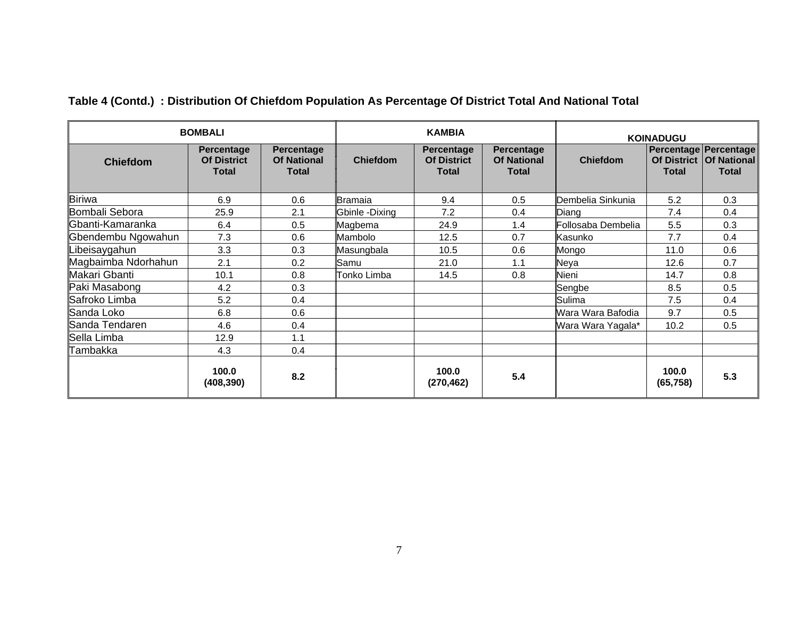| Table 4 (Contd.) : Distribution Of Chiefdom Population As Percentage Of District Total And National Total |  |
|-----------------------------------------------------------------------------------------------------------|--|
|                                                                                                           |  |

| <b>BOMBALI</b>      | <b>KAMBIA</b>                                           |                                                         |                 | <b>KOINADUGU</b>                                        |                                                         |                    |                                    |                                                             |
|---------------------|---------------------------------------------------------|---------------------------------------------------------|-----------------|---------------------------------------------------------|---------------------------------------------------------|--------------------|------------------------------------|-------------------------------------------------------------|
| <b>Chiefdom</b>     | <b>Percentage</b><br><b>Of District</b><br><b>Total</b> | <b>Percentage</b><br><b>Of National</b><br><b>Total</b> | <b>Chiefdom</b> | <b>Percentage</b><br><b>Of District</b><br><b>Total</b> | <b>Percentage</b><br><b>Of National</b><br><b>Total</b> | <b>Chiefdom</b>    | <b>Of District</b><br><b>Total</b> | Percentage Percentage<br><b>Of National</b><br><b>Total</b> |
| <b>Biriwa</b>       | 6.9                                                     | 0.6                                                     | <b>Bramaia</b>  | 9.4                                                     | 0.5                                                     | Dembelia Sinkunia  | 5.2                                | 0.3                                                         |
| Bombali Sebora      | 25.9                                                    | 2.1                                                     | Gbinle -Dixing  | 7.2                                                     | 0.4                                                     | Diang              | 7.4                                | 0.4                                                         |
| ∥Gbanti-Kamaranka   | 6.4                                                     | 0.5                                                     | Magbema         | 24.9                                                    | 1.4                                                     | Follosaba Dembelia | 5.5                                | 0.3                                                         |
| Gbendembu Ngowahun  | 7.3                                                     | 0.6                                                     | Mambolo         | 12.5                                                    | 0.7                                                     | Kasunko            | 7.7                                | 0.4                                                         |
| ibeisaygahun.       | 3.3                                                     | 0.3                                                     | Masungbala      | 10.5                                                    | 0.6                                                     | Mongo              | 11.0                               | 0.6                                                         |
| Magbaimba Ndorhahun | 2.1                                                     | 0.2                                                     | Samu            | 21.0                                                    | 1.1                                                     | Neya               | 12.6                               | 0.7                                                         |
| Makari Gbanti       | 10.1                                                    | 0.8                                                     | Tonko Limba     | 14.5                                                    | 0.8                                                     | Nieni              | 14.7                               | 0.8                                                         |
| Paki Masabong       | 4.2                                                     | 0.3                                                     |                 |                                                         |                                                         | Sengbe             | 8.5                                | 0.5                                                         |
| Safroko Limba       | 5.2                                                     | 0.4                                                     |                 |                                                         |                                                         | Sulima             | 7.5                                | 0.4                                                         |
| Sanda Loko          | 6.8                                                     | 0.6                                                     |                 |                                                         |                                                         | Wara Wara Bafodia  | 9.7                                | 0.5                                                         |
| Sanda Tendaren      | 4.6                                                     | 0.4                                                     |                 |                                                         |                                                         | Wara Wara Yagala*  | 10.2                               | 0.5                                                         |
| Sella Limba         | 12.9                                                    | 1.1                                                     |                 |                                                         |                                                         |                    |                                    |                                                             |
| Tambakka            | 4.3                                                     | 0.4                                                     |                 |                                                         |                                                         |                    |                                    |                                                             |
|                     | 100.0<br>(408, 390)                                     | 8.2                                                     |                 | 100.0<br>(270, 462)                                     | 5.4                                                     |                    | 100.0<br>(65, 758)                 | 5.3                                                         |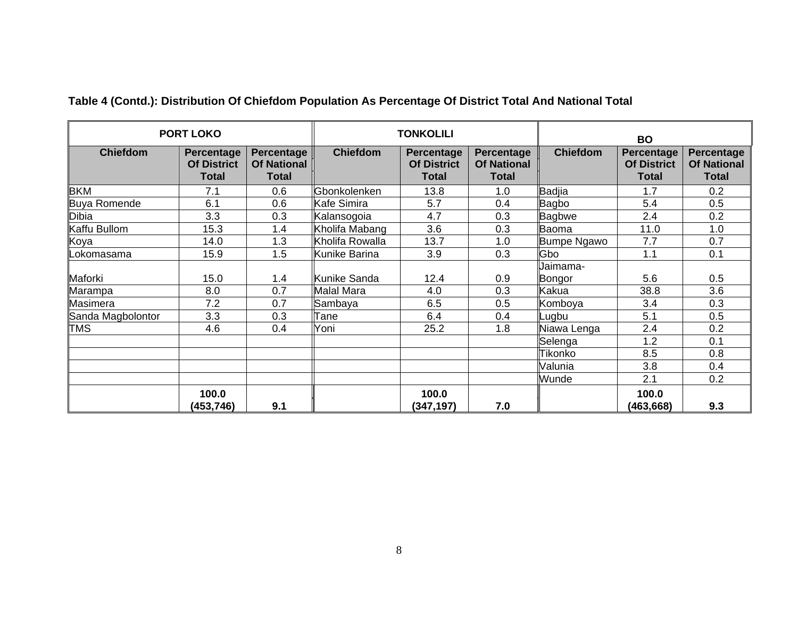| <b>PORT LOKO</b>  |                                           |                                                  | <b>TONKOLILI</b>  |                                                  |                                           | <b>BO</b>          |                                                  |                                                  |
|-------------------|-------------------------------------------|--------------------------------------------------|-------------------|--------------------------------------------------|-------------------------------------------|--------------------|--------------------------------------------------|--------------------------------------------------|
| <b>Chiefdom</b>   | Percentage<br><b>Of District</b><br>Total | Percentage<br><b>Of National</b><br><b>Total</b> | <b>Chiefdom</b>   | <b>Percentage</b><br><b>Of District</b><br>Total | Percentage<br><b>Of National</b><br>Total | <b>Chiefdom</b>    | <b>Percentage</b><br><b>Of District</b><br>Total | Percentage<br><b>Of National</b><br><b>Total</b> |
| <b>BKM</b>        | 7.1                                       | 0.6                                              | Gbonkolenken      | 13.8                                             | 1.0                                       | <b>Badjia</b>      | 1.7                                              | 0.2                                              |
| Buya Romende      | 6.1                                       | 0.6                                              | Kafe Simira       | 5.7                                              | 0.4                                       | Bagbo              | 5.4                                              | 0.5                                              |
| <b>Dibia</b>      | 3.3                                       | 0.3                                              | Kalansogoia       | 4.7                                              | 0.3                                       | Bagbwe             | 2.4                                              | 0.2                                              |
| Kaffu Bullom      | 15.3                                      | 1.4                                              | Kholifa Mabang    | 3.6                                              | 0.3                                       | Baoma              | 11.0                                             | 1.0                                              |
| Koya              | 14.0                                      | 1.3                                              | Kholifa Rowalla   | 13.7                                             | 1.0                                       | <b>Bumpe Ngawo</b> | 7.7                                              | 0.7                                              |
| _okomasama        | 15.9                                      | 1.5                                              | Kunike Barina     | 3.9                                              | 0.3                                       | Gbo                | 1.1                                              | 0.1                                              |
| Maforki           | 15.0                                      | 1.4                                              | Kunike Sanda      | 12.4                                             | 0.9                                       | Uaimama-<br>Bongor | 5.6                                              | 0.5                                              |
| Marampa           | 8.0                                       | 0.7                                              | <b>Malal Mara</b> | 4.0                                              | 0.3                                       | Kakua              | 38.8                                             | 3.6                                              |
| Masimera          | 7.2                                       | 0.7                                              | <b>S</b> ambaya   | 6.5                                              | 0.5                                       | Komboya            | 3.4                                              | 0.3                                              |
| Sanda Magbolontor | 3.3                                       | 0.3                                              | Tane              | 6.4                                              | 0.4                                       | Lugbu              | 5.1                                              | 0.5                                              |
| <b>TMS</b>        | 4.6                                       | 0.4                                              | Yoni              | 25.2                                             | 1.8                                       | Niawa Lenga        | 2.4                                              | 0.2                                              |
|                   |                                           |                                                  |                   |                                                  |                                           | Selenga            | 1.2                                              | 0.1                                              |
|                   |                                           |                                                  |                   |                                                  |                                           | Tikonko            | 8.5                                              | 0.8                                              |
|                   |                                           |                                                  |                   |                                                  |                                           | Valunia            | 3.8                                              | 0.4                                              |
|                   |                                           |                                                  |                   |                                                  |                                           | Wunde              | 2.1                                              | 0.2                                              |
|                   | 100.0<br>(453,746)                        | 9.1                                              |                   | 100.0<br>(347, 197)                              | 7.0                                       |                    | 100.0<br>(463, 668)                              | 9.3                                              |

# **Table 4 (Contd.): Distribution Of Chiefdom Population As Percentage Of District Total And National Total**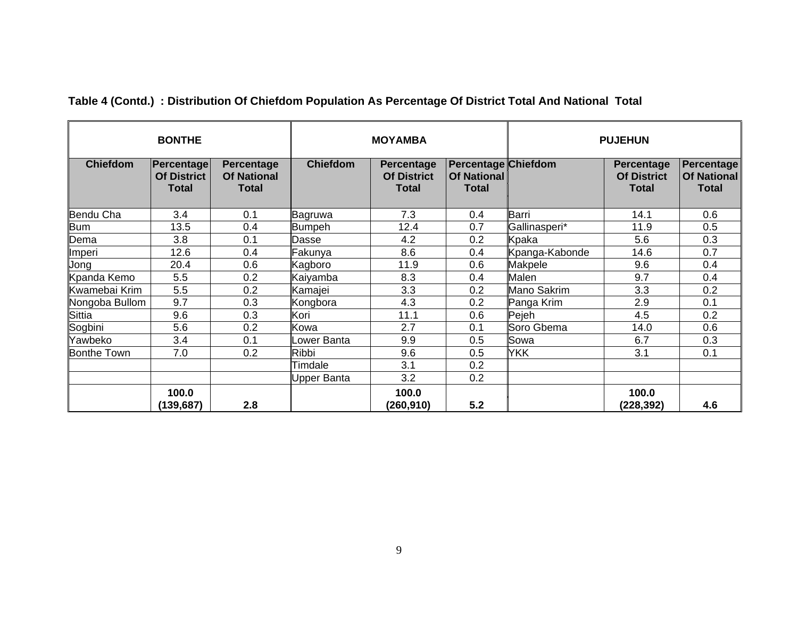|                 | <b>BONTHE</b>                                    |                                                         |                    | <b>MOYAMBA</b><br><b>PUJEHUN</b>                        |                                                                  |                |                                                         |                                                  |  |
|-----------------|--------------------------------------------------|---------------------------------------------------------|--------------------|---------------------------------------------------------|------------------------------------------------------------------|----------------|---------------------------------------------------------|--------------------------------------------------|--|
| <b>Chiefdom</b> | Percentage<br><b>Of District</b><br><b>Total</b> | <b>Percentage</b><br><b>Of National</b><br><b>Total</b> | <b>Chiefdom</b>    | <b>Percentage</b><br><b>Of District</b><br><b>Total</b> | <b>Percentage Chiefdom</b><br><b>Of National</b><br><b>Total</b> |                | <b>Percentage</b><br><b>Of District</b><br><b>Total</b> | Percentage<br><b>Of National</b><br><b>Total</b> |  |
| Bendu Cha       | 3.4                                              | 0.1                                                     | Bagruwa            | 7.3                                                     | 0.4                                                              | Barri          | 14.1                                                    | 0.6                                              |  |
| <b>Bum</b>      | 13.5                                             | 0.4                                                     | <b>Bumpeh</b>      | 12.4                                                    | 0.7                                                              | Gallinasperi*  | 11.9                                                    | 0.5                                              |  |
| Dema            | 3.8                                              | 0.1                                                     | Dasse              | 4.2                                                     | 0.2                                                              | Kpaka          | 5.6                                                     | 0.3                                              |  |
| Imperi          | 12.6                                             | 0.4                                                     | Fakunya            | 8.6                                                     | 0.4                                                              | Kpanga-Kabonde | 14.6                                                    | 0.7                                              |  |
| Jong            | 20.4                                             | 0.6                                                     | Kagboro            | 11.9                                                    | 0.6                                                              | <b>Makpele</b> | 9.6                                                     | 0.4                                              |  |
| Kpanda Kemo     | 5.5                                              | 0.2                                                     | Kaiyamba           | 8.3                                                     | 0.4                                                              | Malen          | 9.7                                                     | 0.4                                              |  |
| Kwamebai Krim   | 5.5                                              | 0.2                                                     | Kamajei            | 3.3                                                     | 0.2                                                              | Mano Sakrim    | 3.3                                                     | 0.2                                              |  |
| Nongoba Bullom  | 9.7                                              | 0.3                                                     | Kongbora           | 4.3                                                     | 0.2                                                              | Panga Krim     | 2.9                                                     | 0.1                                              |  |
| Sittia          | 9.6                                              | 0.3                                                     | Kori               | 11.1                                                    | 0.6                                                              | Pejeh          | 4.5                                                     | 0.2                                              |  |
| Sogbini         | 5.6                                              | 0.2                                                     | Kowa               | 2.7                                                     | 0.1                                                              | Soro Gbema     | 14.0                                                    | 0.6                                              |  |
| Yawbeko         | 3.4                                              | 0.1                                                     | Lower Banta        | 9.9                                                     | 0.5                                                              | Sowa           | 6.7                                                     | 0.3                                              |  |
| Bonthe Town     | 7.0                                              | 0.2                                                     | <b>Ribbi</b>       | 9.6                                                     | 0.5                                                              | <b>YKK</b>     | 3.1                                                     | 0.1                                              |  |
|                 |                                                  |                                                         | Timdale            | 3.1                                                     | 0.2                                                              |                |                                                         |                                                  |  |
|                 |                                                  |                                                         | <b>Upper Banta</b> | 3.2                                                     | 0.2                                                              |                |                                                         |                                                  |  |
|                 | 100.0<br>(139, 687)                              | 2.8                                                     |                    | 100.0<br>(260,910)                                      | 5.2                                                              |                | 100.0<br>(228,392)                                      | 4.6                                              |  |

# **Table 4 (Contd.) : Distribution Of Chiefdom Population As Percentage Of District Total And National Total**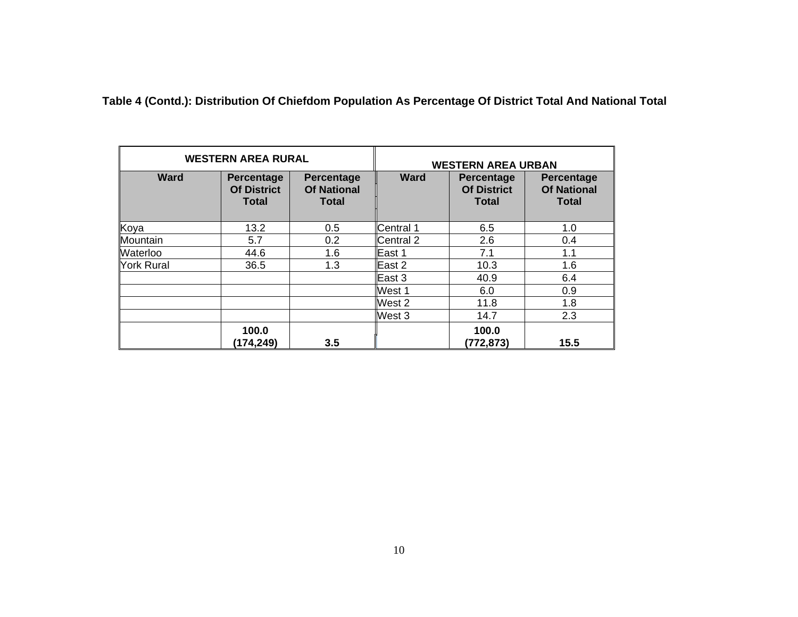**Table 4 (Contd.): Distribution Of Chiefdom Population As Percentage Of District Total And National Total** 

|                   | <b>WESTERN AREA RURAL</b>                               |                                                         |                   | <b>WESTERN AREA URBAN</b>                               |                                                         |  |  |
|-------------------|---------------------------------------------------------|---------------------------------------------------------|-------------------|---------------------------------------------------------|---------------------------------------------------------|--|--|
| <b>Ward</b>       | <b>Percentage</b><br><b>Of District</b><br><b>Total</b> | <b>Percentage</b><br><b>Of National</b><br><b>Total</b> | <b>Ward</b>       | <b>Percentage</b><br><b>Of District</b><br><b>Total</b> | <b>Percentage</b><br><b>Of National</b><br><b>Total</b> |  |  |
| Koya              | 13.2                                                    | 0.5                                                     | Central 1         | 6.5                                                     | 1.0                                                     |  |  |
| Mountain          | 5.7                                                     | 0.2                                                     | Central 2         | 2.6                                                     | 0.4                                                     |  |  |
| Waterloo          | 44.6                                                    | 1.6                                                     | lEast 1           | 7.1                                                     | 1.1                                                     |  |  |
| <b>York Rural</b> | 36.5                                                    | 1.3                                                     | East 2            | 10.3                                                    | 1.6                                                     |  |  |
|                   |                                                         |                                                         | $\mathsf{East} 3$ | 40.9                                                    | 6.4                                                     |  |  |
|                   |                                                         |                                                         | West 1            | 6.0                                                     | 0.9                                                     |  |  |
|                   |                                                         |                                                         | West 2            | 11.8                                                    | 1.8                                                     |  |  |
|                   |                                                         |                                                         | West 3            | 14.7                                                    | 2.3                                                     |  |  |
|                   | 100.0<br>(174,249)                                      | 3.5                                                     |                   | 100.0<br>(772, 873)                                     | 15.5                                                    |  |  |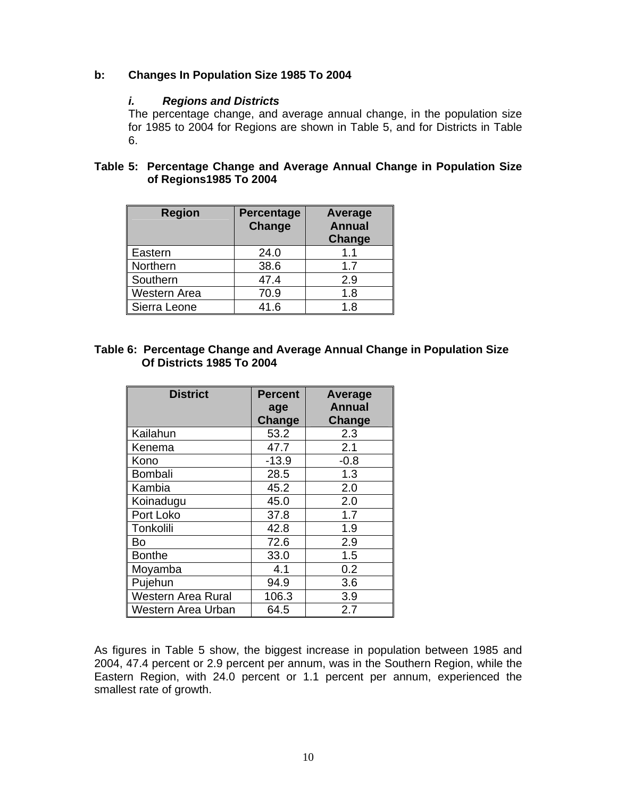#### **b: Changes In Population Size 1985 To 2004**

#### *i. Regions and Districts*

The percentage change, and average annual change, in the population size for 1985 to 2004 for Regions are shown in Table 5, and for Districts in Table 6.

#### **Table 5: Percentage Change and Average Annual Change in Population Size of Regions1985 To 2004**

| <b>Region</b> | Percentage<br>Change | Average<br><b>Annual</b><br>Change |
|---------------|----------------------|------------------------------------|
| Eastern       | 24.0                 | 1.1                                |
| Northern      | 38.6                 | 1.7                                |
| Southern      | 47.4                 | 2.9                                |
| Western Area  | 70.9                 | 1.8                                |
| Sierra Leone  | 41.6                 | 1.8                                |

#### **Table 6: Percentage Change and Average Annual Change in Population Size Of Districts 1985 To 2004**

| <b>District</b>           | <b>Percent</b> | Average       |
|---------------------------|----------------|---------------|
|                           | age            | <b>Annual</b> |
|                           | <b>Change</b>  | Change        |
| Kailahun                  | 53.2           | 2.3           |
| Kenema                    | 47.7           | 2.1           |
| Kono                      | $-13.9$        | $-0.8$        |
| <b>Bombali</b>            | 28.5           | 1.3           |
| Kambia                    | 45.2           | 2.0           |
| Koinadugu                 | 45.0           | 2.0           |
| Port Loko                 | 37.8           | 1.7           |
| Tonkolili                 | 42.8           | 1.9           |
| Bo                        | 72.6           | 2.9           |
| <b>Bonthe</b>             | 33.0           | 1.5           |
| Moyamba                   | 4.1            | 0.2           |
| Pujehun                   | 94.9           | 3.6           |
| <b>Western Area Rural</b> | 106.3          | 3.9           |
| Western Area Urban        | 64.5           | 2.7           |

As figures in Table 5 show, the biggest increase in population between 1985 and 2004, 47.4 percent or 2.9 percent per annum, was in the Southern Region, while the Eastern Region, with 24.0 percent or 1.1 percent per annum, experienced the smallest rate of growth.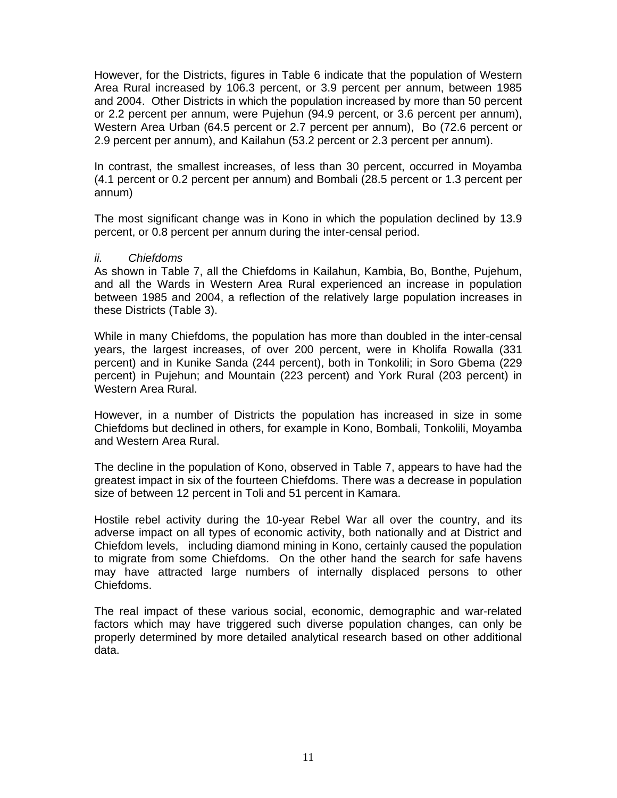However, for the Districts, figures in Table 6 indicate that the population of Western Area Rural increased by 106.3 percent, or 3.9 percent per annum, between 1985 and 2004. Other Districts in which the population increased by more than 50 percent or 2.2 percent per annum, were Pujehun (94.9 percent, or 3.6 percent per annum), Western Area Urban (64.5 percent or 2.7 percent per annum), Bo (72.6 percent or 2.9 percent per annum), and Kailahun (53.2 percent or 2.3 percent per annum).

In contrast, the smallest increases, of less than 30 percent, occurred in Moyamba (4.1 percent or 0.2 percent per annum) and Bombali (28.5 percent or 1.3 percent per annum)

The most significant change was in Kono in which the population declined by 13.9 percent, or 0.8 percent per annum during the inter-censal period.

#### *ii. Chiefdoms*

As shown in Table 7, all the Chiefdoms in Kailahun, Kambia, Bo, Bonthe, Pujehum, and all the Wards in Western Area Rural experienced an increase in population between 1985 and 2004, a reflection of the relatively large population increases in these Districts (Table 3).

While in many Chiefdoms, the population has more than doubled in the inter-censal years, the largest increases, of over 200 percent, were in Kholifa Rowalla (331 percent) and in Kunike Sanda (244 percent), both in Tonkolili; in Soro Gbema (229 percent) in Pujehun; and Mountain (223 percent) and York Rural (203 percent) in Western Area Rural.

However, in a number of Districts the population has increased in size in some Chiefdoms but declined in others, for example in Kono, Bombali, Tonkolili, Moyamba and Western Area Rural.

The decline in the population of Kono, observed in Table 7, appears to have had the greatest impact in six of the fourteen Chiefdoms. There was a decrease in population size of between 12 percent in Toli and 51 percent in Kamara.

Hostile rebel activity during the 10-year Rebel War all over the country, and its adverse impact on all types of economic activity, both nationally and at District and Chiefdom levels, including diamond mining in Kono, certainly caused the population to migrate from some Chiefdoms. On the other hand the search for safe havens may have attracted large numbers of internally displaced persons to other Chiefdoms.

The real impact of these various social, economic, demographic and war-related factors which may have triggered such diverse population changes, can only be properly determined by more detailed analytical research based on other additional data.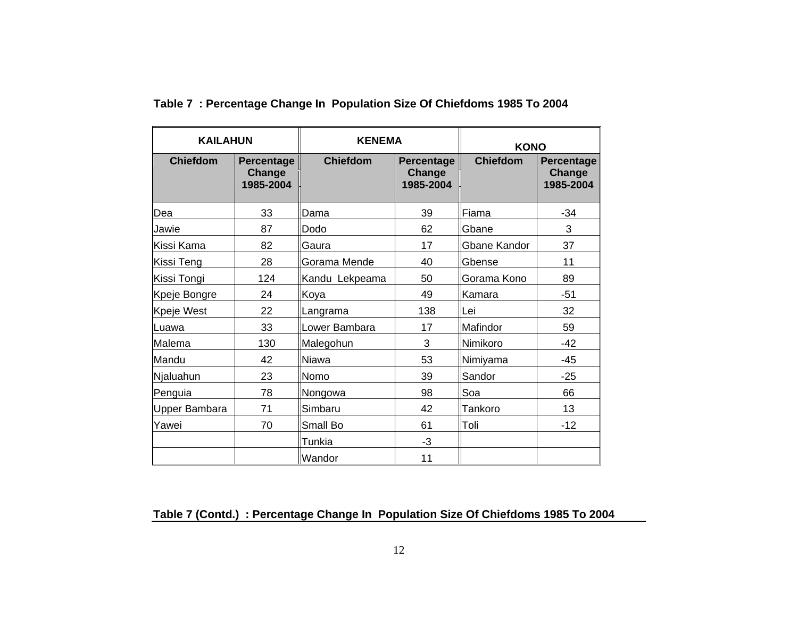| <b>KAILAHUN</b> |                                   | <b>KENEMA</b>   |                                   | <b>KONO</b>         |                                          |
|-----------------|-----------------------------------|-----------------|-----------------------------------|---------------------|------------------------------------------|
| <b>Chiefdom</b> | Percentage<br>Change<br>1985-2004 | <b>Chiefdom</b> | Percentage<br>Change<br>1985-2004 | <b>Chiefdom</b>     | <b>Percentage</b><br>Change<br>1985-2004 |
| Dea             | 33                                | Dama            | 39                                | Fiama               | $-34$                                    |
| Jawie           | 87                                | Dodo            | 62                                | <b>Gbane</b>        | 3                                        |
| Kissi Kama      | 82                                | Gaura           | 17                                | <b>Gbane Kandor</b> | 37                                       |
| Kissi Teng      | 28                                | Gorama Mende    | 40                                | <b>Gbense</b>       | 11                                       |
| Kissi Tongi     | 124                               | Kandu Lekpeama  | 50                                | Gorama Kono         | 89                                       |
| Kpeje Bongre    | 24                                | Koya            | 49                                | Kamara              | $-51$                                    |
| Kpeje West      | 22                                | Langrama        | 138                               | Lei                 | 32                                       |
| Luawa           | 33                                | Lower Bambara   | 17                                | Mafindor            | 59                                       |
| Malema          | 130                               | Malegohun       | 3                                 | Nimikoro            | $-42$                                    |
| Mandu           | 42                                | Niawa           | 53                                | Nimiyama            | $-45$                                    |
| Njaluahun       | 23                                | Nomo            | 39                                | Sandor              | $-25$                                    |
| Penguia         | 78                                | Nongowa         | 98                                | Soa                 | 66                                       |
| Upper Bambara   | 71                                | Simbaru         | 42                                | Tankoro             | 13                                       |
| Yawei           | 70                                | Small Bo        | 61                                | Toli                | $-12$                                    |
|                 |                                   | Tunkia          | $-3$                              |                     |                                          |
|                 |                                   | Wandor          | 11                                |                     |                                          |

**Table 7 : Percentage Change In Population Size Of Chiefdoms 1985 To 2004** 

## **Table 7 (Contd.) : Percentage Change In Population Size Of Chiefdoms 1985 To 2004**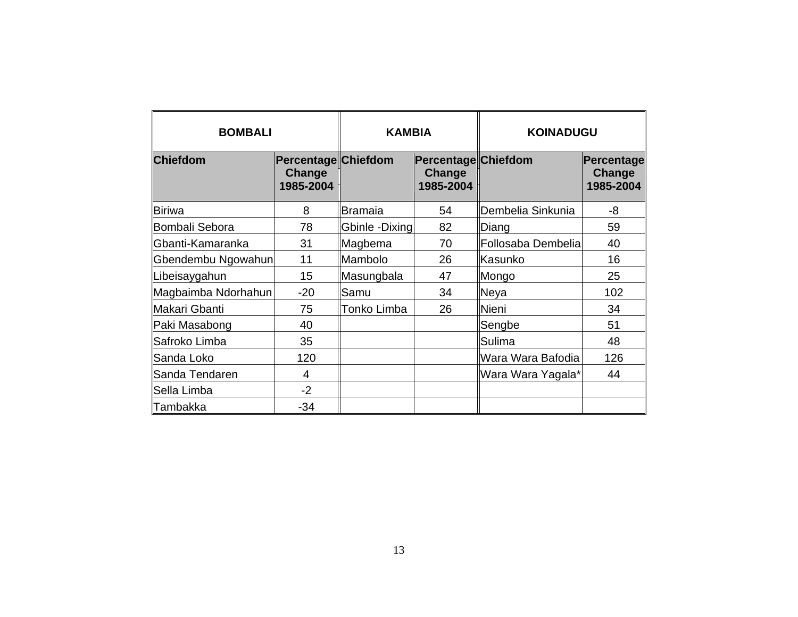| <b>BOMBALI</b>      | <b>KAMBIA</b>                              |                | <b>KOINADUGU</b>                                  |                    |                                   |
|---------------------|--------------------------------------------|----------------|---------------------------------------------------|--------------------|-----------------------------------|
| <b>Chiefdom</b>     | Percentage Chiefdom<br>Change<br>1985-2004 |                | Percentage Chiefdom<br><b>Change</b><br>1985-2004 |                    | Percentage<br>Change<br>1985-2004 |
| <b>Biriwa</b>       | 8                                          | Bramaia        | 54                                                | Dembelia Sinkunia  | -8                                |
| Bombali Sebora      | 78                                         | Gbinle -Dixing | 82                                                | Diang              | 59                                |
| Gbanti-Kamaranka    | 31                                         | Magbema        | 70                                                | Follosaba Dembelia | 40                                |
| Gbendembu Ngowahun  | 11                                         | Mambolo        | 26                                                | Kasunko            | 16                                |
| Libeisaygahun       | 15                                         | Masungbala     | 47                                                | Mongo              | 25                                |
| Magbaimba Ndorhahun | $-20$                                      | Samu           | 34                                                | Neya               | 102                               |
| Makari Gbanti       | 75                                         | Tonko Limba    | 26                                                | Nieni              | 34                                |
| Paki Masabong       | 40                                         |                |                                                   | Sengbe             | 51                                |
| Safroko Limba       | 35                                         |                |                                                   | Sulima             | 48                                |
| Sanda Loko          | 120                                        |                |                                                   | Wara Wara Bafodia  | 126                               |
| Sanda Tendaren      | 4                                          |                |                                                   | Wara Wara Yagala*  | 44                                |
| Sella Limba         | $-2$                                       |                |                                                   |                    |                                   |
| Tambakka            | $-34$                                      |                |                                                   |                    |                                   |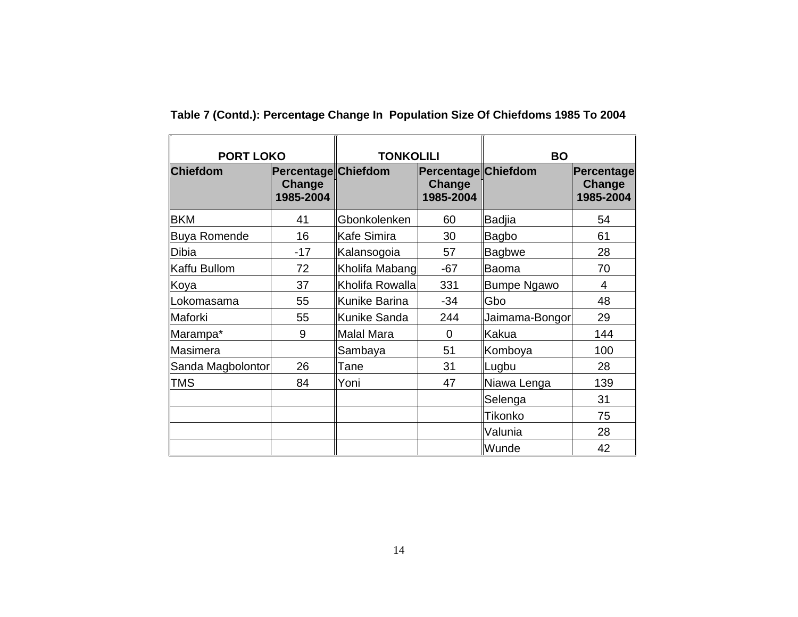| <b>PORT LOKO</b>    |                                            | <b>TONKOLILI</b> |                                                   | <b>BO</b>          |                                   |  |
|---------------------|--------------------------------------------|------------------|---------------------------------------------------|--------------------|-----------------------------------|--|
| <b>Chiefdom</b>     | Percentage Chiefdom<br>Change<br>1985-2004 |                  | <b>Percentage Chiefdom</b><br>Change<br>1985-2004 |                    | Percentage<br>Change<br>1985-2004 |  |
| <b>BKM</b>          | 41                                         | Gbonkolenken     | 60                                                | <b>Badjia</b>      | 54                                |  |
| <b>Buya Romende</b> | 16                                         | Kafe Simira      | 30                                                | Bagbo              | 61                                |  |
| <b>Dibia</b>        | $-17$                                      | Kalansogoia      | 57                                                | <b>Bagbwe</b>      | 28                                |  |
| Kaffu Bullom        | 72                                         | Kholifa Mabang   | $-67$                                             | Baoma              | 70                                |  |
| Koya                | 37                                         | Kholifa Rowalla  | 331                                               | <b>Bumpe Ngawo</b> | 4                                 |  |
| Lokomasama          | 55                                         | Kunike Barina    | $-34$                                             | Gbo                | 48                                |  |
| Maforki             | 55                                         | Kunike Sanda     | 244                                               | Jaimama-Bongor     | 29                                |  |
| Marampa*            | 9                                          | Malal Mara       | $\Omega$                                          | Kakua              | 144                               |  |
| Masimera            |                                            | Sambaya          | 51                                                | Komboya            | 100                               |  |
| Sanda Magbolontor   | 26                                         | Tane             | 31                                                | Lugbu              | 28                                |  |
| <b>TMS</b>          | 84                                         | Yoni             | 47                                                | Niawa Lenga        | 139                               |  |
|                     |                                            |                  |                                                   | Selenga            | 31                                |  |
|                     |                                            |                  |                                                   | Tikonko            | 75                                |  |
|                     |                                            |                  |                                                   | Valunia            | 28                                |  |
|                     |                                            |                  |                                                   | Wunde              | 42                                |  |

**Table 7 (Contd.): Percentage Change In Population Size Of Chiefdoms 1985 To 2004**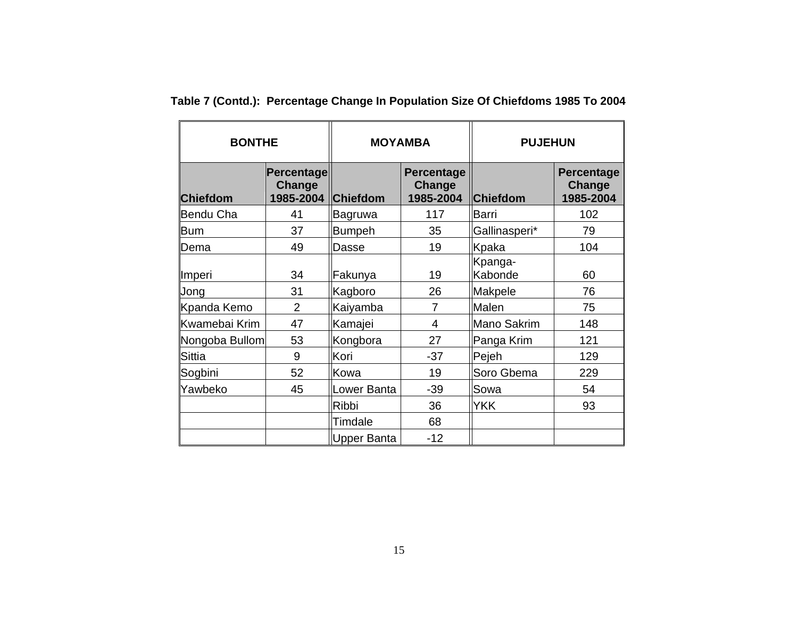| <b>BONTHE</b>   |                                   |                 | <b>MOYAMBA</b>                           | <b>PUJEHUN</b>     |                                   |  |
|-----------------|-----------------------------------|-----------------|------------------------------------------|--------------------|-----------------------------------|--|
| <b>Chiefdom</b> | Percentage<br>Change<br>1985-2004 | <b>Chiefdom</b> | <b>Percentage</b><br>Change<br>1985-2004 | <b>Chiefdom</b>    | Percentage<br>Change<br>1985-2004 |  |
| Bendu Cha       | 41                                | <b>Bagruwa</b>  | 117                                      | Barri              | 102                               |  |
| <b>Bum</b>      | 37                                | Bumpeh          | 35                                       | Gallinasperi*      | 79                                |  |
| Dema            | 49                                | Dasse           | 19                                       | Kpaka              | 104                               |  |
| Imperi          | 34                                | Fakunya         | 19                                       | Kpanga-<br>Kabonde | 60                                |  |
| Jong            | 31                                | Kagboro         | 26                                       | Makpele            | 76                                |  |
| Kpanda Kemo     | $\overline{2}$                    | Kaiyamba        | 7                                        | Malen              | 75                                |  |
| Kwamebai Krim   | 47                                | Kamajei         | 4                                        | Mano Sakrim        | 148                               |  |
| Nongoba Bullom  | 53                                | Kongbora        | 27                                       | Panga Krim         | 121                               |  |
| <b>Sittia</b>   | 9                                 | Kori            | $-37$                                    | Pejeh              | 129                               |  |
| Sogbini         | 52                                | Kowa            | 19                                       | Soro Gbema         | 229                               |  |
| Yawbeko         | 45                                | Lower Banta     | $-39$                                    | Sowa               | 54                                |  |
|                 |                                   | <b>Ribbi</b>    | 36                                       | <b>YKK</b>         | 93                                |  |
|                 |                                   | Timdale         | 68                                       |                    |                                   |  |
|                 |                                   | Upper Banta     | $-12$                                    |                    |                                   |  |

**Table 7 (Contd.): Percentage Change In Population Size Of Chiefdoms 1985 To 2004**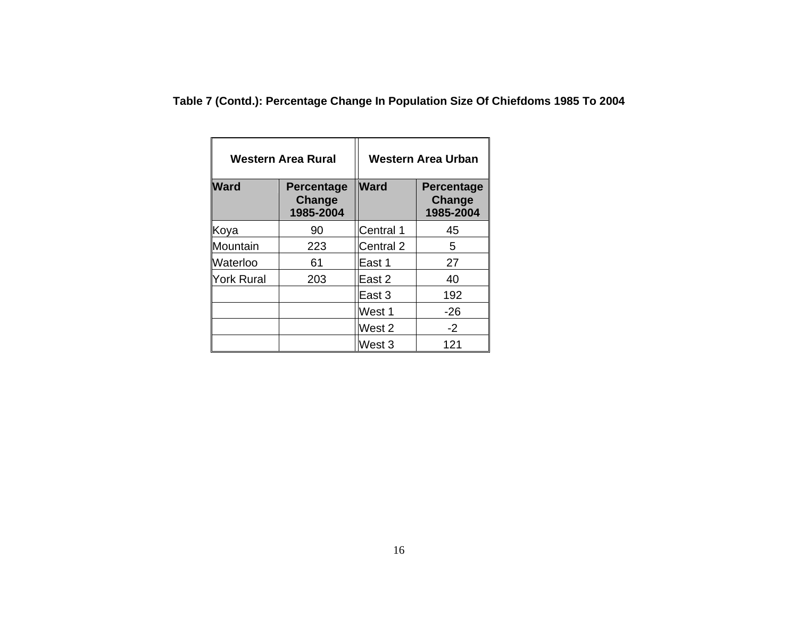**Table 7 (Contd.): Percentage Change In Population Size Of Chiefdoms 1985 To 2004** 

|             | Western Area Rural                       | Western Area Urban |                                          |  |
|-------------|------------------------------------------|--------------------|------------------------------------------|--|
| <b>Ward</b> | <b>Percentage</b><br>Change<br>1985-2004 | <b>Ward</b>        | <b>Percentage</b><br>Change<br>1985-2004 |  |
| Koya        | 90                                       | Central 1          | 45                                       |  |
| Mountain    | 223                                      | Central 2          | 5                                        |  |
| Waterloo    | 61                                       | East 1             | 27                                       |  |
| York Rural  | 203                                      | East 2             | 40                                       |  |
|             |                                          | East 3             | 192                                      |  |
|             |                                          | West 1             | $-26$                                    |  |
|             |                                          | West 2             | $-2$                                     |  |
|             |                                          | West 3             | 121                                      |  |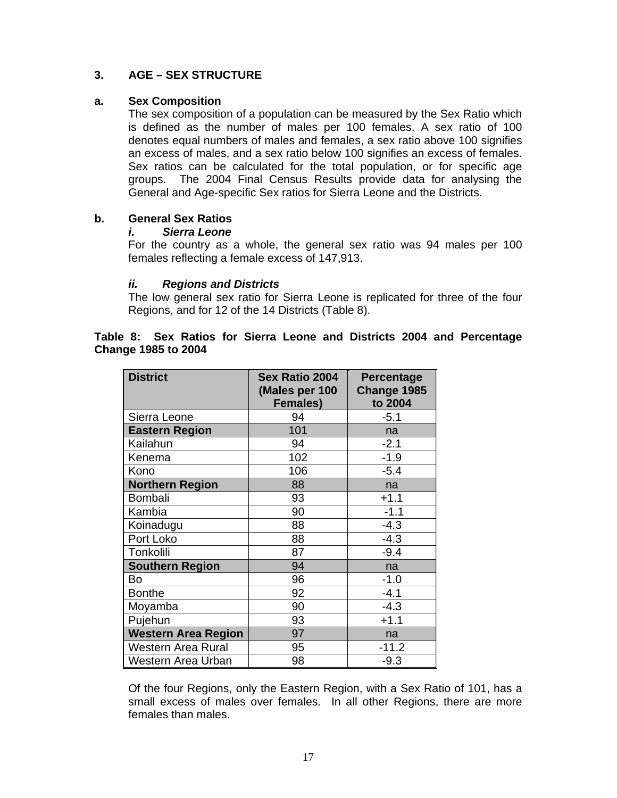#### **3. AGE – SEX STRUCTURE**

#### **a. Sex Composition**

The sex composition of a population can be measured by the Sex Ratio which is defined as the number of males per 100 females. A sex ratio of 100 denotes equal numbers of males and females, a sex ratio above 100 signifies an excess of males, and a sex ratio below 100 signifies an excess of females. Sex ratios can be calculated for the total population, or for specific age groups. The 2004 Final Census Results provide data for analysing the General and Age-specific Sex ratios for Sierra Leone and the Districts.

#### **b. General Sex Ratios**

#### *i. Sierra Leone*

For the country as a whole, the general sex ratio was 94 males per 100 females reflecting a female excess of 147,913.

#### *ii. Regions and Districts*

The low general sex ratio for Sierra Leone is replicated for three of the four Regions, and for 12 of the 14 Districts (Table 8).

#### **Table 8: Sex Ratios for Sierra Leone and Districts 2004 and Percentage Change 1985 to 2004**

| <b>District</b>            | <b>Sex Ratio 2004</b><br>(Males per 100<br><b>Females)</b> | <b>Percentage</b><br>Change 1985<br>to 2004 |
|----------------------------|------------------------------------------------------------|---------------------------------------------|
| Sierra Leone               | 94                                                         | $-5.1$                                      |
| <b>Eastern Region</b>      | 101                                                        | na                                          |
| Kailahun                   | 94                                                         | $-2.1$                                      |
| Kenema                     | 102                                                        | $-1.9$                                      |
| Kono                       | 106                                                        | $-5.4$                                      |
| <b>Northern Region</b>     | 88                                                         | na                                          |
| Bombali                    | 93                                                         | $+1.1$                                      |
| Kambia                     | 90                                                         | $-1.1$                                      |
| Koinadugu                  | 88                                                         | $-4.3$                                      |
| Port Loko                  | 88                                                         | $-4.3$                                      |
| Tonkolili                  | 87                                                         | $-9.4$                                      |
| <b>Southern Region</b>     | 94                                                         | na                                          |
| Bo                         | 96                                                         | $-1.0$                                      |
| <b>Bonthe</b>              | 92                                                         | $-4.1$                                      |
| Moyamba                    | 90                                                         | $-4.3$                                      |
| Pujehun                    | 93                                                         | $+1.1$                                      |
| <b>Western Area Region</b> | 97                                                         | na                                          |
| Western Area Rural         | 95                                                         | $-11.2$                                     |
| Western Area Urban         | 98                                                         | $-9.3$                                      |

Of the four Regions, only the Eastern Region, with a Sex Ratio of 101, has a small excess of males over females. In all other Regions, there are more females than males.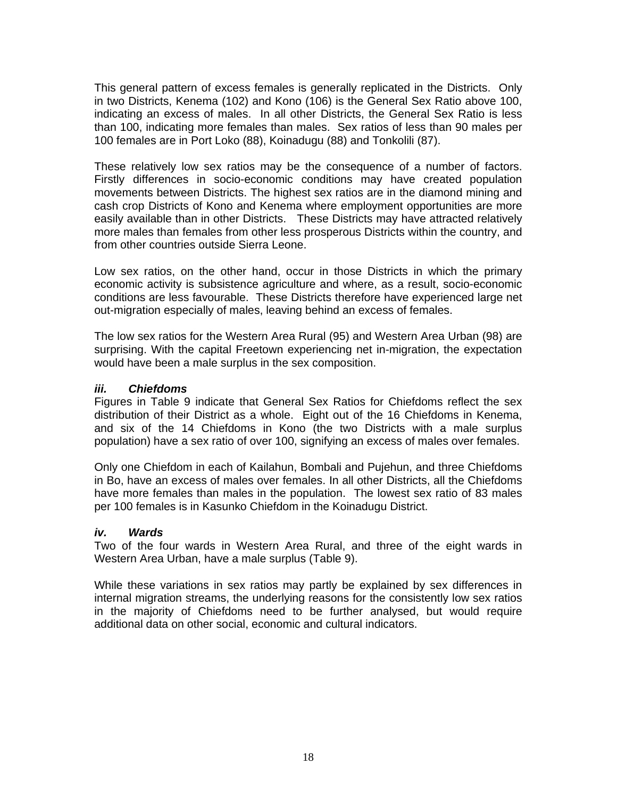This general pattern of excess females is generally replicated in the Districts. Only in two Districts, Kenema (102) and Kono (106) is the General Sex Ratio above 100, indicating an excess of males. In all other Districts, the General Sex Ratio is less than 100, indicating more females than males. Sex ratios of less than 90 males per 100 females are in Port Loko (88), Koinadugu (88) and Tonkolili (87).

These relatively low sex ratios may be the consequence of a number of factors. Firstly differences in socio-economic conditions may have created population movements between Districts. The highest sex ratios are in the diamond mining and cash crop Districts of Kono and Kenema where employment opportunities are more easily available than in other Districts. These Districts may have attracted relatively more males than females from other less prosperous Districts within the country, and from other countries outside Sierra Leone.

Low sex ratios, on the other hand, occur in those Districts in which the primary economic activity is subsistence agriculture and where, as a result, socio-economic conditions are less favourable. These Districts therefore have experienced large net out-migration especially of males, leaving behind an excess of females.

The low sex ratios for the Western Area Rural (95) and Western Area Urban (98) are surprising. With the capital Freetown experiencing net in-migration, the expectation would have been a male surplus in the sex composition.

#### *iii. Chiefdoms*

Figures in Table 9 indicate that General Sex Ratios for Chiefdoms reflect the sex distribution of their District as a whole. Eight out of the 16 Chiefdoms in Kenema, and six of the 14 Chiefdoms in Kono (the two Districts with a male surplus population) have a sex ratio of over 100, signifying an excess of males over females.

Only one Chiefdom in each of Kailahun, Bombali and Pujehun, and three Chiefdoms in Bo, have an excess of males over females. In all other Districts, all the Chiefdoms have more females than males in the population. The lowest sex ratio of 83 males per 100 females is in Kasunko Chiefdom in the Koinadugu District.

#### *iv. Wards*

Two of the four wards in Western Area Rural, and three of the eight wards in Western Area Urban, have a male surplus (Table 9).

While these variations in sex ratios may partly be explained by sex differences in internal migration streams, the underlying reasons for the consistently low sex ratios in the majority of Chiefdoms need to be further analysed, but would require additional data on other social, economic and cultural indicators.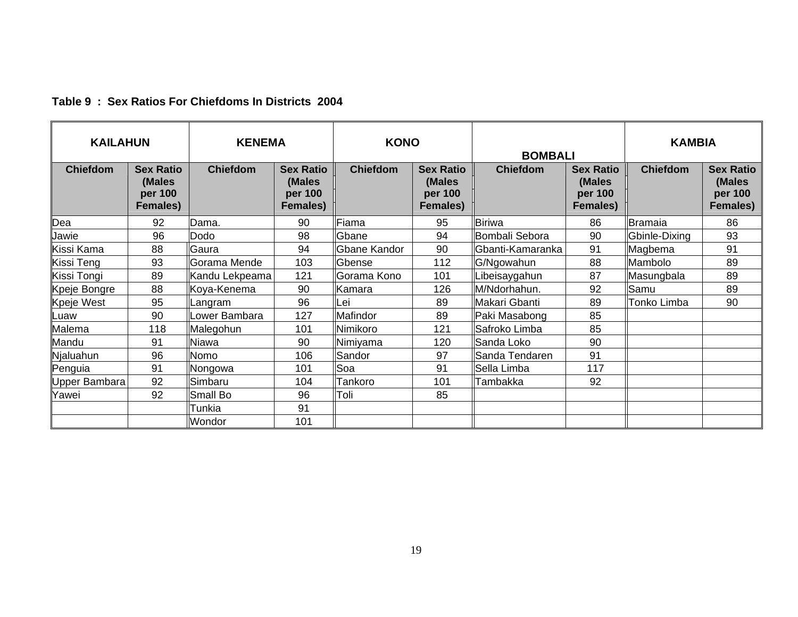| <b>KAILAHUN</b> |                                                          | <b>KENEMA</b>   |                                                          |                 | <b>KONO</b><br><b>BOMBALI</b>                            |                  |                                                          | <b>KAMBIA</b>   |                                                   |
|-----------------|----------------------------------------------------------|-----------------|----------------------------------------------------------|-----------------|----------------------------------------------------------|------------------|----------------------------------------------------------|-----------------|---------------------------------------------------|
| <b>Chiefdom</b> | <b>Sex Ratio</b><br>(Males<br>per 100<br><b>Females)</b> | <b>Chiefdom</b> | <b>Sex Ratio</b><br>(Males<br>per 100<br><b>Females)</b> | <b>Chiefdom</b> | <b>Sex Ratio</b><br>(Males<br>per 100<br><b>Females)</b> | <b>Chiefdom</b>  | <b>Sex Ratio</b><br>(Males<br>per 100<br><b>Females)</b> | <b>Chiefdom</b> | <b>Sex Ratio</b><br>(Males<br>per 100<br>Females) |
| Dea             | 92                                                       | Dama.           | 90                                                       | Fiama           | 95                                                       | Biriwa           | 86                                                       | Bramaia         | 86                                                |
| Jawie           | 96                                                       | Dodo            | 98                                                       | Gbane           | 94                                                       | Bombali Sebora   | 90                                                       | Gbinle-Dixing   | 93                                                |
| Kissi Kama      | 88                                                       | Gaura           | 94                                                       | Gbane Kandor    | 90                                                       | Gbanti-Kamaranka | 91                                                       | Magbema         | 91                                                |
| Kissi Teng      | 93                                                       | Gorama Mende    | 103                                                      | Gbense          | 112                                                      | G/Ngowahun       | 88                                                       | Mambolo         | 89                                                |
| Kissi Tongi     | 89                                                       | Kandu Lekpeama  | 121                                                      | Gorama Kono     | 101                                                      | ibeisaygahun     | 87                                                       | Masungbala      | 89                                                |
| Kpeje Bongre    | 88                                                       | Koya-Kenema     | 90                                                       | Kamara          | 126                                                      | M/Ndorhahun.     | 92                                                       | Samu            | 89                                                |
| Kpeje West      | 95                                                       | Langram         | 96                                                       | Lei             | 89                                                       | Makari Gbanti    | 89                                                       | Tonko Limba     | 90                                                |
| Luaw            | 90                                                       | Lower Bambara   | 127                                                      | Mafindor        | 89                                                       | Paki Masabong    | 85                                                       |                 |                                                   |
| Malema          | 118                                                      | Malegohun       | 101                                                      | Nimikoro        | 121                                                      | Safroko Limba    | 85                                                       |                 |                                                   |
| Mandu           | 91                                                       | <b>Niawa</b>    | 90                                                       | Nimiyama        | 120                                                      | Sanda Loko       | 90                                                       |                 |                                                   |
| Njaluahun       | 96                                                       | Nomo            | 106                                                      | Sandor          | 97                                                       | Sanda Tendaren   | 91                                                       |                 |                                                   |
| Penguia         | 91                                                       | Nongowa         | 101                                                      | Soa             | 91                                                       | Sella Limba      | 117                                                      |                 |                                                   |
| Upper Bambara   | 92                                                       | Simbaru         | 104                                                      | Tankoro         | 101                                                      | Tambakka         | 92                                                       |                 |                                                   |
| Yawei           | 92                                                       | Small Bo        | 96                                                       | Toli            | 85                                                       |                  |                                                          |                 |                                                   |
|                 |                                                          | Tunkia          | 91                                                       |                 |                                                          |                  |                                                          |                 |                                                   |
|                 |                                                          | Wondor          | 101                                                      |                 |                                                          |                  |                                                          |                 |                                                   |

#### **Table 9 : Sex Ratios For Chiefdoms In Districts 2004**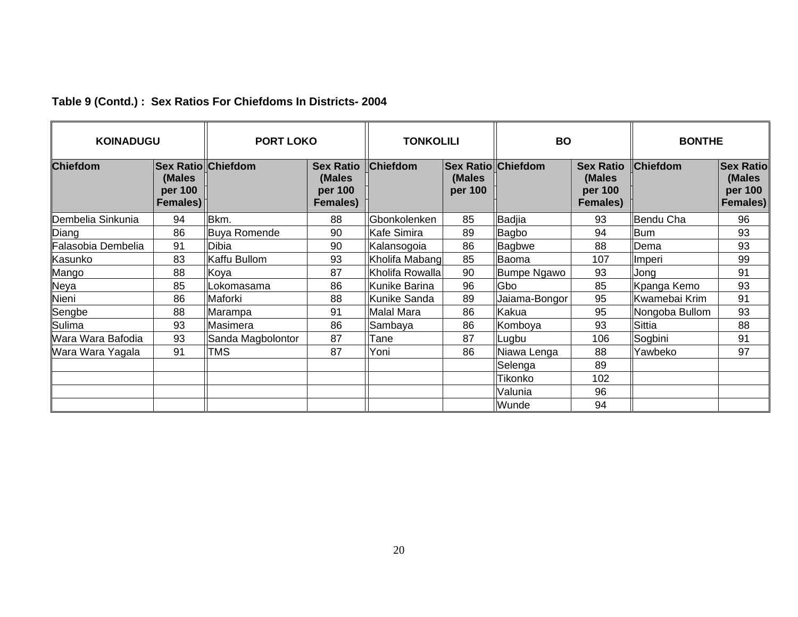| <b>KOINADUGU</b>   |                               | <b>PORT LOKO</b>          | <b>BO</b><br><b>TONKOLILI</b>                     |                   |                                                |                    | <b>BONTHE</b>                                            |                 |                                                   |
|--------------------|-------------------------------|---------------------------|---------------------------------------------------|-------------------|------------------------------------------------|--------------------|----------------------------------------------------------|-----------------|---------------------------------------------------|
| <b>Chiefdom</b>    | (Males<br>per 100<br>Females) | <b>Sex Ratio Chiefdom</b> | <b>Sex Ratio</b><br>(Males<br>per 100<br>Females) | <b>Chiefdom</b>   | <b>Sex Ratio Chiefdom</b><br>(Males<br>per 100 |                    | <b>Sex Ratio</b><br>(Males<br>per 100<br><b>Females)</b> | <b>Chiefdom</b> | <b>Sex Ratio</b><br>(Males<br>per 100<br>Females) |
| Dembelia Sinkunia  | 94                            | Bkm.                      | 88                                                | Gbonkolenken      | 85                                             | Badjia             | 93                                                       | Bendu Cha       | 96                                                |
| Diang              | 86                            | Buya Romende              | 90                                                | Kafe Simira       | 89                                             | <b>Bagbo</b>       | 94                                                       | <b>Bum</b>      | 93                                                |
| Falasobia Dembelia | 91                            | Dibia                     | 90                                                | Kalansogoia       | 86                                             | Bagbwe             | 88                                                       | Dema            | 93                                                |
| Kasunko            | 83                            | Kaffu Bullom              | 93                                                | Kholifa Mabang    | 85                                             | Baoma              | 107                                                      | Imperi          | 99                                                |
| Mango              | 88                            | Koya                      | 87                                                | Kholifa Rowalla   | 90                                             | <b>Bumpe Ngawo</b> | 93                                                       | Jong            | 91                                                |
| Veya               | 85                            | _okomasama                | 86                                                | Kunike Barina     | 96                                             | Gbo                | 85                                                       | Kpanga Kemo     | 93                                                |
| Vieni              | 86                            | Maforki                   | 88                                                | Kunike Sanda      | 89                                             | Jaiama-Bongor      | 95                                                       | Kwamebai Krim   | 91                                                |
| Sengbe             | 88                            | Marampa                   | 91                                                | <b>Malal Mara</b> | 86                                             | Kakua              | 95                                                       | Nongoba Bullom  | 93                                                |
| Sulima             | 93                            | Masimera                  | 86                                                | Sambaya           | 86                                             | Komboya            | 93                                                       | Sittia          | 88                                                |
| Wara Wara Bafodia  | 93                            | Sanda Magbolontor         | 87                                                | Tane              | 87                                             | Lugbu              | 106                                                      | Sogbini         | 91                                                |
| Wara Wara Yagala   | 91                            | <b>TMS</b>                | 87                                                | Yoni              | 86                                             | Niawa Lenga        | 88                                                       | Yawbeko         | 97                                                |
|                    |                               |                           |                                                   |                   |                                                | Selenga            | 89                                                       |                 |                                                   |
|                    |                               |                           |                                                   |                   |                                                | Tikonko            | 102                                                      |                 |                                                   |
|                    |                               |                           |                                                   |                   |                                                | Valunia            | 96                                                       |                 |                                                   |
|                    |                               |                           |                                                   |                   |                                                | Wunde              | 94                                                       |                 |                                                   |

#### **Table 9 (Contd.) : Sex Ratios For Chiefdoms In Districts- 2004**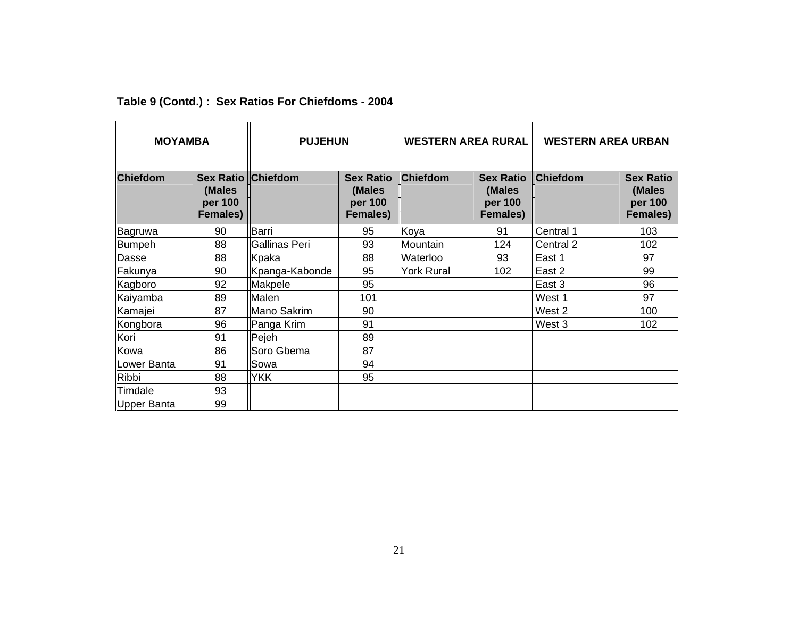| <b>MOYAMBA</b>  |                                      | <b>PUJEHUN</b>            |                                                          | <b>WESTERN AREA RURAL</b> |                                                   | <b>WESTERN AREA URBAN</b> |                                                          |
|-----------------|--------------------------------------|---------------------------|----------------------------------------------------------|---------------------------|---------------------------------------------------|---------------------------|----------------------------------------------------------|
| <b>Chiefdom</b> | (Males<br>per 100<br><b>Females)</b> | <b>Sex Ratio Chiefdom</b> | <b>Sex Ratio</b><br>(Males<br>per 100<br><b>Females)</b> | Chiefdom                  | <b>Sex Ratio</b><br>(Males<br>per 100<br>Females) | <b>Chiefdom</b>           | <b>Sex Ratio</b><br>(Males<br>per 100<br><b>Females)</b> |
| Bagruwa         | 90                                   | Barri                     | 95                                                       | Koya                      | 91                                                | Central 1                 | 103                                                      |
| Bumpeh          | 88                                   | Gallinas Peri             | 93                                                       | Mountain                  | 124                                               | Central 2                 | 102                                                      |
| Dasse           | 88                                   | Kpaka                     | 88                                                       | <b>Waterloo</b>           | 93                                                | East 1                    | 97                                                       |
| Fakunya         | 90                                   | Kpanga-Kabonde            | 95                                                       | <b>York Rural</b>         | 102                                               | East 2                    | 99                                                       |
| Kagboro         | 92                                   | Makpele                   | 95                                                       |                           |                                                   | East 3                    | 96                                                       |
| Kaiyamba        | 89                                   | Malen                     | 101                                                      |                           |                                                   | West 1                    | 97                                                       |
| Kamajei         | 87                                   | Mano Sakrim               | 90                                                       |                           |                                                   | West 2                    | 100                                                      |
| Kongbora        | 96                                   | Panga Krim                | 91                                                       |                           |                                                   | West 3                    | 102                                                      |
| Kori            | 91                                   | Pejeh                     | 89                                                       |                           |                                                   |                           |                                                          |
| Kowa            | 86                                   | Soro Gbema                | 87                                                       |                           |                                                   |                           |                                                          |
| Lower Banta     | 91                                   | Sowa                      | 94                                                       |                           |                                                   |                           |                                                          |
| <b>Ribbi</b>    | 88                                   | <b>YKK</b>                | 95                                                       |                           |                                                   |                           |                                                          |
| Timdale         | 93                                   |                           |                                                          |                           |                                                   |                           |                                                          |
| Upper Banta     | 99                                   |                           |                                                          |                           |                                                   |                           |                                                          |

#### **Table 9 (Contd.) : Sex Ratios For Chiefdoms - 2004**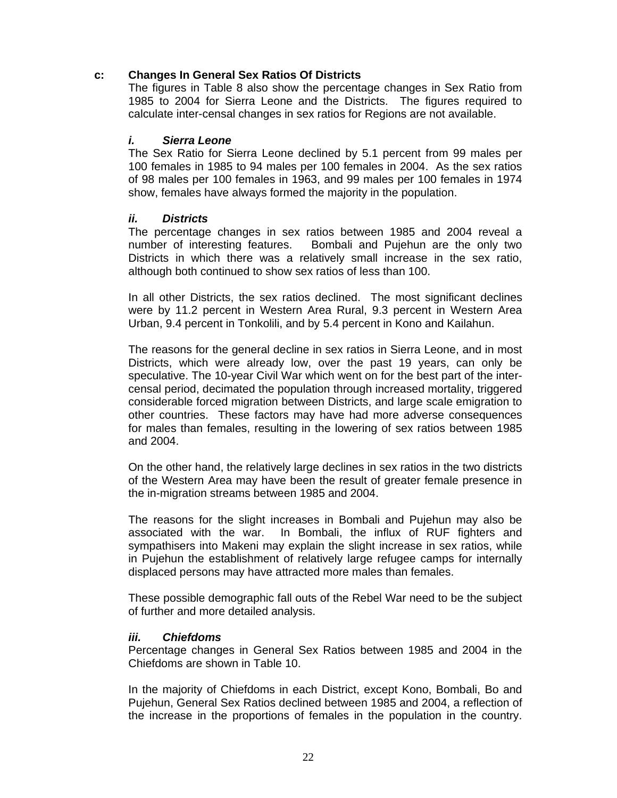#### **c: Changes In General Sex Ratios Of Districts**

The figures in Table 8 also show the percentage changes in Sex Ratio from 1985 to 2004 for Sierra Leone and the Districts. The figures required to calculate inter-censal changes in sex ratios for Regions are not available.

#### *i. Sierra Leone*

The Sex Ratio for Sierra Leone declined by 5.1 percent from 99 males per 100 females in 1985 to 94 males per 100 females in 2004. As the sex ratios of 98 males per 100 females in 1963, and 99 males per 100 females in 1974 show, females have always formed the majority in the population.

#### *ii. Districts*

The percentage changes in sex ratios between 1985 and 2004 reveal a number of interesting features. Bombali and Pujehun are the only two Districts in which there was a relatively small increase in the sex ratio, although both continued to show sex ratios of less than 100.

In all other Districts, the sex ratios declined. The most significant declines were by 11.2 percent in Western Area Rural, 9.3 percent in Western Area Urban, 9.4 percent in Tonkolili, and by 5.4 percent in Kono and Kailahun.

The reasons for the general decline in sex ratios in Sierra Leone, and in most Districts, which were already low, over the past 19 years, can only be speculative. The 10-year Civil War which went on for the best part of the intercensal period, decimated the population through increased mortality, triggered considerable forced migration between Districts, and large scale emigration to other countries. These factors may have had more adverse consequences for males than females, resulting in the lowering of sex ratios between 1985 and 2004.

On the other hand, the relatively large declines in sex ratios in the two districts of the Western Area may have been the result of greater female presence in the in-migration streams between 1985 and 2004.

The reasons for the slight increases in Bombali and Pujehun may also be associated with the war. In Bombali, the influx of RUF fighters and sympathisers into Makeni may explain the slight increase in sex ratios, while in Pujehun the establishment of relatively large refugee camps for internally displaced persons may have attracted more males than females.

These possible demographic fall outs of the Rebel War need to be the subject of further and more detailed analysis.

#### *iii. Chiefdoms*

Percentage changes in General Sex Ratios between 1985 and 2004 in the Chiefdoms are shown in Table 10.

In the majority of Chiefdoms in each District, except Kono, Bombali, Bo and Pujehun, General Sex Ratios declined between 1985 and 2004, a reflection of the increase in the proportions of females in the population in the country.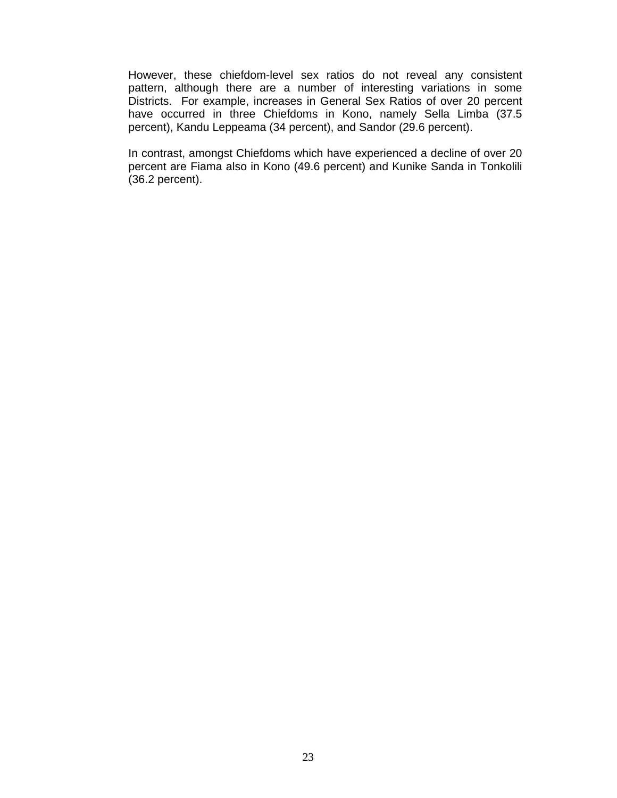However, these chiefdom-level sex ratios do not reveal any consistent pattern, although there are a number of interesting variations in some Districts. For example, increases in General Sex Ratios of over 20 percent have occurred in three Chiefdoms in Kono, namely Sella Limba (37.5 percent), Kandu Leppeama (34 percent), and Sandor (29.6 percent).

In contrast, amongst Chiefdoms which have experienced a decline of over 20 percent are Fiama also in Kono (49.6 percent) and Kunike Sanda in Tonkolili (36.2 percent).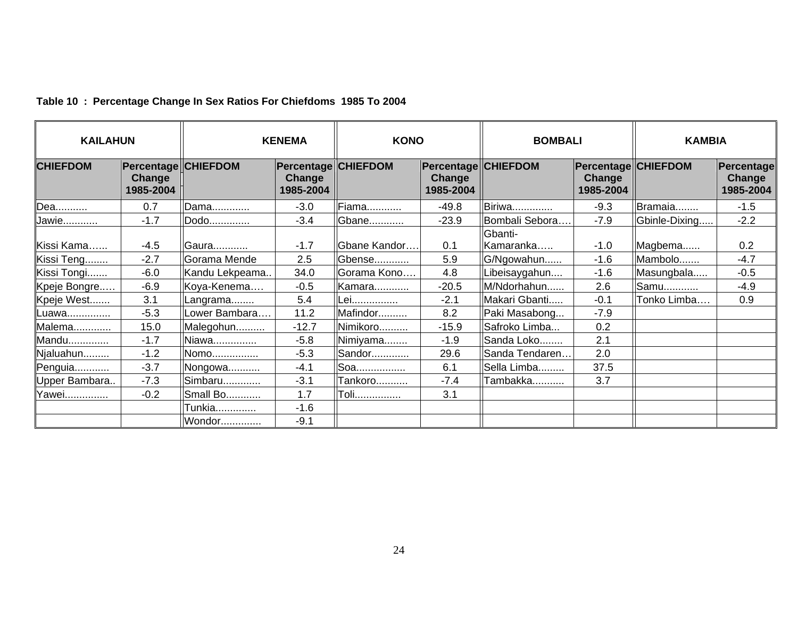| <b>KAILAHUN</b> |                                                   | <b>KENEMA</b>  |                                                   | <b>KONO</b>    |                                                   | <b>BOMBALI</b>       |                                                   | <b>KAMBIA</b> |                                   |
|-----------------|---------------------------------------------------|----------------|---------------------------------------------------|----------------|---------------------------------------------------|----------------------|---------------------------------------------------|---------------|-----------------------------------|
| <b>CHIEFDOM</b> | <b>Percentage CHIEFDOM</b><br>Change<br>1985-2004 |                | <b>Percentage CHIEFDOM</b><br>Change<br>1985-2004 |                | <b>Percentage CHIEFDOM</b><br>Change<br>1985-2004 |                      | <b>Percentage CHIEFDOM</b><br>Change<br>1985-2004 |               | Percentage<br>Change<br>1985-2004 |
| Dea             | 0.7                                               | Dama           | $-3.0$                                            | <b>IFiama.</b> | $-49.8$                                           | Biriwa               | $-9.3$                                            | Bramaia       | $-1.5$                            |
| Jawie           | $-1.7$                                            | Dodo           | $-3.4$                                            | Gbane          | $-23.9$                                           | Bombali Sebora       | $-7.9$                                            | Gbinle-Dixing | $-2.2$                            |
| Kissi Kama      | $-4.5$                                            | Gaura          | $-1.7$                                            | Gbane Kandor   | 0.1                                               | Gbanti-<br>Kamaranka | $-1.0$                                            | Magbema       | 0.2                               |
| Kissi Teng      | $-2.7$                                            | Gorama Mende   | 2.5                                               | Gbense         | 5.9                                               | G/Ngowahun           | $-1.6$                                            | Mambolo       | $-4.7$                            |
| Kissi Tongi     | $-6.0$                                            | Kandu Lekpeama | 34.0                                              | Gorama Kono    | 4.8                                               | Libeisaygahun        | $-1.6$                                            | Masungbala    | $-0.5$                            |
| Kpeje Bongre    | $-6.9$                                            | Koya-Kenema    | $-0.5$                                            | Kamara         | $-20.5$                                           | M/Ndorhahun          | 2.6                                               | Samu          | $-4.9$                            |
| Kpeje West      | 3.1                                               | Langrama       | 5.4                                               | Lei            | $-2.1$                                            | Makari Gbanti        | $-0.1$                                            | Tonko Limba   | 0.9                               |
| Luawa           | $-5.3$                                            | _ower Bambara  | 11.2                                              | Mafindor       | 8.2                                               | Paki Masabong        | $-7.9$                                            |               |                                   |
| Malema          | 15.0                                              | Malegohun      | $-12.7$                                           | Nimikoro       | $-15.9$                                           | Safroko Limba        | 0.2                                               |               |                                   |
| Mandu           | $-1.7$                                            | Niawa          | $-5.8$                                            | Nimiyama       | $-1.9$                                            | Sanda Loko           | 2.1                                               |               |                                   |
| Njaluahun       | $-1.2$                                            | Nomo           | $-5.3$                                            | Sandor         | 29.6                                              | Sanda Tendaren       | 2.0                                               |               |                                   |
| Penguia         | $-3.7$                                            | Nongowa        | $-4.1$                                            | Soa            | 6.1                                               | Sella Limba          | 37.5                                              |               |                                   |
| Upper Bambara   | $-7.3$                                            | Simbaru        | $-3.1$                                            | Tankoro        | $-7.4$                                            | Tambakka             | 3.7                                               |               |                                   |
| Yawei           | $-0.2$                                            | Small Bo       | 1.7                                               | Toli           | 3.1                                               |                      |                                                   |               |                                   |
|                 |                                                   | Tunkia         | $-1.6$                                            |                |                                                   |                      |                                                   |               |                                   |
|                 |                                                   | Wondor         | $-9.1$                                            |                |                                                   |                      |                                                   |               |                                   |

#### **Table 10 : Percentage Change In Sex Ratios For Chiefdoms 1985 To 2004**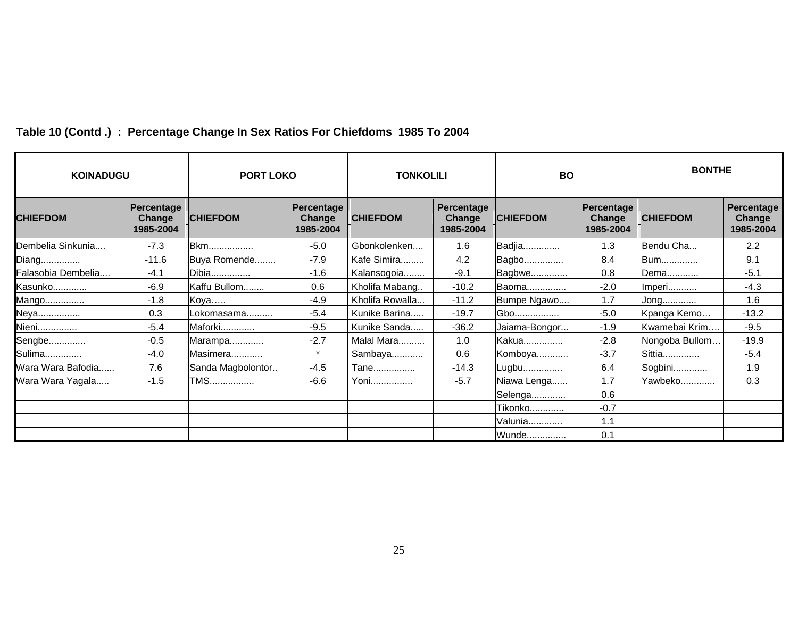| <b>KOINADUGU</b>   |                                          | <b>PORT LOKO</b>  |                                          | <b>TONKOLILI</b> |                                   | <b>BO</b>       |                                     | <b>BONTHE</b>   |                                   |
|--------------------|------------------------------------------|-------------------|------------------------------------------|------------------|-----------------------------------|-----------------|-------------------------------------|-----------------|-----------------------------------|
| <b>CHIEFDOM</b>    | Percentage<br><b>Change</b><br>1985-2004 | <b>CHIEFDOM</b>   | Percentage<br><b>Change</b><br>1985-2004 | <b>CHIEFDOM</b>  | Percentage<br>Change<br>1985-2004 | <b>CHIEFDOM</b> | Percentage  <br>Change<br>1985-2004 | <b>CHIEFDOM</b> | Percentage<br>Change<br>1985-2004 |
| Dembelia Sinkunia  | $-7.3$                                   | <b>Bkm</b>        | $-5.0$                                   | Gbonkolenken     | 1.6                               | Badjia          | 1.3                                 | Bendu Cha       | 2.2                               |
| Diang              | $-11.6$                                  | Buya Romende      | $-7.9$                                   | Kafe Simira      | 4.2                               | <b>Bagbo</b>    | 8.4                                 | IBum            | 9.1                               |
| Falasobia Dembelia | $-4.1$                                   | Dibia             | $-1.6$                                   | Kalansogoia      | $-9.1$                            | Bagbwe          | 0.8                                 | <b>IDema</b>    | $-5.1$                            |
| Kasunko            | $-6.9$                                   | Kaffu Bullom      | 0.6                                      | Kholifa Mabang   | $-10.2$                           | Baoma           | $-2.0$                              | Imperi          | $-4.3$                            |
| Mango              | $-1.8$                                   | Koya              | $-4.9$                                   | Kholifa Rowalla  | $-11.2$                           | Bumpe Ngawo     | 1.7                                 | Jong            | 1.6                               |
| Neya               | 0.3                                      | Lokomasama        | $-5.4$                                   | Kunike Barina    | $-19.7$                           | Gbo <u></u>     | $-5.0$                              | Kpanga Kemo     | $-13.2$                           |
| Nieni              | $-5.4$                                   | Maforki           | $-9.5$                                   | Kunike Sanda     | $-36.2$                           | Jaiama-Bongor   | $-1.9$                              | Kwamebai Krim   | $-9.5$                            |
| Sengbe             | $-0.5$                                   | Marampa           | $-2.7$                                   | Malal Mara       | 1.0                               | Kakua           | $-2.8$                              | Nongoba Bullom  | $-19.9$                           |
| Sulima             | $-4.0$                                   | Masimera          | $\star$                                  | Sambaya          | 0.6                               | Komboya         | $-3.7$                              | <b>Sittia</b>   | $-5.4$                            |
| Wara Wara Bafodia  | 7.6                                      | Sanda Magbolontor | $-4.5$                                   | Tane             | $-14.3$                           | Lugbu           | 6.4                                 | Sogbini         | 1.9                               |
| Wara Wara Yagala   | $-1.5$                                   | <b>TMS</b>        | $-6.6$                                   | . Yoni <u></u>   | $-5.7$                            | Niawa Lenga     | 1.7                                 | Yawbeko         | 0.3                               |
|                    |                                          |                   |                                          |                  |                                   | Selenga         | 0.6                                 |                 |                                   |
|                    |                                          |                   |                                          |                  |                                   | Tikonko         | $-0.7$                              |                 |                                   |
|                    |                                          |                   |                                          |                  |                                   | <b>Valunia</b>  | 1.1                                 |                 |                                   |
|                    |                                          |                   |                                          |                  |                                   | Wunde           | 0.1                                 |                 |                                   |

# **Table 10 (Contd .) : Percentage Change In Sex Ratios For Chiefdoms 1985 To 2004**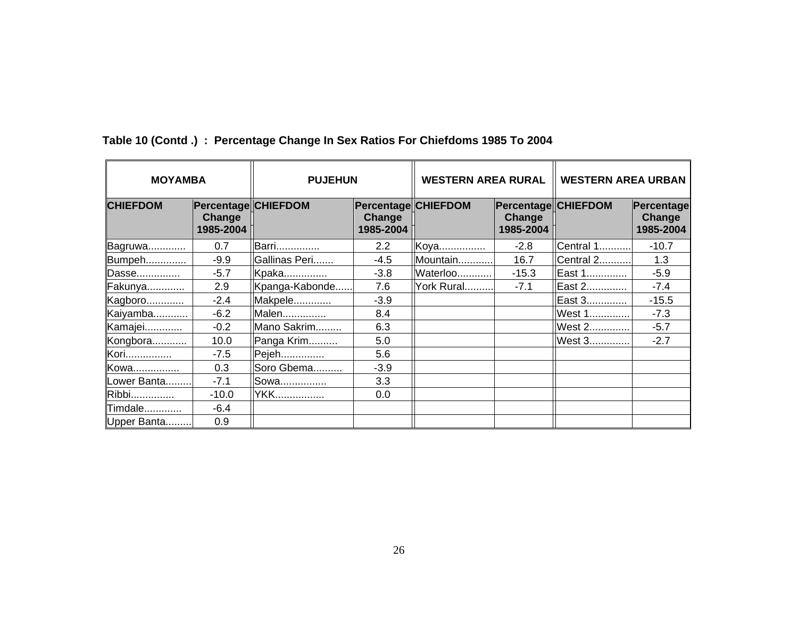| <b>MOYAMBA</b>  |                     | <b>PUJEHUN</b>      |                     | <b>WESTERN AREA RURAL</b> |                     | <b>WESTERN AREA URBAN</b> |                                   |  |
|-----------------|---------------------|---------------------|---------------------|---------------------------|---------------------|---------------------------|-----------------------------------|--|
| <b>CHIEFDOM</b> | Change<br>1985-2004 | Percentage CHIEFDOM | Change<br>1985-2004 | Percentage CHIEFDOM       | Change<br>1985-2004 | Percentage CHIEFDOM       | Percentage<br>Change<br>1985-2004 |  |
| Bagruwa         | 0.7                 | <b>Barri</b>        | $2.2^{\circ}$       | Koya                      | $-2.8$              | Central 1                 | $-10.7$                           |  |
| Bumpeh          | $-9.9$              | Gallinas Peri       | $-4.5$              | Mountain                  | 16.7                | Central 2                 | 1.3                               |  |
| Dasse           | $-5.7$              | Kpaka               | $-3.8$              | Waterloo                  | $-15.3$             | ilEast 1 <u></u>          | $-5.9$                            |  |
| Fakunya         | 2.9                 | Kpanga-Kabonde      | 7.6                 | York Rural                | $-7.1$              | East 2                    | $-7.4$                            |  |
| Kagboro         | $-2.4$              | Makpele             | $-3.9$              |                           |                     | East 3                    | $-15.5$                           |  |
| Kaiyamba        | $-6.2$              | Malen               | 8.4                 |                           |                     | West 1                    | $-7.3$                            |  |
| Kamajei         | $-0.2$              | Mano Sakrim         | 6.3                 |                           |                     | West 2                    | $-5.7$                            |  |
| Kongbora        | 10.0                | Panga Krim          | 5.0                 |                           |                     | West 3                    | $-2.7$                            |  |
| Kori            | $-7.5$              | Pejeh               | 5.6                 |                           |                     |                           |                                   |  |
| Kowa            | 0.3                 | Soro Gbema          | $-3.9$              |                           |                     |                           |                                   |  |
| Lower Banta     | $-7.1$              | Sowa                | 3.3                 |                           |                     |                           |                                   |  |
| Ribbi           | $-10.0$             | <b>YKK</b>          | 0.0                 |                           |                     |                           |                                   |  |
| Timdale         | $-6.4$              |                     |                     |                           |                     |                           |                                   |  |
| Upper Banta     | 0.9                 |                     |                     |                           |                     |                           |                                   |  |

**Table 10 (Contd .) : Percentage Change In Sex Ratios For Chiefdoms 1985 To 2004**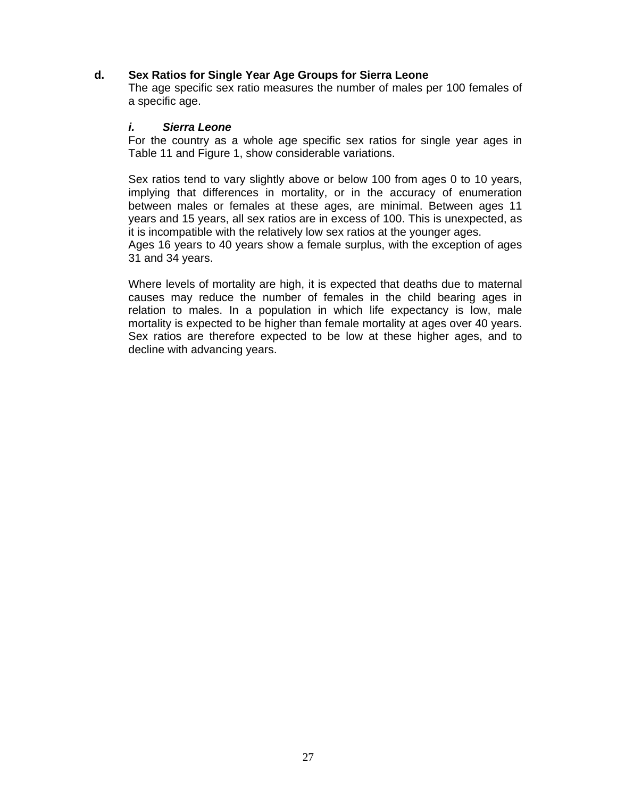### **d. Sex Ratios for Single Year Age Groups for Sierra Leone**

The age specific sex ratio measures the number of males per 100 females of a specific age.

#### *i. Sierra Leone*

For the country as a whole age specific sex ratios for single year ages in Table 11 and Figure 1, show considerable variations.

Sex ratios tend to vary slightly above or below 100 from ages 0 to 10 years, implying that differences in mortality, or in the accuracy of enumeration between males or females at these ages, are minimal. Between ages 11 years and 15 years, all sex ratios are in excess of 100. This is unexpected, as it is incompatible with the relatively low sex ratios at the younger ages. Ages 16 years to 40 years show a female surplus, with the exception of ages

31 and 34 years.

Where levels of mortality are high, it is expected that deaths due to maternal causes may reduce the number of females in the child bearing ages in relation to males. In a population in which life expectancy is low, male mortality is expected to be higher than female mortality at ages over 40 years. Sex ratios are therefore expected to be low at these higher ages, and to decline with advancing years.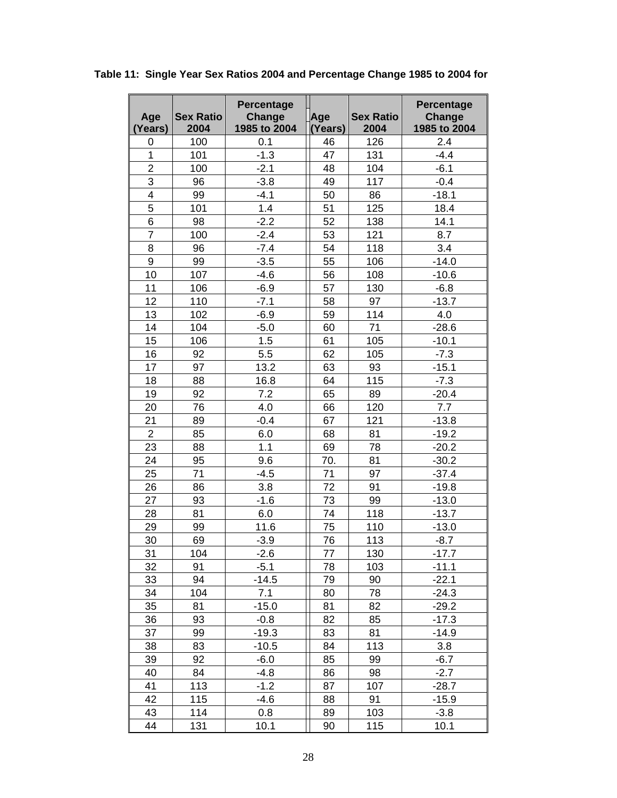|                |                          | <b>Percentage</b>      |               |                          | Percentage             |
|----------------|--------------------------|------------------------|---------------|--------------------------|------------------------|
| Age            | <b>Sex Ratio</b><br>2004 | Change<br>1985 to 2004 | Age           | <b>Sex Ratio</b><br>2004 | Change<br>1985 to 2004 |
| (Years)<br>0   | 100                      | 0.1                    | (Years)<br>46 | 126                      | 2.4                    |
| $\mathbf{1}$   | 101                      | $-1.3$                 | 47            | 131                      | $-4.4$                 |
| $\overline{2}$ | 100                      | $-2.1$                 | 48            | 104                      | $-6.1$                 |
| 3              | 96                       | $-3.8$                 | 49            | 117                      | $-0.4$                 |
| 4              | 99                       | $-4.1$                 | 50            | 86                       | $-18.1$                |
| 5              | 101                      | 1.4                    | 51            | 125                      | 18.4                   |
| 6              | 98                       | $-2.2$                 | 52            | 138                      | 14.1                   |
| $\overline{7}$ | 100                      | $-2.4$                 | 53            | 121                      | 8.7                    |
| 8              | 96                       | $-7.4$                 | 54            | 118                      | 3.4                    |
| 9              | 99                       | $-3.5$                 | 55            | 106                      | $-14.0$                |
| 10             | 107                      | $-4.6$                 | 56            | 108                      | $-10.6$                |
| 11             | 106                      | $-6.9$                 | 57            | 130                      | $-6.8$                 |
| 12             | 110                      | $-7.1$                 | 58            | 97                       | $-13.7$                |
| 13             | 102                      | $-6.9$                 | 59            | 114                      | 4.0                    |
| 14             | 104                      | $-5.0$                 | 60            | 71                       | $-28.6$                |
| 15             | 106                      | 1.5                    | 61            | 105                      | $-10.1$                |
| 16             | 92                       | 5.5                    | 62            | 105                      | $-7.3$                 |
| 17             | 97                       | 13.2                   | 63            | 93                       | $-15.1$                |
| 18             | 88                       | 16.8                   | 64            | 115                      | $-7.3$                 |
| 19             | 92                       | 7.2                    | 65            | 89                       | $-20.4$                |
| 20             | 76                       | 4.0                    | 66            | 120                      | 7.7                    |
| 21             | 89                       | $-0.4$                 | 67            | 121                      | $-13.8$                |
| $\overline{2}$ | 85                       | 6.0                    | 68            | 81                       | $-19.2$                |
| 23             | 88                       | 1.1                    | 69            | 78                       | $-20.2$                |
| 24             | 95                       | 9.6                    | 70.           | 81                       | $-30.2$                |
| 25             | 71                       | $-4.5$                 | 71            | 97                       | $-37.4$                |
| 26             | 86                       | 3.8                    | 72            | 91                       | $-19.8$                |
| 27             | 93                       | $-1.6$                 | 73            | 99                       | $-13.0$                |
| 28             | 81                       | 6.0                    | 74            | 118                      | $-13.7$                |
| 29             | 99                       | 11.6                   | 75            | 110                      | $-13.0$                |
| 30             | 69                       | $-3.9$                 | 76            | 113                      | $-8.7$                 |
| 31             | 104                      | $-2.6$                 | 77            | 130                      | $-17.7$                |
| 32             | 91                       | $-5.1$                 | 78            | 103                      | $-11.1$                |
| 33             | 94                       | $-14.5$                | 79            | 90                       | $-22.1$                |
| 34             | 104                      | 7.1                    | 80            | 78                       | $-24.3$                |
| 35             | 81                       | $-15.0$                | 81            | 82                       | $-29.2$                |
| 36             | 93                       | $-0.8$                 | 82            | 85                       | $-17.3$                |
| 37             | 99                       | $-19.3$                | 83            | 81                       | $-14.9$                |
| 38             | 83                       | $-10.5$                | 84            | 113                      | 3.8                    |
| 39             | 92                       | $-6.0$                 | 85            | 99                       | $-6.7$                 |
| 40             | 84                       | $-4.8$                 | 86            | 98                       | $-2.7$                 |
| 41             | 113                      | $-1.2$                 | 87            | 107                      | $-28.7$                |
| 42             | 115                      | $-4.6$                 | 88            | 91                       | $-15.9$                |
| 43             | 114                      | 0.8                    | 89            | 103                      | $-3.8$                 |
| 44             | 131                      | 10.1                   | 90            | 115                      | 10.1                   |

**Table 11: Single Year Sex Ratios 2004 and Percentage Change 1985 to 2004 for**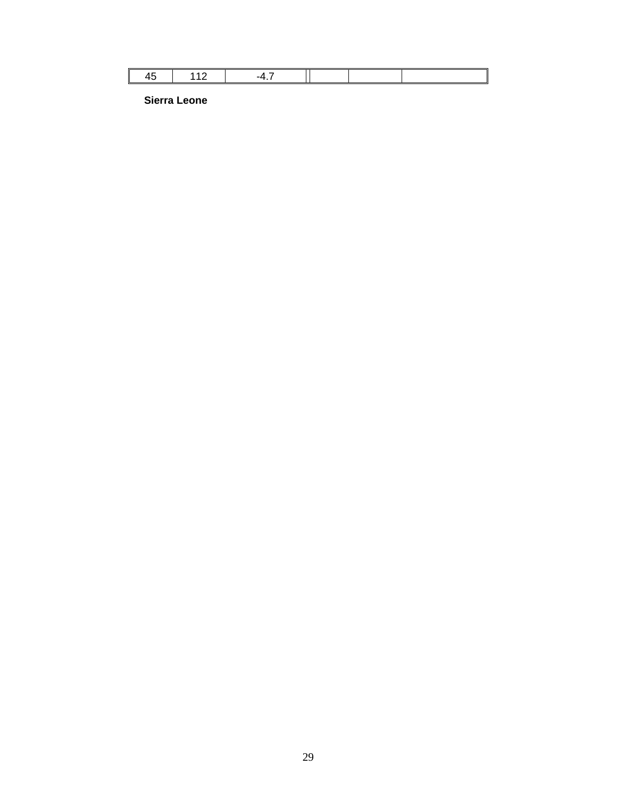**Sierra Leone**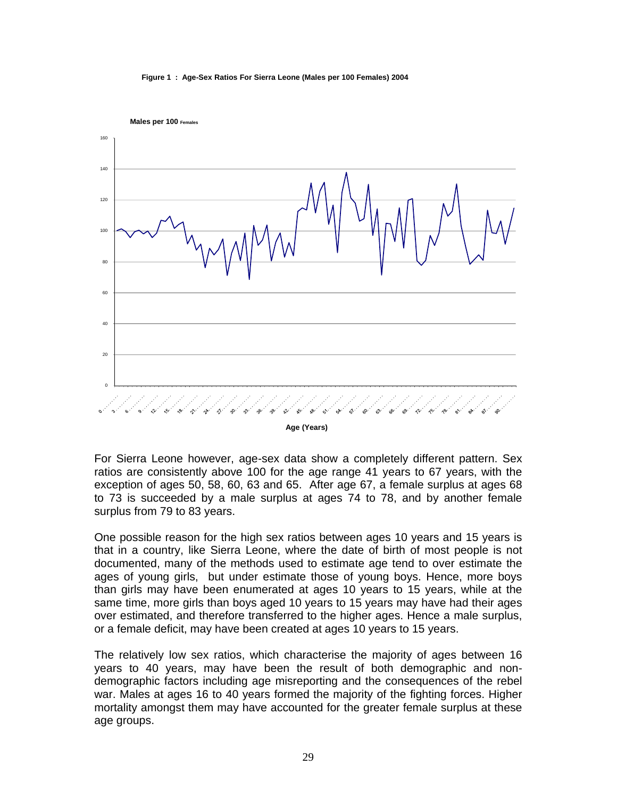#### **Figure 1 : Age-Sex Ratios For Sierra Leone (Males per 100 Females) 2004**





For Sierra Leone however, age-sex data show a completely different pattern. Sex ratios are consistently above 100 for the age range 41 years to 67 years, with the exception of ages 50, 58, 60, 63 and 65. After age 67, a female surplus at ages 68 to 73 is succeeded by a male surplus at ages 74 to 78, and by another female surplus from 79 to 83 years.

One possible reason for the high sex ratios between ages 10 years and 15 years is that in a country, like Sierra Leone, where the date of birth of most people is not documented, many of the methods used to estimate age tend to over estimate the ages of young girls, but under estimate those of young boys. Hence, more boys than girls may have been enumerated at ages 10 years to 15 years, while at the same time, more girls than boys aged 10 years to 15 years may have had their ages over estimated, and therefore transferred to the higher ages. Hence a male surplus, or a female deficit, may have been created at ages 10 years to 15 years.

The relatively low sex ratios, which characterise the majority of ages between 16 years to 40 years, may have been the result of both demographic and nondemographic factors including age misreporting and the consequences of the rebel war. Males at ages 16 to 40 years formed the majority of the fighting forces. Higher mortality amongst them may have accounted for the greater female surplus at these age groups.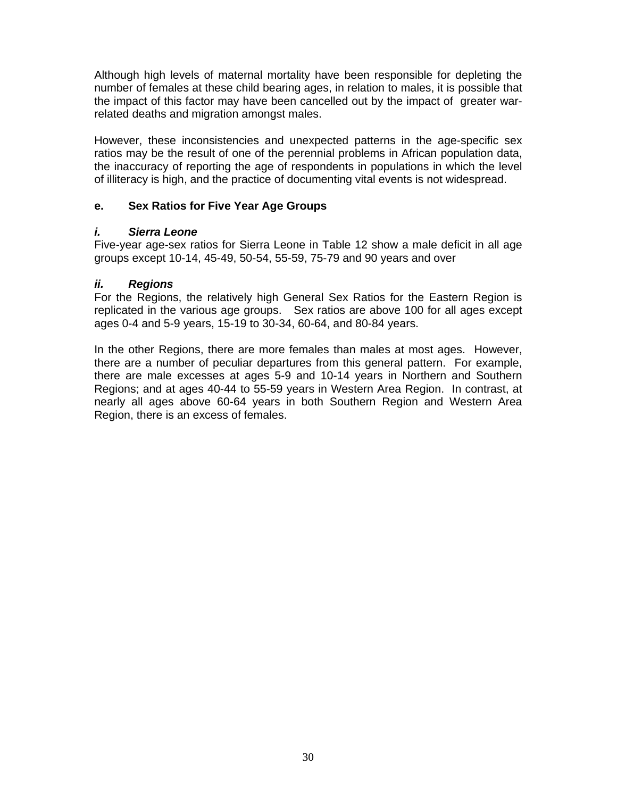Although high levels of maternal mortality have been responsible for depleting the number of females at these child bearing ages, in relation to males, it is possible that the impact of this factor may have been cancelled out by the impact of greater warrelated deaths and migration amongst males.

However, these inconsistencies and unexpected patterns in the age-specific sex ratios may be the result of one of the perennial problems in African population data, the inaccuracy of reporting the age of respondents in populations in which the level of illiteracy is high, and the practice of documenting vital events is not widespread.

### **e. Sex Ratios for Five Year Age Groups**

#### *i. Sierra Leone*

Five-year age-sex ratios for Sierra Leone in Table 12 show a male deficit in all age groups except 10-14, 45-49, 50-54, 55-59, 75-79 and 90 years and over

### *ii. Regions*

For the Regions, the relatively high General Sex Ratios for the Eastern Region is replicated in the various age groups. Sex ratios are above 100 for all ages except ages 0-4 and 5-9 years, 15-19 to 30-34, 60-64, and 80-84 years.

In the other Regions, there are more females than males at most ages. However, there are a number of peculiar departures from this general pattern. For example, there are male excesses at ages 5-9 and 10-14 years in Northern and Southern Regions; and at ages 40-44 to 55-59 years in Western Area Region. In contrast, at nearly all ages above 60-64 years in both Southern Region and Western Area Region, there is an excess of females.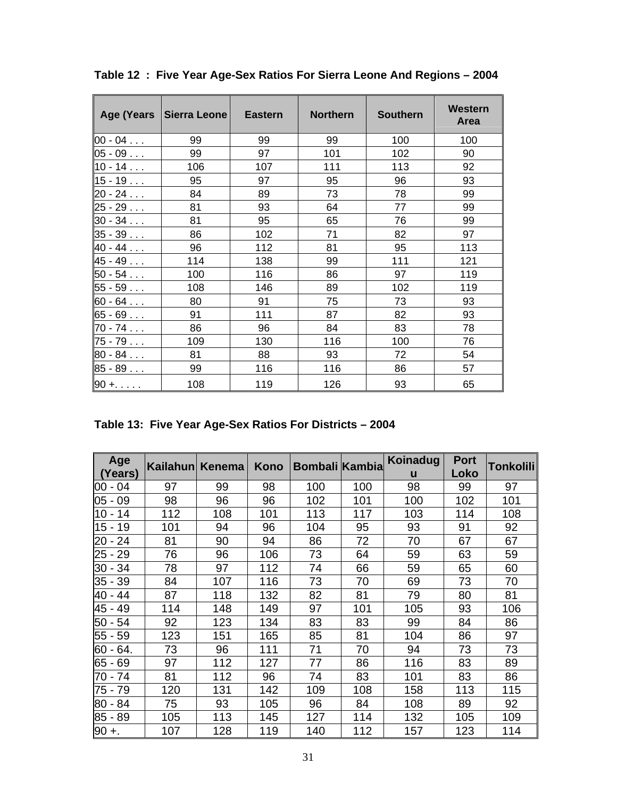| Age (Years    | Sierra Leone | <b>Eastern</b> | <b>Northern</b> | <b>Southern</b> | <b>Western</b><br><b>Area</b> |
|---------------|--------------|----------------|-----------------|-----------------|-------------------------------|
| $00 - 04$     | 99           | 99             | 99              | 100             | 100                           |
| $05 - 09$     | 99           | 97             | 101             | 102             | 90                            |
| $10 - 14$     | 106          | 107            | 111             | 113             | 92                            |
| $15 - 19$     | 95           | 97             | 95              | 96              | 93                            |
| $20 - 24$     | 84           | 89             | 73              | 78              | 99                            |
| $25 - 29$     | 81           | 93             | 64              | 77              | 99                            |
| $30 - 34$     | 81           | 95             | 65              | 76              | 99                            |
| $35 - 39$     | 86           | 102            | 71              | 82              | 97                            |
| $40 - 44$     | 96           | 112            | 81              | 95              | 113                           |
| $45 - 49$     | 114          | 138            | 99              | 111             | 121                           |
| $50 - 54$     | 100          | 116            | 86              | 97              | 119                           |
| $55 - 59$     | 108          | 146            | 89              | 102             | 119                           |
| $60 - 64$     | 80           | 91             | 75              | 73              | 93                            |
| $65 - 69$     | 91           | 111            | 87              | 82              | 93                            |
| $70 - 74$     | 86           | 96             | 84              | 83              | 78                            |
| $75 - 79$     | 109          | 130            | 116             | 100             | 76                            |
| $80 - 84$     | 81           | 88             | 93              | 72              | 54                            |
| $85 - 89$     | 99           | 116            | 116             | 86              | 57                            |
| $90 + \ldots$ | 108          | 119            | 126             | 93              | 65                            |

**Table 12 : Five Year Age-Sex Ratios For Sierra Leone And Regions – 2004** 

|  |  | Table 13: Five Year Age-Sex Ratios For Districts - 2004 |  |
|--|--|---------------------------------------------------------|--|
|  |  |                                                         |  |

| Age<br>(Years) | Kailahun Kenema |     | Kono | <b>Bombali Kambia</b> |     | <b>Koinadug</b><br>u | <b>Port</b><br>Loko | Tonkolili∣ |
|----------------|-----------------|-----|------|-----------------------|-----|----------------------|---------------------|------------|
| $ 00 - 04 $    | 97              | 99  | 98   | 100                   | 100 | 98                   | 99                  | 97         |
| $05 - 09$      | 98              | 96  | 96   | 102                   | 101 | 100                  | 102                 | 101        |
| ∥10 - 14       | 112             | 108 | 101  | 113                   | 117 | 103                  | 114                 | 108        |
| $15 - 19$      | 101             | 94  | 96   | 104                   | 95  | 93                   | 91                  | 92         |
| $ 20 - 24 $    | 81              | 90  | 94   | 86                    | 72  | 70                   | 67                  | 67         |
| 25 - 29        | 76              | 96  | 106  | 73                    | 64  | 59                   | 63                  | 59         |
| 30 - 34        | 78              | 97  | 112  | 74                    | 66  | 59                   | 65                  | 60         |
| 35 - 39        | 84              | 107 | 116  | 73                    | 70  | 69                   | 73                  | 70         |
| 40 - 44        | 87              | 118 | 132  | 82                    | 81  | 79                   | 80                  | 81         |
| 45 - 49        | 114             | 148 | 149  | 97                    | 101 | 105                  | 93                  | 106        |
| 50 - 54        | 92              | 123 | 134  | 83                    | 83  | 99                   | 84                  | 86         |
| 55 - 59        | 123             | 151 | 165  | 85                    | 81  | 104                  | 86                  | 97         |
| $60 - 64.$     | 73              | 96  | 111  | 71                    | 70  | 94                   | 73                  | 73         |
| $65 - 69$      | 97              | 112 | 127  | 77                    | 86  | 116                  | 83                  | 89         |
| 170 - 74       | 81              | 112 | 96   | 74                    | 83  | 101                  | 83                  | 86         |
| 75 - 79        | 120             | 131 | 142  | 109                   | 108 | 158                  | 113                 | 115        |
| 80 - 84        | 75              | 93  | 105  | 96                    | 84  | 108                  | 89                  | 92         |
| $85 - 89$      | 105             | 113 | 145  | 127                   | 114 | 132                  | 105                 | 109        |
| $90 +$ .       | 107             | 128 | 119  | 140                   | 112 | 157                  | 123                 | 114        |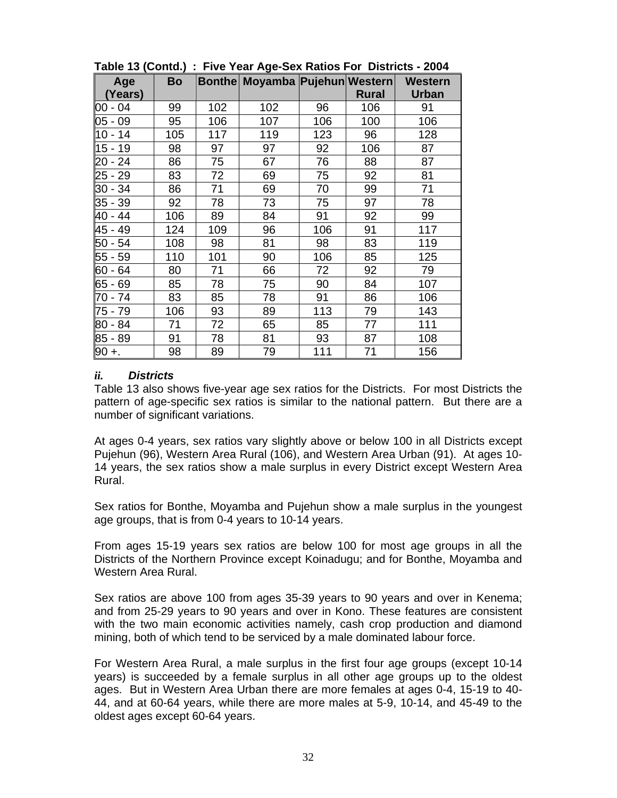|                |           |     | $\sim$                         |     |              |                                |
|----------------|-----------|-----|--------------------------------|-----|--------------|--------------------------------|
| Age<br>(Years) | <b>Bo</b> |     | Bonthe Moyamba Pujehun Western |     | <b>Rural</b> | <b>Western</b><br><b>Urban</b> |
| 00 - 04        | 99        | 102 | 102                            | 96  | 106          | 91                             |
| $05 - 09$      | 95        | 106 | 107                            | 106 | 100          | 106                            |
| 10 - 14        | 105       | 117 | 119                            | 123 | 96           | 128                            |
| 15 - 19        | 98        | 97  | 97                             | 92  | 106          | 87                             |
| 20 - 24        | 86        | 75  | 67                             | 76  | 88           | 87                             |
| 25 - 29        | 83        | 72  | 69                             | 75  | 92           | 81                             |
| 30 - 34        | 86        | 71  | 69                             | 70  | 99           | 71                             |
| 35 - 39        | 92        | 78  | 73                             | 75  | 97           | 78                             |
| 40 - 44        | 106       | 89  | 84                             | 91  | 92           | 99                             |
| 45 - 49        | 124       | 109 | 96                             | 106 | 91           | 117                            |
| 50 - 54        | 108       | 98  | 81                             | 98  | 83           | 119                            |
| 55 - 59        | 110       | 101 | 90                             | 106 | 85           | 125                            |
| 60 - 64        | 80        | 71  | 66                             | 72  | 92           | 79                             |
| 65 - 69        | 85        | 78  | 75                             | 90  | 84           | 107                            |
| 70 - 74        | 83        | 85  | 78                             | 91  | 86           | 106                            |
| 75 - 79        | 106       | 93  | 89                             | 113 | 79           | 143                            |
| 80 - 84        | 71        | 72  | 65                             | 85  | 77           | 111                            |
| 85 - 89        | 91        | 78  | 81                             | 93  | 87           | 108                            |
| $90 +$         | 98        | 89  | 79                             | 111 | 71           | 156                            |

**Table 13 (Contd.) : Five Year Age-Sex Ratios For Districts - 2004** 

#### *ii. Districts*

Table 13 also shows five-year age sex ratios for the Districts. For most Districts the pattern of age-specific sex ratios is similar to the national pattern. But there are a number of significant variations.

At ages 0-4 years, sex ratios vary slightly above or below 100 in all Districts except Pujehun (96), Western Area Rural (106), and Western Area Urban (91). At ages 10- 14 years, the sex ratios show a male surplus in every District except Western Area Rural.

Sex ratios for Bonthe, Moyamba and Pujehun show a male surplus in the youngest age groups, that is from 0-4 years to 10-14 years.

From ages 15-19 years sex ratios are below 100 for most age groups in all the Districts of the Northern Province except Koinadugu; and for Bonthe, Moyamba and Western Area Rural.

Sex ratios are above 100 from ages 35-39 years to 90 years and over in Kenema; and from 25-29 years to 90 years and over in Kono. These features are consistent with the two main economic activities namely, cash crop production and diamond mining, both of which tend to be serviced by a male dominated labour force.

For Western Area Rural, a male surplus in the first four age groups (except 10-14 years) is succeeded by a female surplus in all other age groups up to the oldest ages. But in Western Area Urban there are more females at ages 0-4, 15-19 to 40- 44, and at 60-64 years, while there are more males at 5-9, 10-14, and 45-49 to the oldest ages except 60-64 years.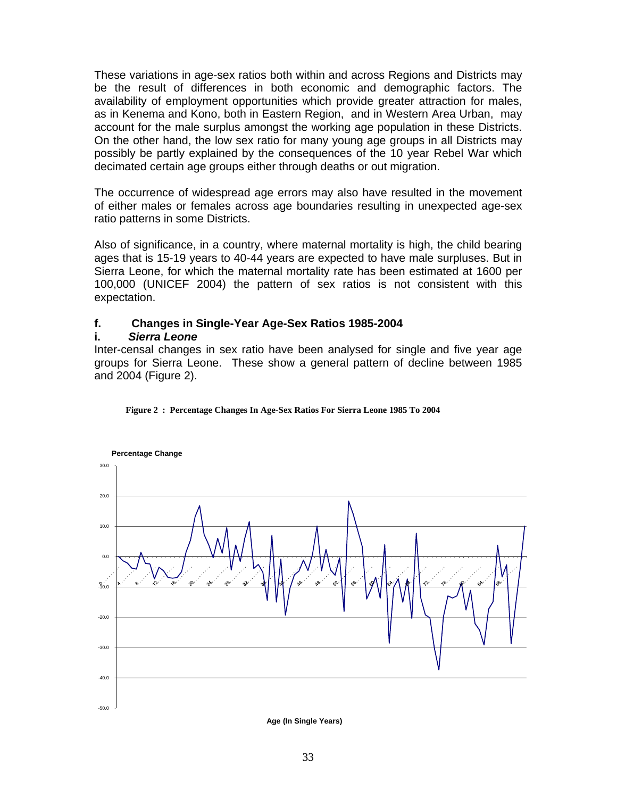These variations in age-sex ratios both within and across Regions and Districts may be the result of differences in both economic and demographic factors. The availability of employment opportunities which provide greater attraction for males, as in Kenema and Kono, both in Eastern Region, and in Western Area Urban, may account for the male surplus amongst the working age population in these Districts. On the other hand, the low sex ratio for many young age groups in all Districts may possibly be partly explained by the consequences of the 10 year Rebel War which decimated certain age groups either through deaths or out migration.

The occurrence of widespread age errors may also have resulted in the movement of either males or females across age boundaries resulting in unexpected age-sex ratio patterns in some Districts.

Also of significance, in a country, where maternal mortality is high, the child bearing ages that is 15-19 years to 40-44 years are expected to have male surpluses. But in Sierra Leone, for which the maternal mortality rate has been estimated at 1600 per 100,000 (UNICEF 2004) the pattern of sex ratios is not consistent with this expectation.

#### **f. Changes in Single-Year Age-Sex Ratios 1985-2004**

#### **i.** *Sierra Leone*

Inter-censal changes in sex ratio have been analysed for single and five year age groups for Sierra Leone. These show a general pattern of decline between 1985 and 2004 (Figure 2).





**Age (In Single Years)**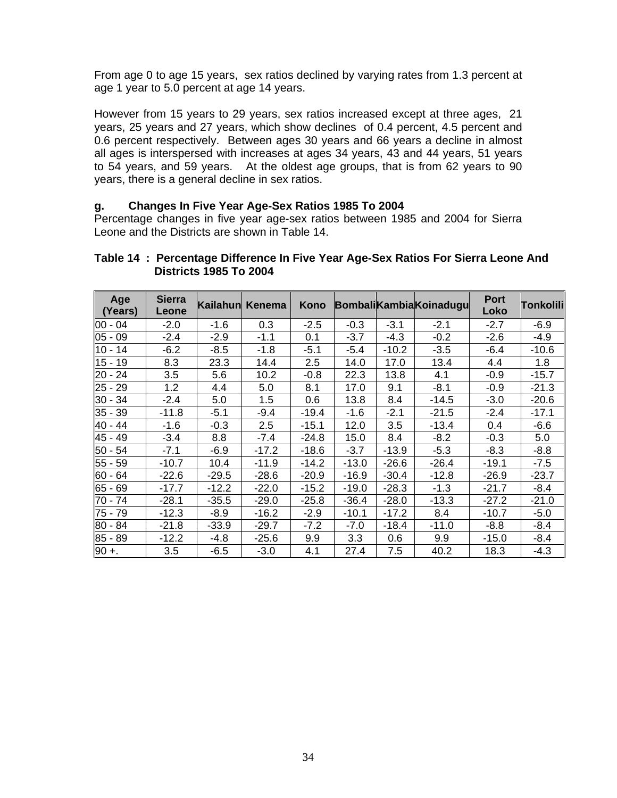From age 0 to age 15 years, sex ratios declined by varying rates from 1.3 percent at age 1 year to 5.0 percent at age 14 years.

However from 15 years to 29 years, sex ratios increased except at three ages, 21 years, 25 years and 27 years, which show declines of 0.4 percent, 4.5 percent and 0.6 percent respectively. Between ages 30 years and 66 years a decline in almost all ages is interspersed with increases at ages 34 years, 43 and 44 years, 51 years to 54 years, and 59 years. At the oldest age groups, that is from 62 years to 90 years, there is a general decline in sex ratios.

#### **g. Changes In Five Year Age-Sex Ratios 1985 To 2004**

Percentage changes in five year age-sex ratios between 1985 and 2004 for Sierra Leone and the Districts are shown in Table 14.

| Age<br>(Years) | <b>Sierra</b><br>Leone | Kailahun | Kenema  | Kono    |         |         | <b>Bombali Kambia Koinadugu</b> | <b>Port</b><br>Loko | Tonkolili |
|----------------|------------------------|----------|---------|---------|---------|---------|---------------------------------|---------------------|-----------|
| $100 - 04$     | $-2.0$                 | $-1.6$   | 0.3     | $-2.5$  | $-0.3$  | $-3.1$  | $-2.1$                          | $-2.7$              | $-6.9$    |
| $ 05 - 09$     | $-2.4$                 | $-2.9$   | $-1.1$  | 0.1     | $-3.7$  | $-4.3$  | $-0.2$                          | $-2.6$              | $-4.9$    |
| ∥10 - 14       | $-6.2$                 | $-8.5$   | $-1.8$  | $-5.1$  | $-5.4$  | $-10.2$ | $-3.5$                          | $-6.4$              | $-10.6$   |
| 15 - 19        | 8.3                    | 23.3     | 14.4    | 2.5     | 14.0    | 17.0    | 13.4                            | 4.4                 | 1.8       |
| 20 - 24        | 3.5                    | 5.6      | 10.2    | $-0.8$  | 22.3    | 13.8    | 4.1                             | $-0.9$              | $-15.7$   |
| 25 - 29        | 1.2                    | 4.4      | 5.0     | 8.1     | 17.0    | 9.1     | $-8.1$                          | $-0.9$              | $-21.3$   |
| 30 - 34        | $-2.4$                 | 5.0      | 1.5     | 0.6     | 13.8    | 8.4     | $-14.5$                         | $-3.0$              | $-20.6$   |
| $35 - 39$      | $-11.8$                | $-5.1$   | $-9.4$  | -19.4   | $-1.6$  | $-2.1$  | $-21.5$                         | $-2.4$              | $-17.1$   |
| 40 - 44        | $-1.6$                 | $-0.3$   | 2.5     | $-15.1$ | 12.0    | 3.5     | $-13.4$                         | 0.4                 | $-6.6$    |
| 45 - 49        | $-3.4$                 | 8.8      | $-7.4$  | $-24.8$ | 15.0    | 8.4     | $-8.2$                          | $-0.3$              | 5.0       |
| 50 - 54        | $-7.1$                 | $-6.9$   | $-17.2$ | $-18.6$ | $-3.7$  | $-13.9$ | $-5.3$                          | $-8.3$              | $-8.8$    |
| 55 - 59        | $-10.7$                | 10.4     | $-11.9$ | -14.2   | $-13.0$ | $-26.6$ | $-26.4$                         | $-19.1$             | $-7.5$    |
| 60 - 64        | $-22.6$                | $-29.5$  | $-28.6$ | $-20.9$ | $-16.9$ | $-30.4$ | $-12.8$                         | $-26.9$             | $-23.7$   |
| $65 - 69$      | $-17.7$                | $-12.2$  | $-22.0$ | $-15.2$ | $-19.0$ | $-28.3$ | $-1.3$                          | $-21.7$             | $-8.4$    |
| 70 - 74        | $-28.1$                | $-35.5$  | $-29.0$ | $-25.8$ | $-36.4$ | $-28.0$ | $-13.3$                         | $-27.2$             | $-21.0$   |
| 75 - 79        | $-12.3$                | $-8.9$   | $-16.2$ | $-2.9$  | $-10.1$ | $-17.2$ | 8.4                             | $-10.7$             | $-5.0$    |
| 180 - 84       | $-21.8$                | $-33.9$  | $-29.7$ | $-7.2$  | $-7.0$  | $-18.4$ | $-11.0$                         | $-8.8$              | $-8.4$    |
| 85 - 89        | $-12.2$                | $-4.8$   | $-25.6$ | 9.9     | 3.3     | 0.6     | 9.9                             | $-15.0$             | $-8.4$    |
| $90 +$ .       | 3.5                    | $-6.5$   | $-3.0$  | 4.1     | 27.4    | 7.5     | 40.2                            | 18.3                | $-4.3$    |

#### **Table 14 : Percentage Difference In Five Year Age-Sex Ratios For Sierra Leone And Districts 1985 To 2004**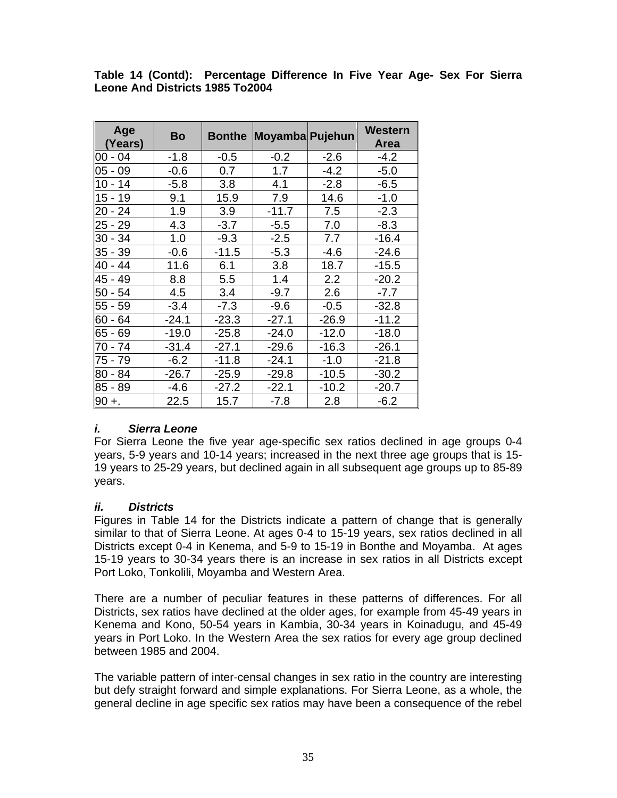| Age<br>(Years) | Bo      | <b>Bonthe</b> | Moyamba Pujehun |         | <b>Western</b><br><b>Area</b> |
|----------------|---------|---------------|-----------------|---------|-------------------------------|
| $ 00 - 04$     | $-1.8$  | $-0.5$        | $-0.2$          | $-2.6$  | $-4.2$                        |
| $05 - 09$      | $-0.6$  | 0.7           | 1.7             | $-4.2$  | $-5.0$                        |
| $10 - 14$      | $-5.8$  | 3.8           | 4.1             | $-2.8$  | $-6.5$                        |
| $15 - 19$      | 9.1     | 15.9          | 7.9             | 14.6    | $-1.0$                        |
| 20 - 24        | 1.9     | 3.9           | $-11.7$         | 7.5     | $-2.3$                        |
| 25 - 29        | 4.3     | $-3.7$        | $-5.5$          | 7.0     | $-8.3$                        |
| 30 - 34        | 1.0     | $-9.3$        | $-2.5$          | 7.7     | $-16.4$                       |
| 35 - 39        | $-0.6$  | $-11.5$       | $-5.3$          | $-4.6$  | $-24.6$                       |
| 40 - 44        | 11.6    | 6.1           | 3.8             | 18.7    | $-15.5$                       |
| 45 - 49        | 8.8     | 5.5           | 1.4             | 2.2     | $-20.2$                       |
| 50 - 54        | 4.5     | 3.4           | $-9.7$          | 2.6     | $-7.7$                        |
| 55 - 59        | $-3.4$  | $-7.3$        | $-9.6$          | $-0.5$  | $-32.8$                       |
| 60 - 64        | $-24.1$ | $-23.3$       | $-27.1$         | $-26.9$ | $-11.2$                       |
| 65 - 69        | $-19.0$ | $-25.8$       | $-24.0$         | $-12.0$ | $-18.0$                       |
| 70 - 74        | $-31.4$ | $-27.1$       | $-29.6$         | $-16.3$ | $-26.1$                       |
| 75 - 79        | $-6.2$  | $-11.8$       | $-24.1$         | $-1.0$  | $-21.8$                       |
| 80 - 84        | $-26.7$ | $-25.9$       | $-29.8$         | $-10.5$ | $-30.2$                       |
| 85 - 89        | $-4.6$  | $-27.2$       | $-22.1$         | $-10.2$ | $-20.7$                       |
| $90 +$         | 22.5    | 15.7          | $-7.8$          | 2.8     | $-6.2$                        |

**Table 14 (Contd): Percentage Difference In Five Year Age- Sex For Sierra Leone And Districts 1985 To2004** 

#### *i. Sierra Leone*

For Sierra Leone the five year age-specific sex ratios declined in age groups 0-4 years, 5-9 years and 10-14 years; increased in the next three age groups that is 15- 19 years to 25-29 years, but declined again in all subsequent age groups up to 85-89 years.

#### *ii. Districts*

Figures in Table 14 for the Districts indicate a pattern of change that is generally similar to that of Sierra Leone. At ages 0-4 to 15-19 years, sex ratios declined in all Districts except 0-4 in Kenema, and 5-9 to 15-19 in Bonthe and Moyamba. At ages 15-19 years to 30-34 years there is an increase in sex ratios in all Districts except Port Loko, Tonkolili, Moyamba and Western Area.

There are a number of peculiar features in these patterns of differences. For all Districts, sex ratios have declined at the older ages, for example from 45-49 years in Kenema and Kono, 50-54 years in Kambia, 30-34 years in Koinadugu, and 45-49 years in Port Loko. In the Western Area the sex ratios for every age group declined between 1985 and 2004.

The variable pattern of inter-censal changes in sex ratio in the country are interesting but defy straight forward and simple explanations. For Sierra Leone, as a whole, the general decline in age specific sex ratios may have been a consequence of the rebel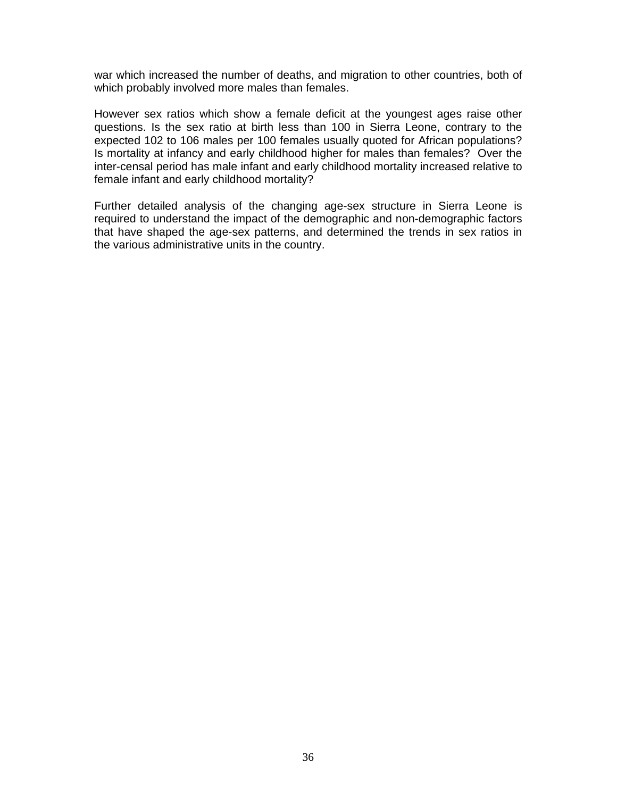war which increased the number of deaths, and migration to other countries, both of which probably involved more males than females.

However sex ratios which show a female deficit at the youngest ages raise other questions. Is the sex ratio at birth less than 100 in Sierra Leone, contrary to the expected 102 to 106 males per 100 females usually quoted for African populations? Is mortality at infancy and early childhood higher for males than females? Over the inter-censal period has male infant and early childhood mortality increased relative to female infant and early childhood mortality?

Further detailed analysis of the changing age-sex structure in Sierra Leone is required to understand the impact of the demographic and non-demographic factors that have shaped the age-sex patterns, and determined the trends in sex ratios in the various administrative units in the country.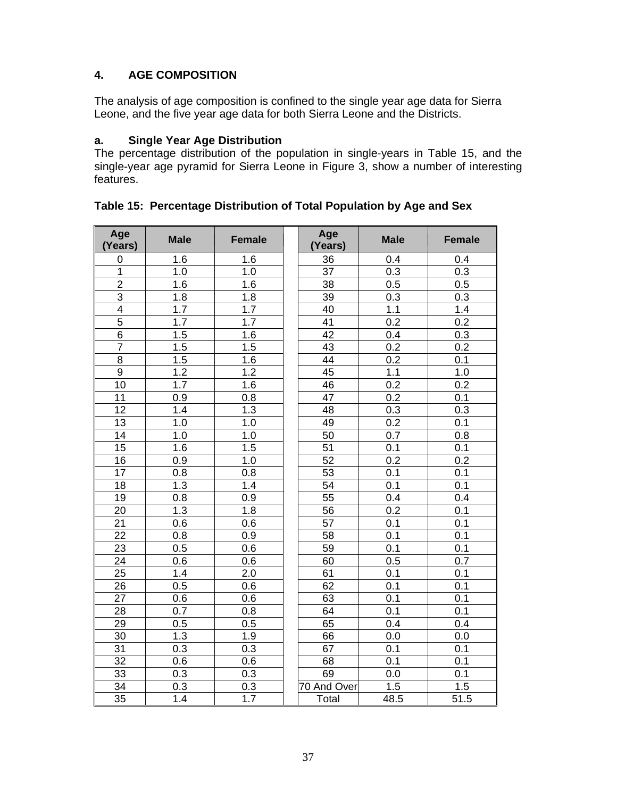# **4. AGE COMPOSITION**

The analysis of age composition is confined to the single year age data for Sierra Leone, and the five year age data for both Sierra Leone and the Districts.

# **a. Single Year Age Distribution**

The percentage distribution of the population in single-years in Table 15, and the single-year age pyramid for Sierra Leone in Figure 3, show a number of interesting features.

| Age<br>(Years)  | <b>Male</b>      | <b>Female</b>    | Age<br>(Years)  | <b>Male</b>      | <b>Female</b>    |
|-----------------|------------------|------------------|-----------------|------------------|------------------|
| $\mathbf 0$     | 1.6              | 1.6              | 36              | 0.4              | 0.4              |
| 1               | 1.0              | 1.0              | $\overline{37}$ | 0.3              | 0.3              |
| $\overline{2}$  | 1.6              | 1.6              | 38              | 0.5              | 0.5              |
| $\overline{3}$  | 1.8              | 1.8              | 39              | 0.3              | 0.3              |
| $\overline{4}$  | 1.7              | 1.7              | 40              | 1.1              | 1.4              |
| $\overline{5}$  | 1.7              | 1.7              | $\overline{41}$ | $\overline{0.2}$ | $\overline{0.2}$ |
| $\overline{6}$  | 1.5              | 1.6              | 42              | 0.4              | 0.3              |
| $\overline{7}$  | 1.5              | 1.5              | 43              | 0.2              | 0.2              |
| $\overline{8}$  | 1.5              | 1.6              | 44              | $\overline{0.2}$ | 0.1              |
| $\overline{9}$  | $\overline{1.2}$ | 1.2              | 45              | 1.1              | 1.0              |
| $\overline{10}$ | 1.7              | 1.6              | 46              | 0.2              | 0.2              |
| 11              | 0.9              | 0.8              | 47              | 0.2              | $\overline{0.1}$ |
| 12              | $\overline{1.4}$ | 1.3              | 48              | 0.3              | 0.3              |
| $\overline{13}$ | 1.0              | 1.0              | 49              | 0.2              | $\overline{0.1}$ |
| 14              | 1.0              | 1.0              | 50              | 0.7              | $\overline{0.8}$ |
| 15              | 1.6              | 1.5              | 51              | 0.1              | 0.1              |
| 16              | 0.9              | 1.0              | 52              | 0.2              | $\overline{0.2}$ |
| 17              | $\overline{0.8}$ | 0.8              | 53              | 0.1              | $\overline{0.1}$ |
| 18              | $\overline{1.3}$ | 1.4              | 54              | 0.1              | 0.1              |
| 19              | 0.8              | 0.9              | 55              | 0.4              | 0.4              |
| 20              | 1.3              | 1.8              | 56              | 0.2              | 0.1              |
| 21              | 0.6              | 0.6              | 57              | 0.1              | 0.1              |
| $\overline{22}$ | $\overline{0.8}$ | 0.9              | 58              | 0.1              | $\overline{0.1}$ |
| 23              | 0.5              | 0.6              | 59              | 0.1              | 0.1              |
| 24              | 0.6              | 0.6              | 60              | 0.5              | 0.7              |
| 25              | 1.4              | 2.0              | 61              | 0.1              | 0.1              |
| $\overline{26}$ | 0.5              | 0.6              | 62              | 0.1              | 0.1              |
| 27              | 0.6              | 0.6              | 63              | 0.1              | 0.1              |
| 28              | 0.7              | 0.8              | 64              | 0.1              | 0.1              |
| 29              | 0.5              | 0.5              | 65              | 0.4              | 0.4              |
| $\overline{30}$ | 1.3              | 1.9              | 66              | $\overline{0.0}$ | 0.0              |
| 31              | 0.3              | 0.3              | 67              | 0.1              | 0.1              |
| $\overline{32}$ | 0.6              | 0.6              | 68              | 0.1              | 0.1              |
| 33              | 0.3              | 0.3              | 69              | 0.0              | 0.1              |
| 34              | $\overline{0.3}$ | $\overline{0.3}$ | 70 And Over     | 1.5              | 1.5              |
| 35              | 1.4              | 1.7              | Total           | 48.5             | 51.5             |

**Table 15: Percentage Distribution of Total Population by Age and Sex**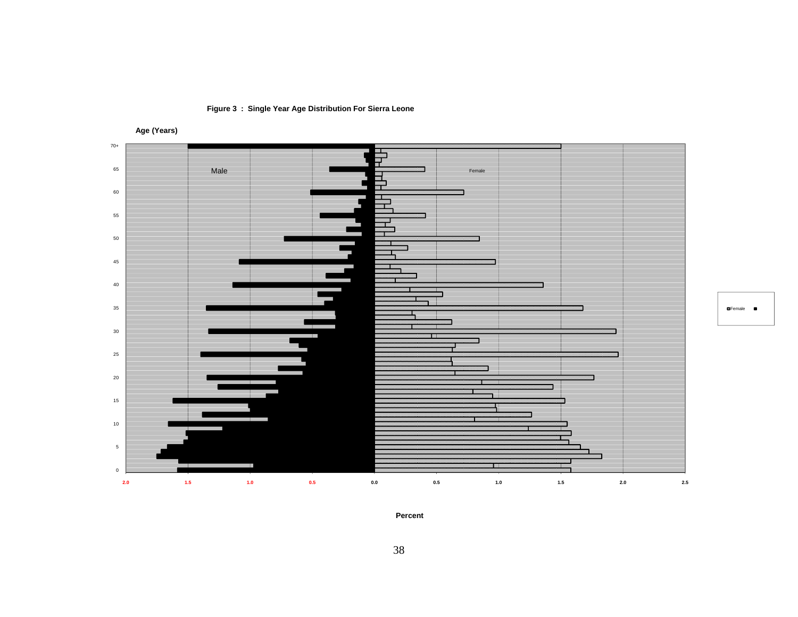

**Figure 3 : Single Year Age Distribution For Sierra Leone**

**Age (Years)**

Female

**Percent**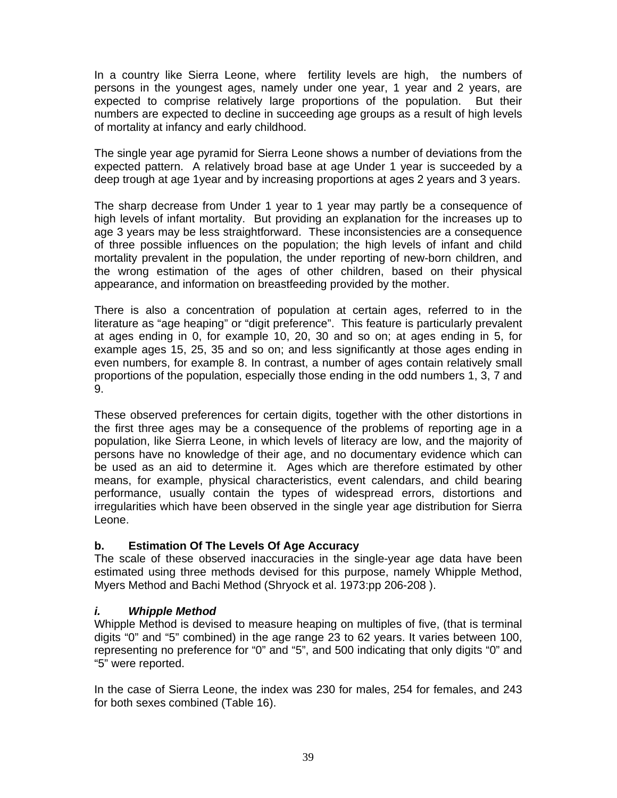In a country like Sierra Leone, where fertility levels are high, the numbers of persons in the youngest ages, namely under one year, 1 year and 2 years, are expected to comprise relatively large proportions of the population. But their numbers are expected to decline in succeeding age groups as a result of high levels of mortality at infancy and early childhood.

The single year age pyramid for Sierra Leone shows a number of deviations from the expected pattern. A relatively broad base at age Under 1 year is succeeded by a deep trough at age 1year and by increasing proportions at ages 2 years and 3 years.

The sharp decrease from Under 1 year to 1 year may partly be a consequence of high levels of infant mortality. But providing an explanation for the increases up to age 3 years may be less straightforward. These inconsistencies are a consequence of three possible influences on the population; the high levels of infant and child mortality prevalent in the population, the under reporting of new-born children, and the wrong estimation of the ages of other children, based on their physical appearance, and information on breastfeeding provided by the mother.

There is also a concentration of population at certain ages, referred to in the literature as "age heaping" or "digit preference". This feature is particularly prevalent at ages ending in 0, for example 10, 20, 30 and so on; at ages ending in 5, for example ages 15, 25, 35 and so on; and less significantly at those ages ending in even numbers, for example 8. In contrast, a number of ages contain relatively small proportions of the population, especially those ending in the odd numbers 1, 3, 7 and 9.

These observed preferences for certain digits, together with the other distortions in the first three ages may be a consequence of the problems of reporting age in a population, like Sierra Leone, in which levels of literacy are low, and the majority of persons have no knowledge of their age, and no documentary evidence which can be used as an aid to determine it. Ages which are therefore estimated by other means, for example, physical characteristics, event calendars, and child bearing performance, usually contain the types of widespread errors, distortions and irregularities which have been observed in the single year age distribution for Sierra Leone.

# **b. Estimation Of The Levels Of Age Accuracy**

The scale of these observed inaccuracies in the single-year age data have been estimated using three methods devised for this purpose, namely Whipple Method, Myers Method and Bachi Method (Shryock et al. 1973:pp 206-208 ).

# *i. Whipple Method*

Whipple Method is devised to measure heaping on multiples of five, (that is terminal digits "0" and "5" combined) in the age range 23 to 62 years. It varies between 100, representing no preference for "0" and "5", and 500 indicating that only digits "0" and "5" were reported.

In the case of Sierra Leone, the index was 230 for males, 254 for females, and 243 for both sexes combined (Table 16).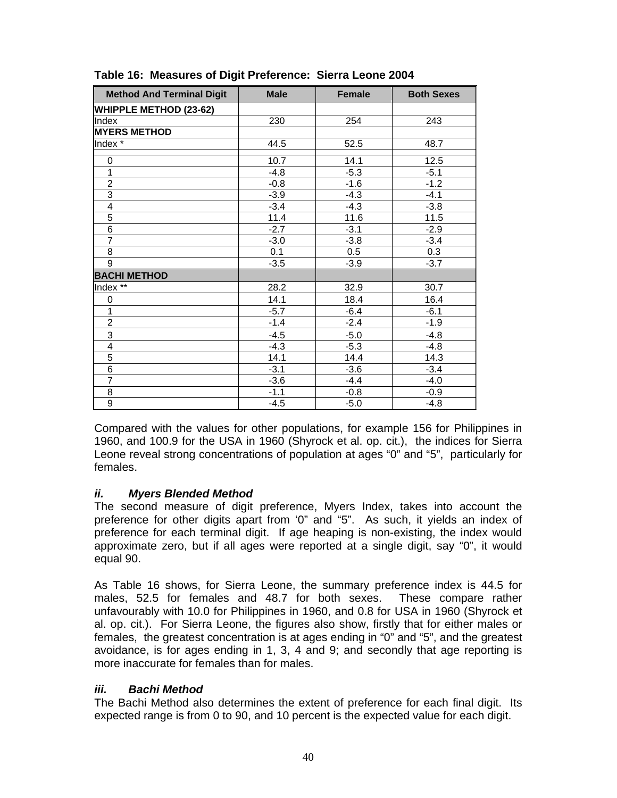| <b>Method And Terminal Digit</b> | <b>Male</b> | <b>Female</b> | <b>Both Sexes</b> |
|----------------------------------|-------------|---------------|-------------------|
| <b>WHIPPLE METHOD (23-62)</b>    |             |               |                   |
| Index                            | 230         | 254           | 243               |
| <b>MYERS METHOD</b>              |             |               |                   |
| Index <sup>*</sup>               | 44.5        | 52.5          | 48.7              |
| 0                                | 10.7        | 14.1          | 12.5              |
| 1                                | $-4.8$      | $-5.3$        | $-5.1$            |
| $\overline{2}$                   | $-0.8$      | $-1.6$        | $-1.2$            |
| $\overline{3}$                   | $-3.9$      | $-4.3$        | $-4.1$            |
| 4                                | $-3.4$      | $-4.3$        | $-3.8$            |
| 5                                | 11.4        | 11.6          | 11.5              |
| 6                                | $-2.7$      | $-3.1$        | $-2.9$            |
| $\overline{7}$                   | $-3.0$      | $-3.8$        | $-3.4$            |
| 8                                | 0.1         | 0.5           | 0.3               |
| 9                                | $-3.5$      | $-3.9$        | $-3.7$            |
| <b>BACHI METHOD</b>              |             |               |                   |
| Index **                         | 28.2        | 32.9          | 30.7              |
| 0                                | 14.1        | 18.4          | 16.4              |
| 1                                | $-5.7$      | $-6.4$        | $-6.1$            |
| $\overline{c}$                   | $-1.4$      | $-2.4$        | $-1.9$            |
| 3                                | $-4.5$      | $-5.0$        | $-4.8$            |
| 4                                | $-4.3$      | $-5.3$        | $-4.8$            |
| 5                                | 14.1        | 14.4          | 14.3              |
| 6                                | $-3.1$      | $-3.6$        | $-3.4$            |
| $\overline{7}$                   | $-3.6$      | $-4.4$        | $-4.0$            |
| 8                                | $-1.1$      | $-0.8$        | $-0.9$            |
| 9                                | $-4.5$      | $-5.0$        | $-4.8$            |

# **Table 16: Measures of Digit Preference: Sierra Leone 2004**

Compared with the values for other populations, for example 156 for Philippines in 1960, and 100.9 for the USA in 1960 (Shyrock et al. op. cit.), the indices for Sierra Leone reveal strong concentrations of population at ages "0" and "5", particularly for females.

# *ii. Myers Blended Method*

The second measure of digit preference, Myers Index, takes into account the preference for other digits apart from '0" and "5". As such, it yields an index of preference for each terminal digit. If age heaping is non-existing, the index would approximate zero, but if all ages were reported at a single digit, say "0", it would equal 90.

As Table 16 shows, for Sierra Leone, the summary preference index is 44.5 for males, 52.5 for females and 48.7 for both sexes. These compare rather unfavourably with 10.0 for Philippines in 1960, and 0.8 for USA in 1960 (Shyrock et al. op. cit.). For Sierra Leone, the figures also show, firstly that for either males or females, the greatest concentration is at ages ending in "0" and "5", and the greatest avoidance, is for ages ending in 1, 3, 4 and 9; and secondly that age reporting is more inaccurate for females than for males.

#### *iii. Bachi Method*

The Bachi Method also determines the extent of preference for each final digit. Its expected range is from 0 to 90, and 10 percent is the expected value for each digit.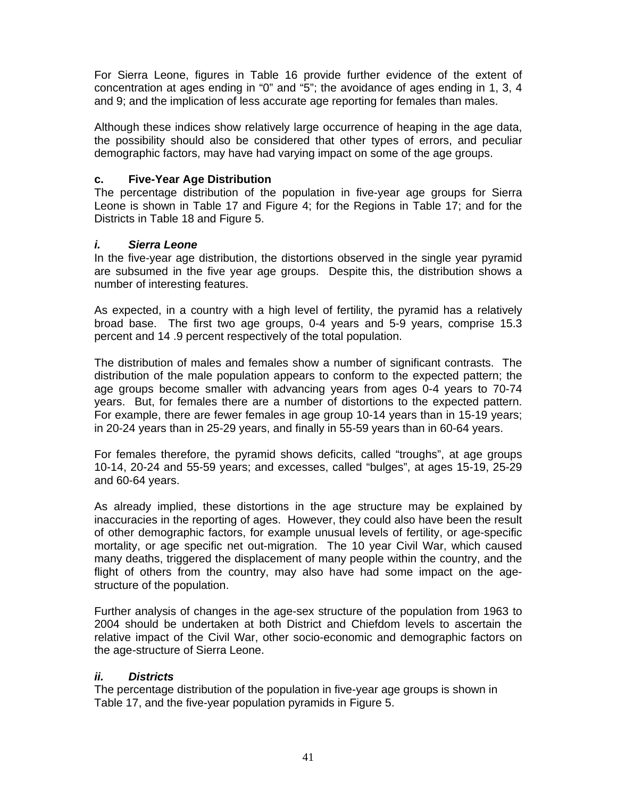For Sierra Leone, figures in Table 16 provide further evidence of the extent of concentration at ages ending in "0" and "5"; the avoidance of ages ending in 1, 3, 4 and 9; and the implication of less accurate age reporting for females than males.

Although these indices show relatively large occurrence of heaping in the age data, the possibility should also be considered that other types of errors, and peculiar demographic factors, may have had varying impact on some of the age groups.

### **c. Five-Year Age Distribution**

The percentage distribution of the population in five-year age groups for Sierra Leone is shown in Table 17 and Figure 4; for the Regions in Table 17; and for the Districts in Table 18 and Figure 5.

### *i. Sierra Leone*

In the five-year age distribution, the distortions observed in the single year pyramid are subsumed in the five year age groups. Despite this, the distribution shows a number of interesting features.

As expected, in a country with a high level of fertility, the pyramid has a relatively broad base. The first two age groups, 0-4 years and 5-9 years, comprise 15.3 percent and 14 .9 percent respectively of the total population.

The distribution of males and females show a number of significant contrasts. The distribution of the male population appears to conform to the expected pattern; the age groups become smaller with advancing years from ages 0-4 years to 70-74 years. But, for females there are a number of distortions to the expected pattern. For example, there are fewer females in age group 10-14 years than in 15-19 years; in 20-24 years than in 25-29 years, and finally in 55-59 years than in 60-64 years.

For females therefore, the pyramid shows deficits, called "troughs", at age groups 10-14, 20-24 and 55-59 years; and excesses, called "bulges", at ages 15-19, 25-29 and 60-64 years.

As already implied, these distortions in the age structure may be explained by inaccuracies in the reporting of ages. However, they could also have been the result of other demographic factors, for example unusual levels of fertility, or age-specific mortality, or age specific net out-migration. The 10 year Civil War, which caused many deaths, triggered the displacement of many people within the country, and the flight of others from the country, may also have had some impact on the agestructure of the population.

Further analysis of changes in the age-sex structure of the population from 1963 to 2004 should be undertaken at both District and Chiefdom levels to ascertain the relative impact of the Civil War, other socio-economic and demographic factors on the age-structure of Sierra Leone.

# *ii. Districts*

The percentage distribution of the population in five-year age groups is shown in Table 17, and the five-year population pyramids in Figure 5.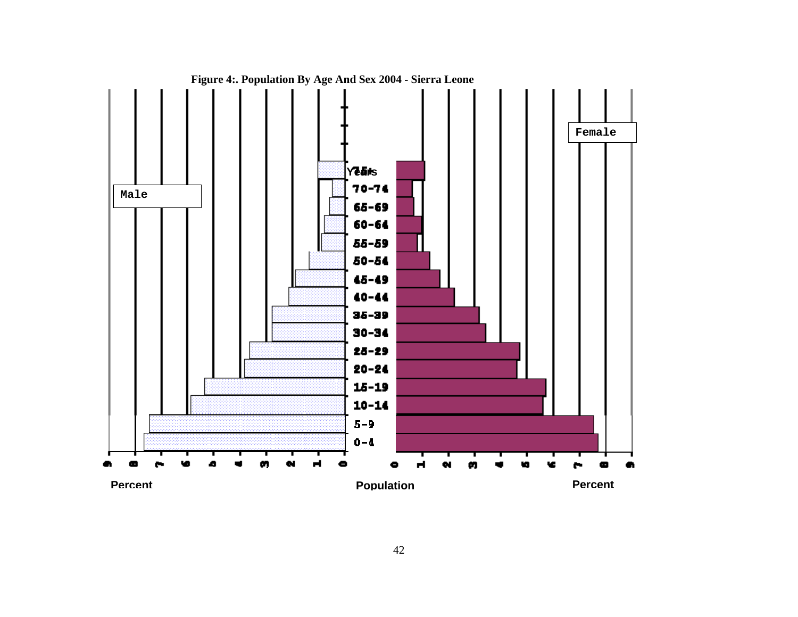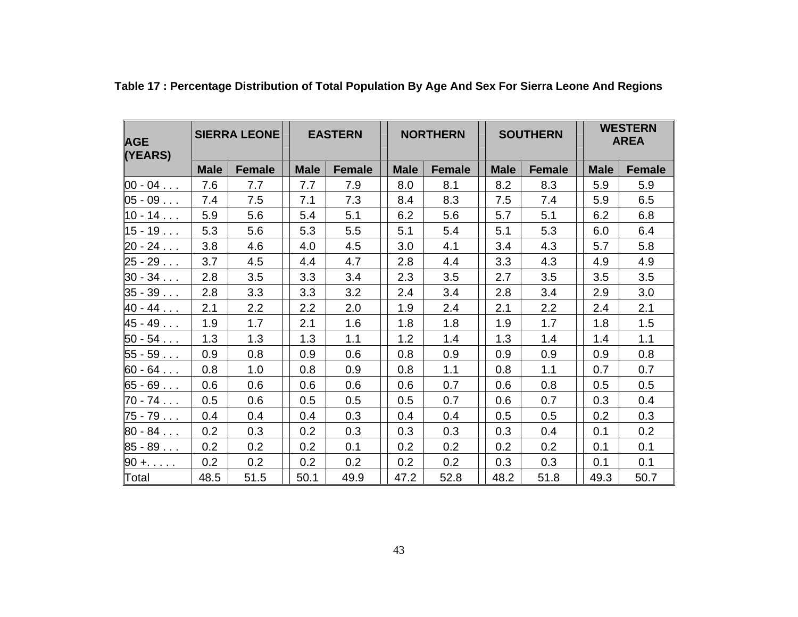| <b>AGE</b><br>(YEARS) | <b>SIERRA LEONE</b> |               | <b>EASTERN</b> |               | <b>NORTHERN</b> |               | <b>SOUTHERN</b> |               |             | <b>WESTERN</b><br><b>AREA</b> |  |
|-----------------------|---------------------|---------------|----------------|---------------|-----------------|---------------|-----------------|---------------|-------------|-------------------------------|--|
|                       | <b>Male</b>         | <b>Female</b> | <b>Male</b>    | <b>Female</b> | <b>Male</b>     | <b>Female</b> | <b>Male</b>     | <b>Female</b> | <b>Male</b> | <b>Female</b>                 |  |
| $00 - 04$             | 7.6                 | 7.7           | 7.7            | 7.9           | 8.0             | 8.1           | 8.2             | 8.3           | 5.9         | 5.9                           |  |
| $05 - 09$             | 7.4                 | 7.5           | 7.1            | 7.3           | 8.4             | 8.3           | 7.5             | 7.4           | 5.9         | 6.5                           |  |
| $10 - 14$             | 5.9                 | 5.6           | 5.4            | 5.1           | 6.2             | 5.6           | 5.7             | 5.1           | 6.2         | 6.8                           |  |
| $15 - 19$             | 5.3                 | 5.6           | 5.3            | 5.5           | 5.1             | 5.4           | 5.1             | 5.3           | 6.0         | 6.4                           |  |
| $20 - 24$             | 3.8                 | 4.6           | 4.0            | 4.5           | 3.0             | 4.1           | 3.4             | 4.3           | 5.7         | 5.8                           |  |
| $25 - 29$             | 3.7                 | 4.5           | 4.4            | 4.7           | 2.8             | 4.4           | 3.3             | 4.3           | 4.9         | 4.9                           |  |
| $30 - 34$             | 2.8                 | 3.5           | 3.3            | 3.4           | 2.3             | 3.5           | 2.7             | 3.5           | 3.5         | 3.5                           |  |
| $35 - 39$             | 2.8                 | 3.3           | 3.3            | 3.2           | 2.4             | 3.4           | 2.8             | 3.4           | 2.9         | 3.0                           |  |
| $40 - 44$             | 2.1                 | 2.2           | 2.2            | 2.0           | 1.9             | 2.4           | 2.1             | 2.2           | 2.4         | 2.1                           |  |
| $45 - 49$             | 1.9                 | 1.7           | 2.1            | 1.6           | 1.8             | 1.8           | 1.9             | 1.7           | 1.8         | 1.5                           |  |
| $50 - 54$             | 1.3                 | 1.3           | 1.3            | 1.1           | 1.2             | 1.4           | 1.3             | 1.4           | 1.4         | 1.1                           |  |
| $55 - 59$             | 0.9                 | 0.8           | 0.9            | 0.6           | 0.8             | 0.9           | 0.9             | 0.9           | 0.9         | 0.8                           |  |
| $60 - 64$             | 0.8                 | 1.0           | 0.8            | 0.9           | 0.8             | 1.1           | 0.8             | 1.1           | 0.7         | 0.7                           |  |
| $65 - 69$             | 0.6                 | 0.6           | 0.6            | 0.6           | 0.6             | 0.7           | 0.6             | 0.8           | 0.5         | 0.5                           |  |
| $70 - 74$             | 0.5                 | 0.6           | 0.5            | 0.5           | 0.5             | 0.7           | 0.6             | 0.7           | 0.3         | 0.4                           |  |
| $75 - 79$             | 0.4                 | 0.4           | 0.4            | 0.3           | 0.4             | 0.4           | 0.5             | 0.5           | 0.2         | 0.3                           |  |
| $80 - 84$             | 0.2                 | 0.3           | 0.2            | 0.3           | 0.3             | 0.3           | 0.3             | 0.4           | 0.1         | 0.2                           |  |
| $85 - 89$             | 0.2                 | 0.2           | 0.2            | 0.1           | 0.2             | 0.2           | 0.2             | 0.2           | 0.1         | 0.1                           |  |
| $90 + \ldots$         | 0.2                 | 0.2           | 0.2            | 0.2           | 0.2             | 0.2           | 0.3             | 0.3           | 0.1         | 0.1                           |  |
| Total                 | 48.5                | 51.5          | 50.1           | 49.9          | 47.2            | 52.8          | 48.2            | 51.8          | 49.3        | 50.7                          |  |

**Table 17 : Percentage Distribution of Total Population By Age And Sex For Sierra Leone And Regions**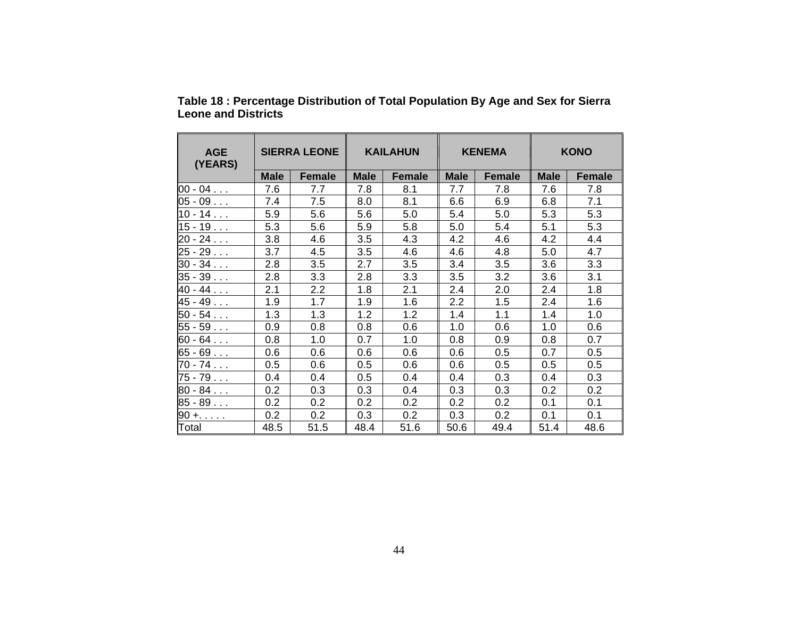| <b>AGE</b><br>(YEARS) | <b>SIERRA LEONE</b> |                  |             | <b>KAILAHUN</b> |             | <b>KENEMA</b> | <b>KONO</b> |               |  |
|-----------------------|---------------------|------------------|-------------|-----------------|-------------|---------------|-------------|---------------|--|
|                       | <b>Male</b>         | <b>Female</b>    | <b>Male</b> | <b>Female</b>   | <b>Male</b> | <b>Female</b> | <b>Male</b> | <b>Female</b> |  |
| $00 - 04$             | 7.6                 | 7.7              | 7.8         | 8.1             | 7.7         | 7.8           | 7.6         | 7.8           |  |
| $05 - 09$             | 7.4                 | 7.5              | 8.0         | 8.1             | 6.6         | 6.9           | 6.8         | 7.1           |  |
| $10 - 14$             | 5.9                 | 5.6              | 5.6         | 5.0             | 5.4         | 5.0           | 5.3         | 5.3           |  |
| $15 - 19$             | 5.3                 | 5.6              | 5.9         | 5.8             | 5.0         | 5.4           | 5.1         | 5.3           |  |
| $20 - 24$             | 3.8                 | 4.6              | 3.5         | 4.3             | 4.2         | 4.6           | 4.2         | 4.4           |  |
| $25 - 29$             | 3.7                 | 4.5              | 3.5         | 4.6             | 4.6         | 4.8           | 5.0         | 4.7           |  |
| $30 - 34$             | 2.8                 | 3.5              | 2.7         | 3.5             | 3.4         | 3.5           | 3.6         | 3.3           |  |
| $35 - 39$             | 2.8                 | 3.3              | 2.8         | 3.3             | 3.5         | 3.2           | 3.6         | 3.1           |  |
| $40 - 44$             | 2.1                 | $2.2\phantom{0}$ | 1.8         | 2.1             | 2.4         | 2.0           | 2.4         | 1.8           |  |
| $45 - 49$             | 1.9                 | 1.7              | 1.9         | 1.6             | 2.2         | 1.5           | 2.4         | 1.6           |  |
| $50 - 54$             | 1.3                 | 1.3              | 1.2         | 1.2             | 1.4         | 1.1           | 1.4         | 1.0           |  |
| $55 - 59$             | 0.9                 | 0.8              | 0.8         | 0.6             | 1.0         | 0.6           | 1.0         | 0.6           |  |
| $60 - 64$             | 0.8                 | 1.0              | 0.7         | 1.0             | 0.8         | 0.9           | 0.8         | 0.7           |  |
| $65 - 69$             | 0.6                 | 0.6              | 0.6         | 0.6             | 0.6         | 0.5           | 0.7         | 0.5           |  |
| $70 - 74$             | 0.5                 | 0.6              | 0.5         | 0.6             | 0.6         | 0.5           | 0.5         | 0.5           |  |
| 75 - 79               | 0.4                 | 0.4              | 0.5         | 0.4             | 0.4         | 0.3           | 0.4         | 0.3           |  |
| $80 - 84$             | 0.2                 | 0.3              | 0.3         | 0.4             | 0.3         | 0.3           | 0.2         | 0.2           |  |
| $85 - 89$             | 0.2                 | 0.2              | 0.2         | 0.2             | 0.2         | 0.2           | 0.1         | 0.1           |  |
| $90 + \ldots$         | 0.2                 | 0.2              | 0.3         | 0.2             | 0.3         | 0.2           | 0.1         | 0.1           |  |
| Total                 | 48.5                | 51.5             | 48.4        | 51.6            | 50.6        | 49.4          | 51.4        | 48.6          |  |

**Table 18 : Percentage Distribution of Total Population By Age and Sex for Sierra Leone and Districts**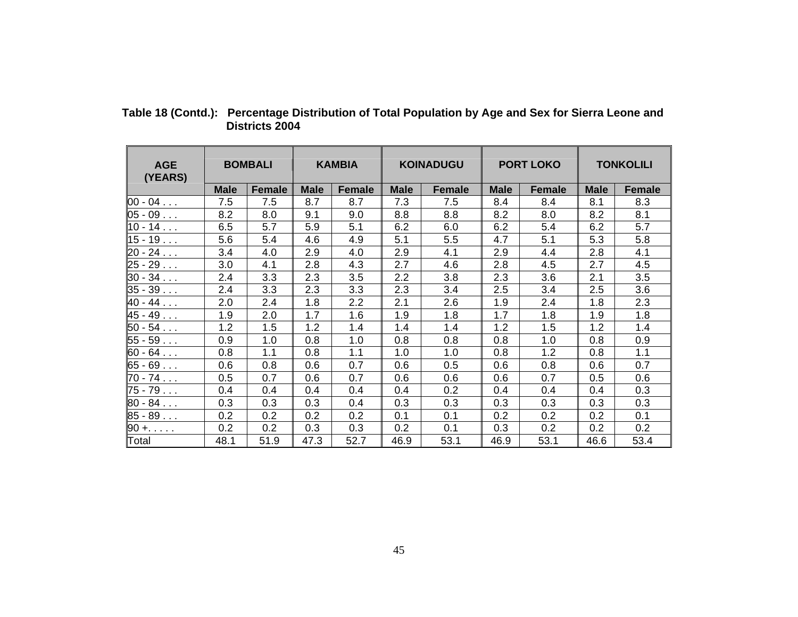| <b>AGE</b><br>(YEARS) | <b>BOMBALI</b> |               | <b>KAMBIA</b> |               | <b>KOINADUGU</b> |               | <b>PORT LOKO</b> |               | <b>TONKOLILI</b> |               |
|-----------------------|----------------|---------------|---------------|---------------|------------------|---------------|------------------|---------------|------------------|---------------|
|                       | <b>Male</b>    | <b>Female</b> | <b>Male</b>   | <b>Female</b> | <b>Male</b>      | <b>Female</b> | <b>Male</b>      | <b>Female</b> | <b>Male</b>      | <b>Female</b> |
| $00 - 04$             | 7.5            | 7.5           | 8.7           | 8.7           | 7.3              | 7.5           | 8.4              | 8.4           | 8.1              | 8.3           |
| 05 - 09               | 8.2            | 8.0           | 9.1           | 9.0           | 8.8              | 8.8           | 8.2              | 8.0           | 8.2              | 8.1           |
| $10 - 14$             | 6.5            | 5.7           | 5.9           | 5.1           | 6.2              | 6.0           | 6.2              | 5.4           | 6.2              | 5.7           |
| 15-19..               | 5.6            | 5.4           | 4.6           | 4.9           | 5.1              | 5.5           | 4.7              | 5.1           | 5.3              | 5.8           |
| 20 - 24               | 3.4            | 4.0           | 2.9           | 4.0           | 2.9              | 4.1           | 2.9              | 4.4           | 2.8              | 4.1           |
| $25 - 29$             | 3.0            | 4.1           | 2.8           | 4.3           | 2.7              | 4.6           | 2.8              | 4.5           | 2.7              | 4.5           |
| $30 - 34$             | 2.4            | 3.3           | 2.3           | 3.5           | 2.2              | 3.8           | 2.3              | 3.6           | 2.1              | 3.5           |
| $35 - 39$             | 2.4            | 3.3           | 2.3           | 3.3           | 2.3              | 3.4           | 2.5              | 3.4           | 2.5              | 3.6           |
| $40 - 44$             | 2.0            | 2.4           | 1.8           | 2.2           | 2.1              | 2.6           | 1.9              | 2.4           | 1.8              | 2.3           |
| 45 - 49               | 1.9            | 2.0           | 1.7           | 1.6           | 1.9              | 1.8           | 1.7              | 1.8           | 1.9              | 1.8           |
| $50 - 54$             | 1.2            | 1.5           | 1.2           | 1.4           | 1.4              | 1.4           | 1.2              | 1.5           | 1.2              | 1.4           |
| 55 - 59               | 0.9            | 1.0           | 0.8           | 1.0           | 0.8              | 0.8           | 0.8              | 1.0           | 0.8              | 0.9           |
| 60 - 64               | 0.8            | 1.1           | 0.8           | 1.1           | 1.0              | 1.0           | 0.8              | 1.2           | 0.8              | 1.1           |
| 65 - 69               | 0.6            | 0.8           | 0.6           | 0.7           | 0.6              | 0.5           | 0.6              | 0.8           | 0.6              | 0.7           |
| $70 - 74$             | 0.5            | 0.7           | 0.6           | 0.7           | 0.6              | 0.6           | 0.6              | 0.7           | 0.5              | 0.6           |
| 75 - 79               | 0.4            | 0.4           | 0.4           | 0.4           | 0.4              | 0.2           | 0.4              | 0.4           | 0.4              | 0.3           |
| $80 - 84$             | 0.3            | 0.3           | 0.3           | 0.4           | 0.3              | 0.3           | 0.3              | 0.3           | 0.3              | 0.3           |
| 85 - 89               | 0.2            | 0.2           | 0.2           | 0.2           | 0.1              | 0.1           | 0.2              | 0.2           | 0.2              | 0.1           |
| $90 + \ldots$         | 0.2            | 0.2           | 0.3           | 0.3           | 0.2              | 0.1           | 0.3              | 0.2           | 0.2              | 0.2           |
| Total                 | 48.1           | 51.9          | 47.3          | 52.7          | 46.9             | 53.1          | 46.9             | 53.1          | 46.6             | 53.4          |

 **Table 18 (Contd.): Percentage Distribution of Total Population by Age and Sex for Sierra Leone and Districts 2004**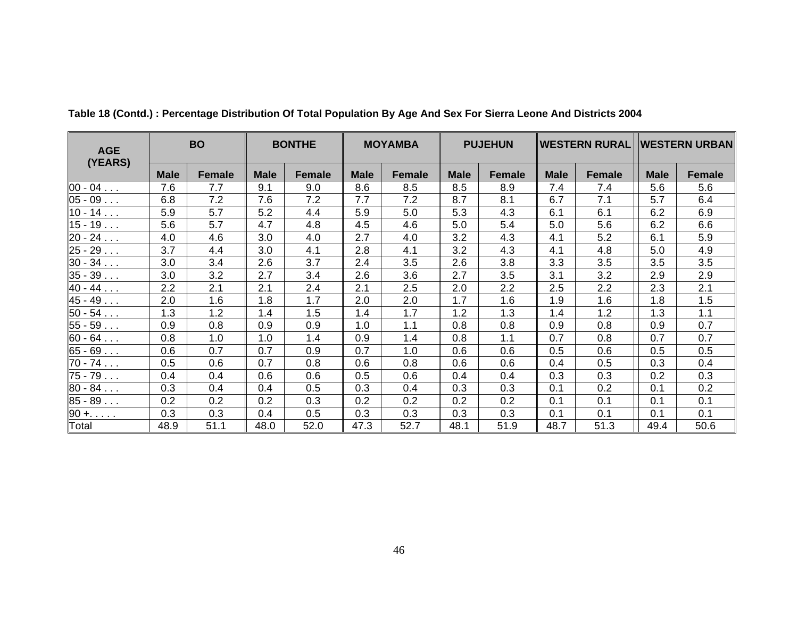| <b>AGE</b><br>(YEARS) | <b>BO</b>   |               | <b>BONTHE</b><br><b>MOYAMBA</b> |        |             | <b>PUJEHUN</b> |             |               |             | WESTERN RURAL  WESTERN URBAN |             |               |
|-----------------------|-------------|---------------|---------------------------------|--------|-------------|----------------|-------------|---------------|-------------|------------------------------|-------------|---------------|
|                       | <b>Male</b> | <b>Female</b> | <b>Male</b>                     | Female | <b>Male</b> | <b>Female</b>  | <b>Male</b> | <b>Female</b> | <b>Male</b> | Female                       | <b>Male</b> | <b>Female</b> |
| $ 00 - 04 $           | 7.6         | 7.7           | 9.1                             | 9.0    | 8.6         | 8.5            | 8.5         | 8.9           | 7.4         | 7.4                          | 5.6         | 5.6           |
| 05-09..               | 6.8         | 7.2           | 7.6                             | 7.2    | 7.7         | 7.2            | 8.7         | 8.1           | 6.7         | 7.1                          | 5.7         | 6.4           |
| $10 - 14$             | 5.9         | 5.7           | 5.2                             | 4.4    | 5.9         | 5.0            | 5.3         | 4.3           | 6.1         | 6.1                          | 6.2         | 6.9           |
| $15 - 19$             | 5.6         | 5.7           | 4.7                             | 4.8    | 4.5         | 4.6            | 5.0         | 5.4           | 5.0         | 5.6                          | 6.2         | 6.6           |
| 20 - 24               | 4.0         | 4.6           | 3.0                             | 4.0    | 2.7         | 4.0            | 3.2         | 4.3           | 4.1         | 5.2                          | 6.1         | 5.9           |
| 25-29..               | 3.7         | 4.4           | 3.0                             | 4.1    | 2.8         | 4.1            | 3.2         | 4.3           | 4.1         | 4.8                          | 5.0         | 4.9           |
| $30 - 34$             | 3.0         | 3.4           | 2.6                             | 3.7    | 2.4         | 3.5            | 2.6         | 3.8           | 3.3         | 3.5                          | 3.5         | 3.5           |
| 35-39..               | 3.0         | 3.2           | 2.7                             | 3.4    | 2.6         | 3.6            | 2.7         | 3.5           | 3.1         | 3.2                          | 2.9         | 2.9           |
| $40 - 44$             | 2.2         | 2.1           | 2.1                             | 2.4    | 2.1         | 2.5            | 2.0         | 2.2           | 2.5         | 2.2                          | 2.3         | 2.1           |
| 45 - 49               | 2.0         | 1.6           | 1.8                             | 1.7    | 2.0         | 2.0            | 1.7         | 1.6           | 1.9         | 1.6                          | 1.8         | 1.5           |
| $50 - 54$             | 1.3         | 1.2           | 1.4                             | 1.5    | 1.4         | 1.7            | 1.2         | 1.3           | 1.4         | 1.2                          | 1.3         | 1.1           |
| 55 - 59               | 0.9         | 0.8           | 0.9                             | 0.9    | 1.0         | 1.1            | 0.8         | 0.8           | 0.9         | 0.8                          | 0.9         | 0.7           |
| 60 - 64               | 0.8         | 1.0           | 1.0                             | 1.4    | 0.9         | 1.4            | 0.8         | 1.1           | 0.7         | 0.8                          | 0.7         | 0.7           |
| 65 - 69               | 0.6         | 0.7           | 0.7                             | 0.9    | 0.7         | 1.0            | 0.6         | 0.6           | 0.5         | 0.6                          | 0.5         | 0.5           |
| 70 - 74               | 0.5         | 0.6           | 0.7                             | 0.8    | 0.6         | 0.8            | 0.6         | 0.6           | 0.4         | 0.5                          | 0.3         | 0.4           |
| 75 - 79               | 0.4         | 0.4           | 0.6                             | 0.6    | 0.5         | 0.6            | 0.4         | 0.4           | 0.3         | 0.3                          | 0.2         | 0.3           |
| 80-84..               | 0.3         | 0.4           | 0.4                             | 0.5    | 0.3         | 0.4            | 0.3         | 0.3           | 0.1         | 0.2                          | 0.1         | 0.2           |
| 85-89..               | 0.2         | 0.2           | 0.2                             | 0.3    | 0.2         | 0.2            | 0.2         | 0.2           | 0.1         | 0.1                          | 0.1         | 0.1           |
| $90 + \ldots$         | 0.3         | 0.3           | 0.4                             | 0.5    | 0.3         | 0.3            | 0.3         | 0.3           | 0.1         | 0.1                          | 0.1         | 0.1           |
| Total                 | 48.9        | 51.1          | 48.0                            | 52.0   | 47.3        | 52.7           | 48.1        | 51.9          | 48.7        | 51.3                         | 49.4        | 50.6          |

**Table 18 (Contd.) : Percentage Distribution Of Total Population By Age And Sex For Sierra Leone And Districts 2004**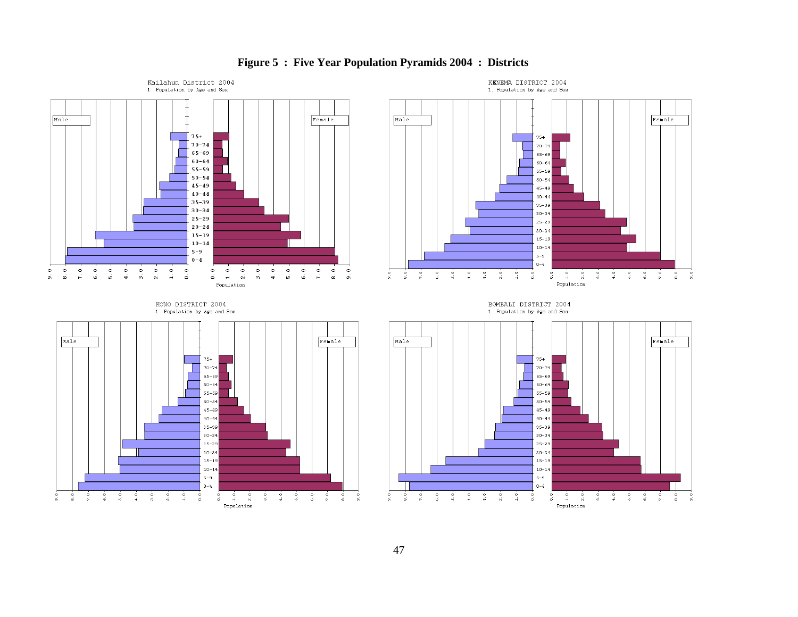

### **Figure 5 : Five Year Population Pyramids 2004 : Districts**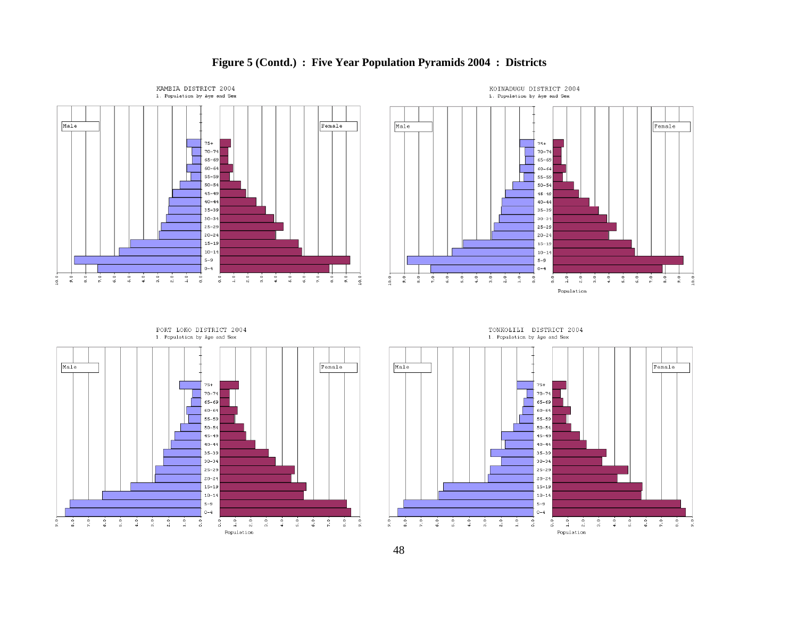

### **Figure 5 (Contd.) : Five Year Population Pyramids 2004 : Districts**





TONKOLILI DISTRICT 2004

1. Population by Age and Sex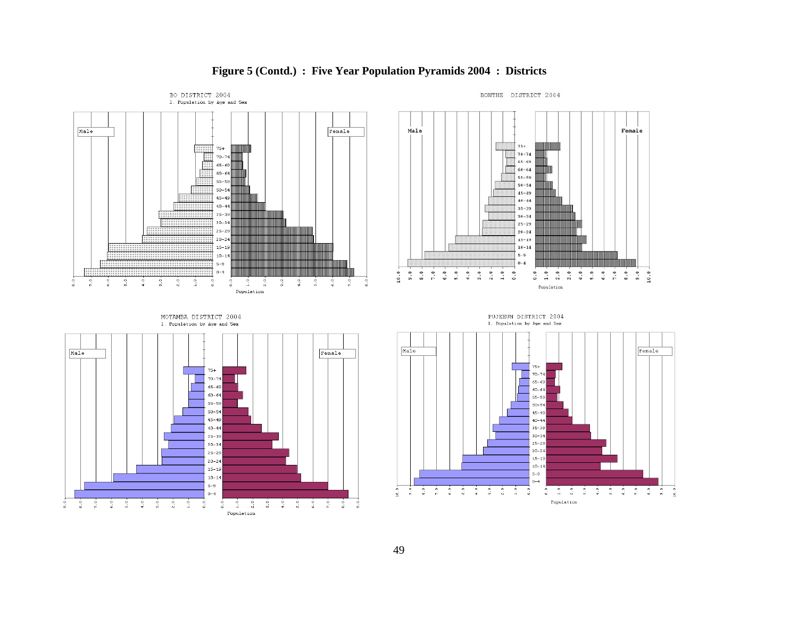

### **Figure 5 (Contd.) : Five Year Population Pyramids 2004 : Districts**

49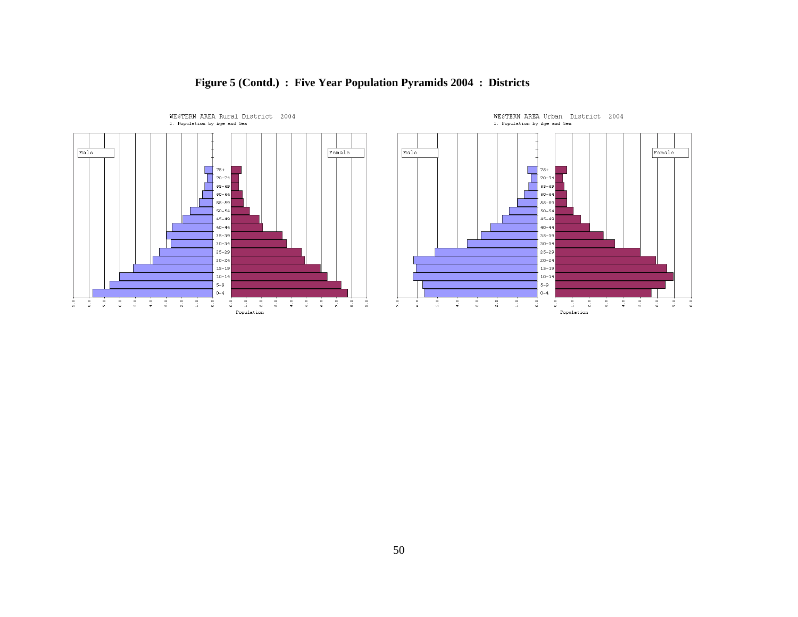

# **Figure 5 (Contd.) : Five Year Population Pyramids 2004 : Districts**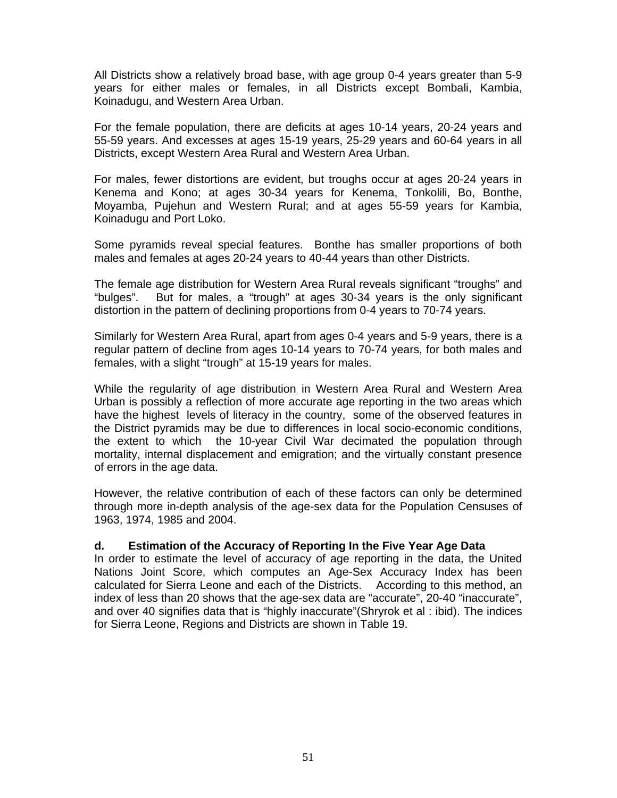All Districts show a relatively broad base, with age group 0-4 years greater than 5-9 years for either males or females, in all Districts except Bombali, Kambia, Koinadugu, and Western Area Urban.

For the female population, there are deficits at ages 10-14 years, 20-24 years and 55-59 years. And excesses at ages 15-19 years, 25-29 years and 60-64 years in all Districts, except Western Area Rural and Western Area Urban.

For males, fewer distortions are evident, but troughs occur at ages 20-24 years in Kenema and Kono; at ages 30-34 years for Kenema, Tonkolili, Bo, Bonthe, Moyamba, Pujehun and Western Rural; and at ages 55-59 years for Kambia, Koinadugu and Port Loko.

Some pyramids reveal special features. Bonthe has smaller proportions of both males and females at ages 20-24 years to 40-44 years than other Districts.

The female age distribution for Western Area Rural reveals significant "troughs" and "bulges". But for males, a "trough" at ages 30-34 years is the only significant distortion in the pattern of declining proportions from 0-4 years to 70-74 years.

Similarly for Western Area Rural, apart from ages 0-4 years and 5-9 years, there is a regular pattern of decline from ages 10-14 years to 70-74 years, for both males and females, with a slight "trough" at 15-19 years for males.

While the regularity of age distribution in Western Area Rural and Western Area Urban is possibly a reflection of more accurate age reporting in the two areas which have the highest levels of literacy in the country, some of the observed features in the District pyramids may be due to differences in local socio-economic conditions, the extent to which the 10-year Civil War decimated the population through mortality, internal displacement and emigration; and the virtually constant presence of errors in the age data.

However, the relative contribution of each of these factors can only be determined through more in-depth analysis of the age-sex data for the Population Censuses of 1963, 1974, 1985 and 2004.

#### **d. Estimation of the Accuracy of Reporting In the Five Year Age Data**

In order to estimate the level of accuracy of age reporting in the data, the United Nations Joint Score, which computes an Age-Sex Accuracy Index has been calculated for Sierra Leone and each of the Districts. According to this method, an index of less than 20 shows that the age-sex data are "accurate", 20-40 "inaccurate", and over 40 signifies data that is "highly inaccurate"(Shryrok et al : ibid). The indices for Sierra Leone, Regions and Districts are shown in Table 19.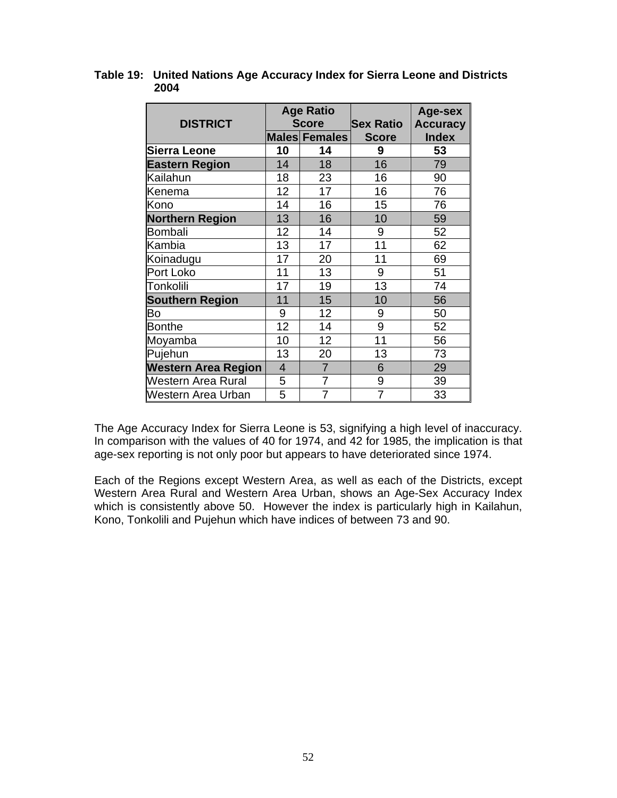| <b>DISTRICT</b>            |                | <b>Age Ratio</b><br><b>Score</b> | <b>Sex Ratio</b> | Age-sex<br><b>Accuracy</b> |  |
|----------------------------|----------------|----------------------------------|------------------|----------------------------|--|
|                            |                | <b>Males Females</b>             | <b>Score</b>     | <b>Index</b>               |  |
| Sierra Leone               | 10             | 14                               | 9                | 53                         |  |
| <b>Eastern Region</b>      | 14             | 18                               | 16               | 79                         |  |
| Kailahun                   | 18             | 23                               | 16               | 90                         |  |
| Kenema                     | 12             | 17                               | 16               | 76                         |  |
| Kono                       | 14             | 16                               | 15               | 76                         |  |
| <b>Northern Region</b>     | 13             | 16                               | 10               | 59                         |  |
| Bombali                    | 12             | 14                               | 9                | 52                         |  |
| Kambia                     | 13             | 17                               | 11               | 62                         |  |
| Koinadugu                  | 17             | 20                               | 11               | 69                         |  |
| Port Loko                  | 11             | 13                               | 9                | 51                         |  |
| Tonkolili                  | 17             | 19                               | 13               | 74                         |  |
| <b>Southern Region</b>     | 11             | 15                               | 10               | 56                         |  |
| Bo                         | 9              | 12                               | 9                | 50                         |  |
| <b>Bonthe</b>              | 12             | 14                               | 9                | 52                         |  |
| Moyamba                    | 10             | 12                               | 11               | 56                         |  |
| Pujehun                    | 13             | 20                               | 13               | 73                         |  |
| <b>Western Area Region</b> | $\overline{4}$ | $\overline{7}$                   | 6                | 29                         |  |
| <b>Western Area Rural</b>  | 5              | $\overline{7}$                   | 9                | 39                         |  |
| Western Area Urban         | 5              | $\overline{7}$                   | $\overline{7}$   | 33                         |  |

### **Table 19: United Nations Age Accuracy Index for Sierra Leone and Districts 2004**

The Age Accuracy Index for Sierra Leone is 53, signifying a high level of inaccuracy. In comparison with the values of 40 for 1974, and 42 for 1985, the implication is that age-sex reporting is not only poor but appears to have deteriorated since 1974.

Each of the Regions except Western Area, as well as each of the Districts, except Western Area Rural and Western Area Urban, shows an Age-Sex Accuracy Index which is consistently above 50. However the index is particularly high in Kailahun, Kono, Tonkolili and Pujehun which have indices of between 73 and 90.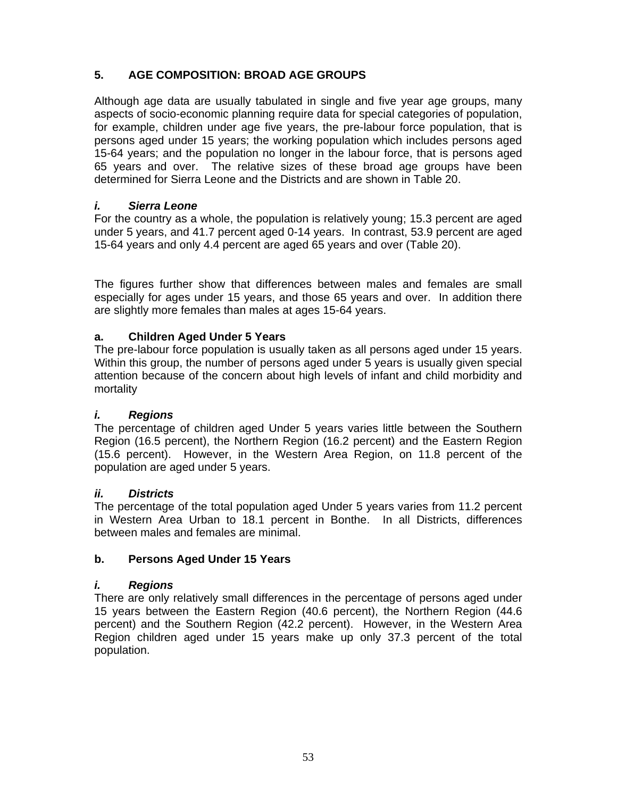# **5. AGE COMPOSITION: BROAD AGE GROUPS**

Although age data are usually tabulated in single and five year age groups, many aspects of socio-economic planning require data for special categories of population, for example, children under age five years, the pre-labour force population, that is persons aged under 15 years; the working population which includes persons aged 15-64 years; and the population no longer in the labour force, that is persons aged 65 years and over. The relative sizes of these broad age groups have been determined for Sierra Leone and the Districts and are shown in Table 20.

# *i. Sierra Leone*

For the country as a whole, the population is relatively young; 15.3 percent are aged under 5 years, and 41.7 percent aged 0-14 years. In contrast, 53.9 percent are aged 15-64 years and only 4.4 percent are aged 65 years and over (Table 20).

The figures further show that differences between males and females are small especially for ages under 15 years, and those 65 years and over. In addition there are slightly more females than males at ages 15-64 years.

# **a. Children Aged Under 5 Years**

The pre-labour force population is usually taken as all persons aged under 15 years. Within this group, the number of persons aged under 5 years is usually given special attention because of the concern about high levels of infant and child morbidity and mortality

# *i. Regions*

The percentage of children aged Under 5 years varies little between the Southern Region (16.5 percent), the Northern Region (16.2 percent) and the Eastern Region (15.6 percent). However, in the Western Area Region, on 11.8 percent of the population are aged under 5 years.

# *ii. Districts*

The percentage of the total population aged Under 5 years varies from 11.2 percent in Western Area Urban to 18.1 percent in Bonthe. In all Districts, differences between males and females are minimal.

# **b. Persons Aged Under 15 Years**

# *i. Regions*

There are only relatively small differences in the percentage of persons aged under 15 years between the Eastern Region (40.6 percent), the Northern Region (44.6 percent) and the Southern Region (42.2 percent). However, in the Western Area Region children aged under 15 years make up only 37.3 percent of the total population.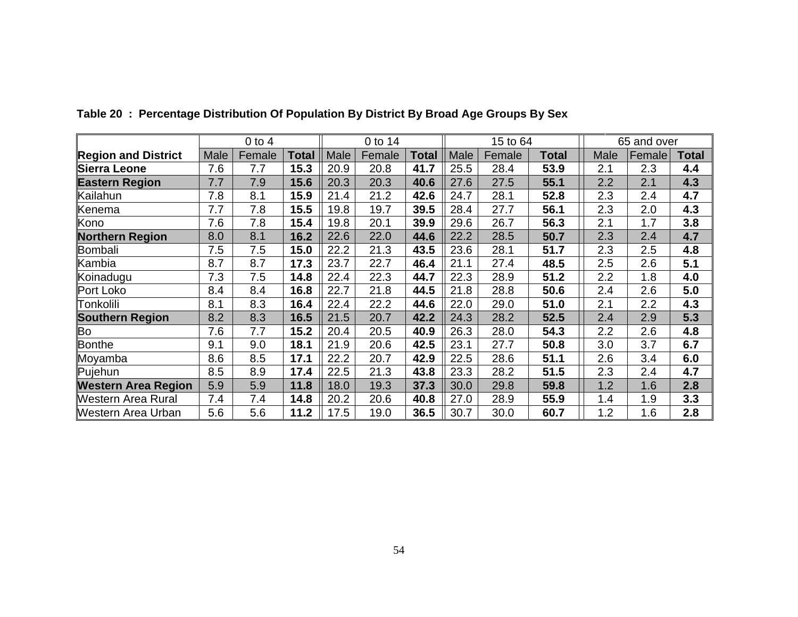|                            |      | $0$ to $4$ |              | 0 to 14 | 15 to 64 |              |      | 65 and over |       |      |               |              |
|----------------------------|------|------------|--------------|---------|----------|--------------|------|-------------|-------|------|---------------|--------------|
| <b>Region and District</b> | Male | Female     | <b>Total</b> | Male    | Female   | <b>Total</b> | Male | Female      | Total | Male | <b>Female</b> | <b>Total</b> |
| Sierra Leone               | 7.6  | 7.7        | 15.3         | 20.9    | 20.8     | 41.7         | 25.5 | 28.4        | 53.9  | 2.1  | 2.3           | 4.4          |
| <b>Eastern Region</b>      | 7.7  | 7.9        | 15.6         | 20.3    | 20.3     | 40.6         | 27.6 | 27.5        | 55.1  | 2.2  | 2.1           | 4.3          |
| Kailahun                   | 7.8  | 8.1        | 15.9         | 21.4    | 21.2     | 42.6         | 24.7 | 28.1        | 52.8  | 2.3  | 2.4           | 4.7          |
| Kenema                     | 7.7  | 7.8        | 15.5         | 19.8    | 19.7     | 39.5         | 28.4 | 27.7        | 56.1  | 2.3  | 2.0           | 4.3          |
| Kono                       | 7.6  | 7.8        | 15.4         | 19.8    | 20.1     | 39.9         | 29.6 | 26.7        | 56.3  | 2.1  | 1.7           | 3.8          |
| <b>Northern Region</b>     | 8.0  | 8.1        | 16.2         | 22.6    | 22.0     | 44.6         | 22.2 | 28.5        | 50.7  | 2.3  | 2.4           | 4.7          |
| <b>Bombali</b>             | 7.5  | 7.5        | 15.0         | 22.2    | 21.3     | 43.5         | 23.6 | 28.1        | 51.7  | 2.3  | 2.5           | 4.8          |
| Kambia                     | 8.7  | 8.7        | 17.3         | 23.7    | 22.7     | 46.4         | 21.1 | 27.4        | 48.5  | 2.5  | 2.6           | 5.1          |
| Koinadugu                  | 7.3  | 7.5        | 14.8         | 22.4    | 22.3     | 44.7         | 22.3 | 28.9        | 51.2  | 2.2  | 1.8           | 4.0          |
| Port Loko                  | 8.4  | 8.4        | 16.8         | 22.7    | 21.8     | 44.5         | 21.8 | 28.8        | 50.6  | 2.4  | 2.6           | 5.0          |
| Tonkolili                  | 8.1  | 8.3        | 16.4         | 22.4    | 22.2     | 44.6         | 22.0 | 29.0        | 51.0  | 2.1  | 2.2           | 4.3          |
| <b>Southern Region</b>     | 8.2  | 8.3        | 16.5         | 21.5    | 20.7     | 42.2         | 24.3 | 28.2        | 52.5  | 2.4  | 2.9           | 5.3          |
| Bo                         | 7.6  | 7.7        | 15.2         | 20.4    | 20.5     | 40.9         | 26.3 | 28.0        | 54.3  | 2.2  | 2.6           | 4.8          |
| <b>Bonthe</b>              | 9.1  | 9.0        | 18.1         | 21.9    | 20.6     | 42.5         | 23.1 | 27.7        | 50.8  | 3.0  | 3.7           | 6.7          |
| Moyamba                    | 8.6  | 8.5        | 17.1         | 22.2    | 20.7     | 42.9         | 22.5 | 28.6        | 51.1  | 2.6  | 3.4           | 6.0          |
| Pujehun                    | 8.5  | 8.9        | 17.4         | 22.5    | 21.3     | 43.8         | 23.3 | 28.2        | 51.5  | 2.3  | 2.4           | 4.7          |
| <b>Western Area Region</b> | 5.9  | 5.9        | 11.8         | 18.0    | 19.3     | 37.3         | 30.0 | 29.8        | 59.8  | 1.2  | 1.6           | 2.8          |
| Western Area Rural         | 7.4  | 7.4        | 14.8         | 20.2    | 20.6     | 40.8         | 27.0 | 28.9        | 55.9  | 1.4  | 1.9           | 3.3          |
| Western Area Urban         | 5.6  | 5.6        | 11.2         | 17.5    | 19.0     | 36.5         | 30.7 | 30.0        | 60.7  | 1.2  | 1.6           | 2.8          |

**Table 20 : Percentage Distribution Of Population By District By Broad Age Groups By Sex**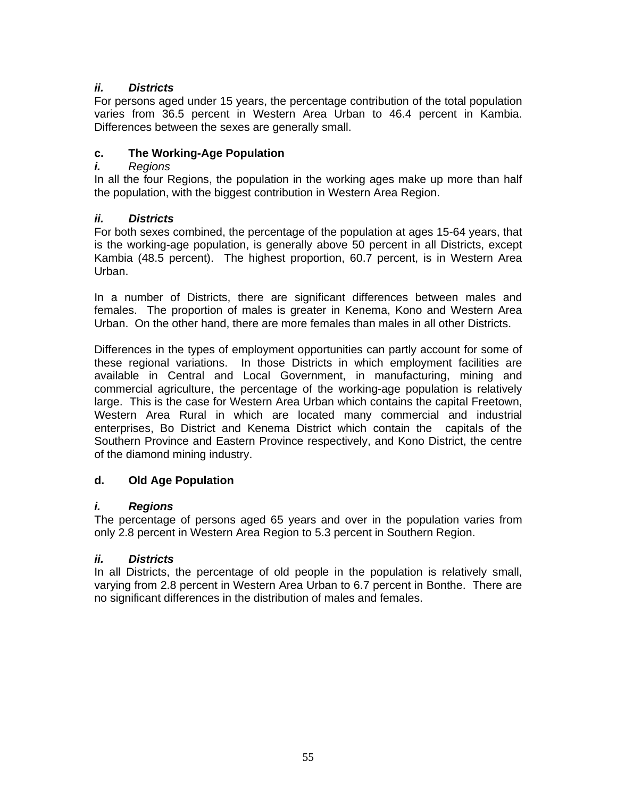# *ii. Districts*

For persons aged under 15 years, the percentage contribution of the total population varies from 36.5 percent in Western Area Urban to 46.4 percent in Kambia. Differences between the sexes are generally small.

# **c. The Working-Age Population**

# *i. Regions*

In all the four Regions, the population in the working ages make up more than half the population, with the biggest contribution in Western Area Region.

# *ii. Districts*

For both sexes combined, the percentage of the population at ages 15-64 years, that is the working-age population, is generally above 50 percent in all Districts, except Kambia (48.5 percent). The highest proportion, 60.7 percent, is in Western Area Urban.

In a number of Districts, there are significant differences between males and females. The proportion of males is greater in Kenema, Kono and Western Area Urban. On the other hand, there are more females than males in all other Districts.

Differences in the types of employment opportunities can partly account for some of these regional variations. In those Districts in which employment facilities are available in Central and Local Government, in manufacturing, mining and commercial agriculture, the percentage of the working-age population is relatively large. This is the case for Western Area Urban which contains the capital Freetown, Western Area Rural in which are located many commercial and industrial enterprises, Bo District and Kenema District which contain the capitals of the Southern Province and Eastern Province respectively, and Kono District, the centre of the diamond mining industry.

# **d. Old Age Population**

# *i. Regions*

The percentage of persons aged 65 years and over in the population varies from only 2.8 percent in Western Area Region to 5.3 percent in Southern Region.

# *ii. Districts*

In all Districts, the percentage of old people in the population is relatively small, varying from 2.8 percent in Western Area Urban to 6.7 percent in Bonthe. There are no significant differences in the distribution of males and females.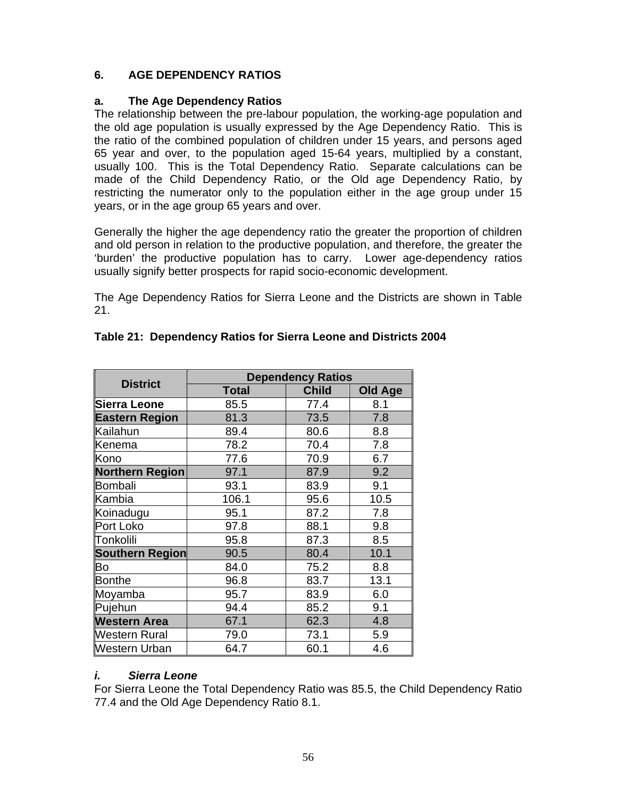# **6. AGE DEPENDENCY RATIOS**

#### **a. The Age Dependency Ratios**

The relationship between the pre-labour population, the working-age population and the old age population is usually expressed by the Age Dependency Ratio. This is the ratio of the combined population of children under 15 years, and persons aged 65 year and over, to the population aged 15-64 years, multiplied by a constant, usually 100. This is the Total Dependency Ratio. Separate calculations can be made of the Child Dependency Ratio, or the Old age Dependency Ratio, by restricting the numerator only to the population either in the age group under 15 years, or in the age group 65 years and over.

Generally the higher the age dependency ratio the greater the proportion of children and old person in relation to the productive population, and therefore, the greater the 'burden' the productive population has to carry. Lower age-dependency ratios usually signify better prospects for rapid socio-economic development.

The Age Dependency Ratios for Sierra Leone and the Districts are shown in Table 21.

| <b>District</b>     | <b>Dependency Ratios</b> |              |                |  |  |  |  |  |
|---------------------|--------------------------|--------------|----------------|--|--|--|--|--|
|                     | <b>Total</b>             | <b>Child</b> | <b>Old Age</b> |  |  |  |  |  |
| Sierra Leone        | 85.5                     | 77.4         | 8.1            |  |  |  |  |  |
| Eastern Region      | 81.3                     | 73.5         | 7.8            |  |  |  |  |  |
| Kailahun            | 89.4                     | 80.6         | 8.8            |  |  |  |  |  |
| Kenema              | 78.2                     | 70.4         | 7.8            |  |  |  |  |  |
| Kono                | 77.6                     | 70.9         | 6.7            |  |  |  |  |  |
| Northern Region     | 97.1                     | 87.9         | 9.2            |  |  |  |  |  |
| Bombali             | 93.1                     | 83.9         | 9.1            |  |  |  |  |  |
| Kambia              | 106.1                    | 95.6         | 10.5           |  |  |  |  |  |
| Koinadugu           | 95.1                     | 87.2         | 7.8            |  |  |  |  |  |
| Port Loko           | 97.8                     | 88.1         | 9.8            |  |  |  |  |  |
| Tonkolili           | 95.8                     | 87.3         | 8.5            |  |  |  |  |  |
| Southern Region     | 90.5                     | 80.4         | 10.1           |  |  |  |  |  |
| Bo                  | 84.0                     | 75.2         | 8.8            |  |  |  |  |  |
| Bonthe              | 96.8                     | 83.7         | 13.1           |  |  |  |  |  |
| Moyamba             | 95.7                     | 83.9         | 6.0            |  |  |  |  |  |
| Pujehun             | 94.4                     | 85.2         | 9.1            |  |  |  |  |  |
| <b>Western Area</b> | 67.1                     | 62.3         | 4.8            |  |  |  |  |  |
| Western Rural       | 79.0                     | 73.1         | 5.9            |  |  |  |  |  |
| Western Urban       | 64.7                     | 60.1         | 4.6            |  |  |  |  |  |

#### **Table 21: Dependency Ratios for Sierra Leone and Districts 2004**

#### *i. Sierra Leone*

For Sierra Leone the Total Dependency Ratio was 85.5, the Child Dependency Ratio 77.4 and the Old Age Dependency Ratio 8.1.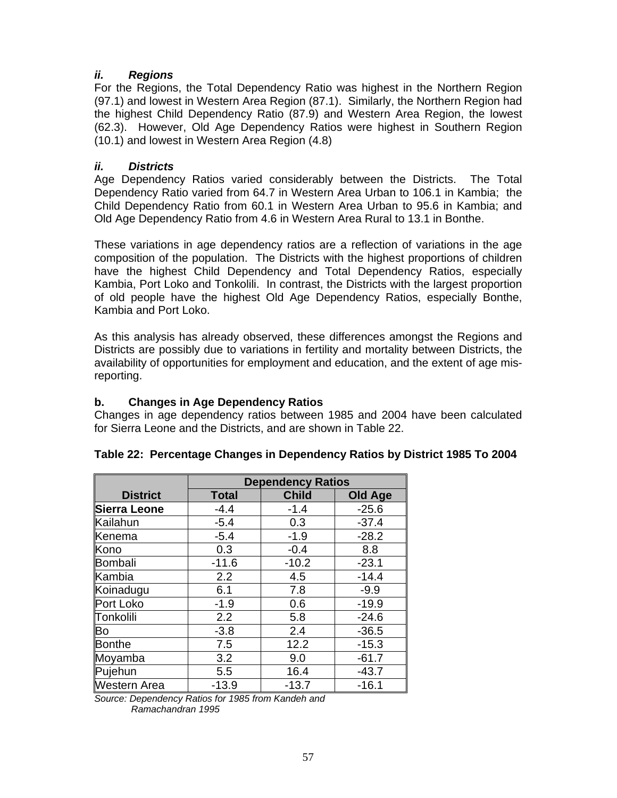# *ii. Regions*

For the Regions, the Total Dependency Ratio was highest in the Northern Region (97.1) and lowest in Western Area Region (87.1). Similarly, the Northern Region had the highest Child Dependency Ratio (87.9) and Western Area Region, the lowest (62.3). However, Old Age Dependency Ratios were highest in Southern Region (10.1) and lowest in Western Area Region (4.8)

# *ii. Districts*

Age Dependency Ratios varied considerably between the Districts. The Total Dependency Ratio varied from 64.7 in Western Area Urban to 106.1 in Kambia; the Child Dependency Ratio from 60.1 in Western Area Urban to 95.6 in Kambia; and Old Age Dependency Ratio from 4.6 in Western Area Rural to 13.1 in Bonthe.

These variations in age dependency ratios are a reflection of variations in the age composition of the population. The Districts with the highest proportions of children have the highest Child Dependency and Total Dependency Ratios, especially Kambia, Port Loko and Tonkolili. In contrast, the Districts with the largest proportion of old people have the highest Old Age Dependency Ratios, especially Bonthe, Kambia and Port Loko.

As this analysis has already observed, these differences amongst the Regions and Districts are possibly due to variations in fertility and mortality between Districts, the availability of opportunities for employment and education, and the extent of age misreporting.

# **b. Changes in Age Dependency Ratios**

Changes in age dependency ratios between 1985 and 2004 have been calculated for Sierra Leone and the Districts, and are shown in Table 22.

|                     | <b>Dependency Ratios</b> |              |         |  |  |  |  |  |
|---------------------|--------------------------|--------------|---------|--|--|--|--|--|
| <b>District</b>     | <b>Total</b>             | <b>Child</b> | Old Age |  |  |  |  |  |
| <b>Sierra Leone</b> | $-4.4$                   | $-1.4$       | $-25.6$ |  |  |  |  |  |
| Kailahun            | $-5.4$                   | 0.3          | $-37.4$ |  |  |  |  |  |
| Kenema              | $-5.4$                   | $-1.9$       | $-28.2$ |  |  |  |  |  |
| Kono                | 0.3                      | $-0.4$       | 8.8     |  |  |  |  |  |
| Bombali             | $-11.6$                  | $-10.2$      | $-23.1$ |  |  |  |  |  |
| Kambia              | 2.2                      | 4.5          | $-14.4$ |  |  |  |  |  |
| Koinadugu           | 6.1                      | 7.8          | $-9.9$  |  |  |  |  |  |
| Port Loko           | $-1.9$                   | 0.6          | $-19.9$ |  |  |  |  |  |
| Tonkolili           | 2.2                      | 5.8          | $-24.6$ |  |  |  |  |  |
| Bo                  | $-3.8$                   | 2.4          | $-36.5$ |  |  |  |  |  |
| Bonthe              | 7.5                      | 12.2         | $-15.3$ |  |  |  |  |  |
| Moyamba             | 3.2                      | 9.0          | $-61.7$ |  |  |  |  |  |
| Pujehun             | 5.5                      | 16.4         | $-43.7$ |  |  |  |  |  |
| Western Area        | $-13.9$                  | $-13.7$      | $-16.1$ |  |  |  |  |  |

# **Table 22: Percentage Changes in Dependency Ratios by District 1985 To 2004**

*Source: Dependency Ratios for 1985 from Kandeh and Ramachandran 1995*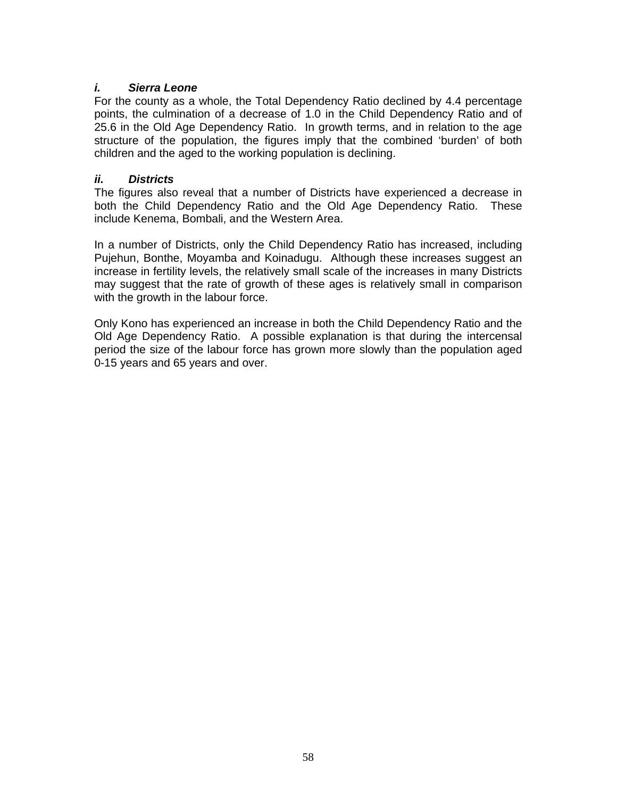### *i. Sierra Leone*

For the county as a whole, the Total Dependency Ratio declined by 4.4 percentage points, the culmination of a decrease of 1.0 in the Child Dependency Ratio and of 25.6 in the Old Age Dependency Ratio. In growth terms, and in relation to the age structure of the population, the figures imply that the combined 'burden' of both children and the aged to the working population is declining.

### *ii. Districts*

The figures also reveal that a number of Districts have experienced a decrease in both the Child Dependency Ratio and the Old Age Dependency Ratio. These include Kenema, Bombali, and the Western Area.

In a number of Districts, only the Child Dependency Ratio has increased, including Pujehun, Bonthe, Moyamba and Koinadugu. Although these increases suggest an increase in fertility levels, the relatively small scale of the increases in many Districts may suggest that the rate of growth of these ages is relatively small in comparison with the growth in the labour force.

Only Kono has experienced an increase in both the Child Dependency Ratio and the Old Age Dependency Ratio. A possible explanation is that during the intercensal period the size of the labour force has grown more slowly than the population aged 0-15 years and 65 years and over.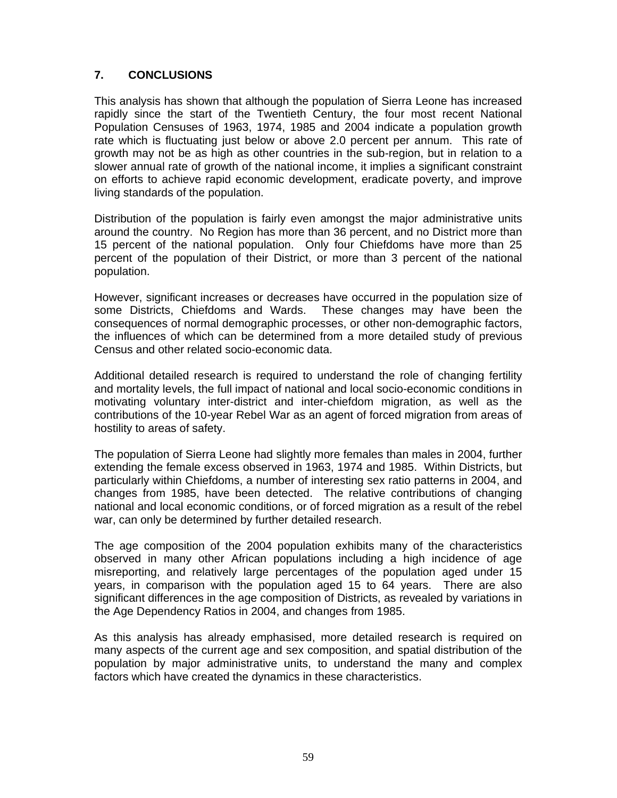# **7. CONCLUSIONS**

This analysis has shown that although the population of Sierra Leone has increased rapidly since the start of the Twentieth Century, the four most recent National Population Censuses of 1963, 1974, 1985 and 2004 indicate a population growth rate which is fluctuating just below or above 2.0 percent per annum. This rate of growth may not be as high as other countries in the sub-region, but in relation to a slower annual rate of growth of the national income, it implies a significant constraint on efforts to achieve rapid economic development, eradicate poverty, and improve living standards of the population.

Distribution of the population is fairly even amongst the major administrative units around the country. No Region has more than 36 percent, and no District more than 15 percent of the national population. Only four Chiefdoms have more than 25 percent of the population of their District, or more than 3 percent of the national population.

However, significant increases or decreases have occurred in the population size of some Districts, Chiefdoms and Wards. These changes may have been the consequences of normal demographic processes, or other non-demographic factors, the influences of which can be determined from a more detailed study of previous Census and other related socio-economic data.

Additional detailed research is required to understand the role of changing fertility and mortality levels, the full impact of national and local socio-economic conditions in motivating voluntary inter-district and inter-chiefdom migration, as well as the contributions of the 10-year Rebel War as an agent of forced migration from areas of hostility to areas of safety.

The population of Sierra Leone had slightly more females than males in 2004, further extending the female excess observed in 1963, 1974 and 1985. Within Districts, but particularly within Chiefdoms, a number of interesting sex ratio patterns in 2004, and changes from 1985, have been detected. The relative contributions of changing national and local economic conditions, or of forced migration as a result of the rebel war, can only be determined by further detailed research.

The age composition of the 2004 population exhibits many of the characteristics observed in many other African populations including a high incidence of age misreporting, and relatively large percentages of the population aged under 15 years, in comparison with the population aged 15 to 64 years. There are also significant differences in the age composition of Districts, as revealed by variations in the Age Dependency Ratios in 2004, and changes from 1985.

As this analysis has already emphasised, more detailed research is required on many aspects of the current age and sex composition, and spatial distribution of the population by major administrative units, to understand the many and complex factors which have created the dynamics in these characteristics.